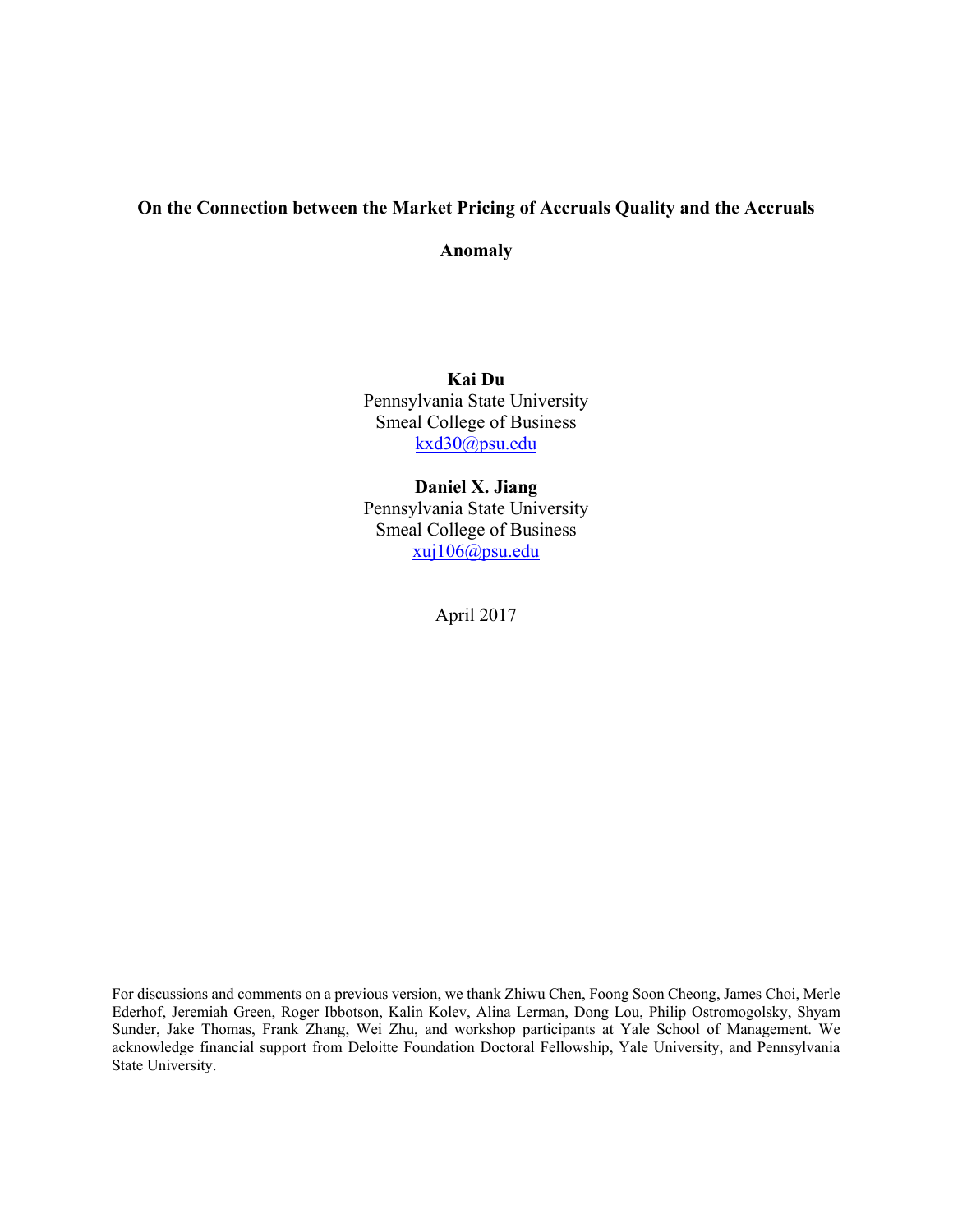# **On the Connection between the Market Pricing of Accruals Quality and the Accruals**

**Anomaly** 

**Kai Du**  Pennsylvania State University Smeal College of Business kxd30@psu.edu

**Daniel X. Jiang**  Pennsylvania State University Smeal College of Business xuj106@psu.edu

April 2017

For discussions and comments on a previous version, we thank Zhiwu Chen, Foong Soon Cheong, James Choi, Merle Ederhof, Jeremiah Green, Roger Ibbotson, Kalin Kolev, Alina Lerman, Dong Lou, Philip Ostromogolsky, Shyam Sunder, Jake Thomas, Frank Zhang, Wei Zhu, and workshop participants at Yale School of Management. We acknowledge financial support from Deloitte Foundation Doctoral Fellowship, Yale University, and Pennsylvania State University.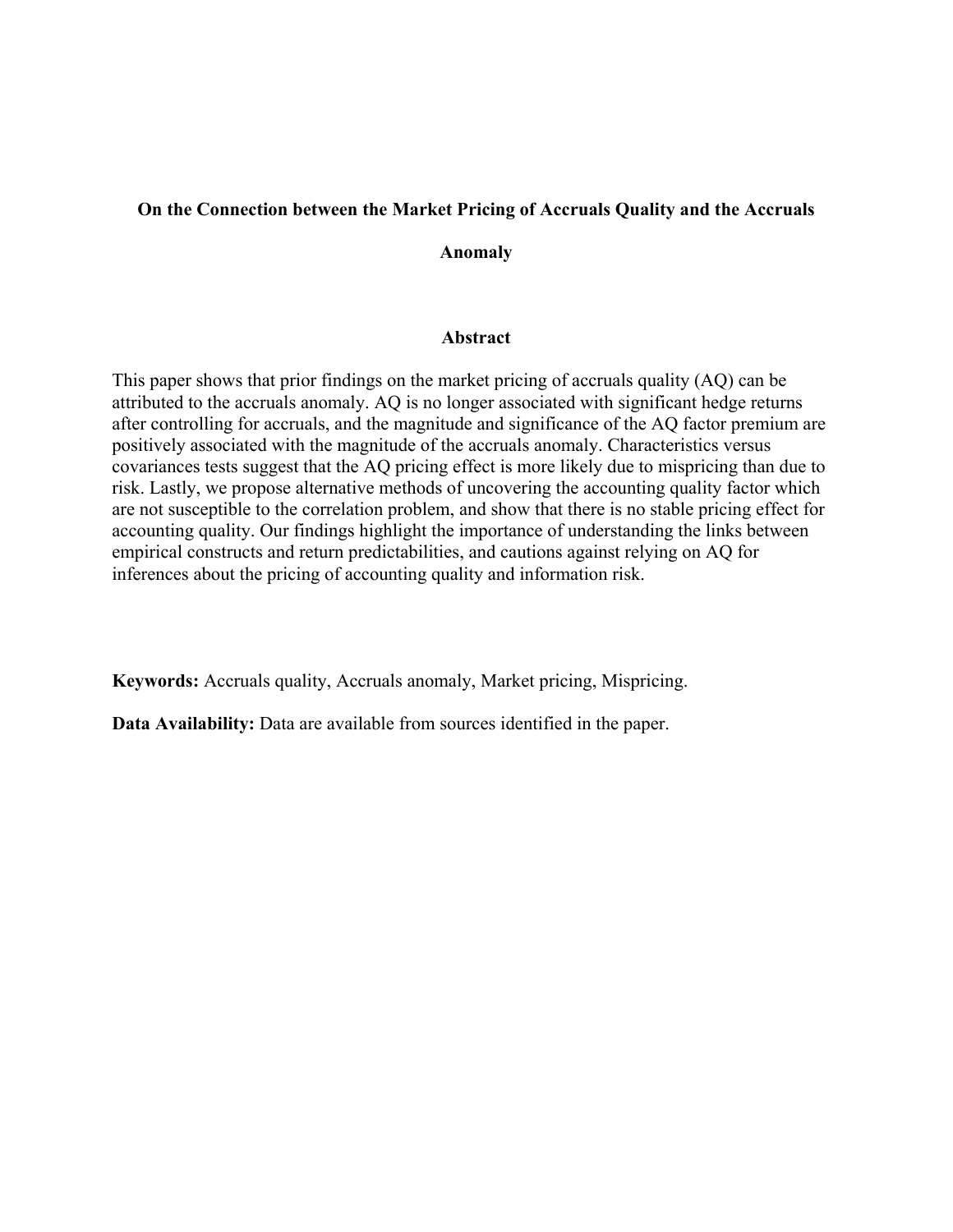# **On the Connection between the Market Pricing of Accruals Quality and the Accruals**

**Anomaly** 

# **Abstract**

This paper shows that prior findings on the market pricing of accruals quality (AQ) can be attributed to the accruals anomaly. AQ is no longer associated with significant hedge returns after controlling for accruals, and the magnitude and significance of the AQ factor premium are positively associated with the magnitude of the accruals anomaly. Characteristics versus covariances tests suggest that the AQ pricing effect is more likely due to mispricing than due to risk. Lastly, we propose alternative methods of uncovering the accounting quality factor which are not susceptible to the correlation problem, and show that there is no stable pricing effect for accounting quality. Our findings highlight the importance of understanding the links between empirical constructs and return predictabilities, and cautions against relying on AQ for inferences about the pricing of accounting quality and information risk.

**Keywords:** Accruals quality, Accruals anomaly, Market pricing, Mispricing.

**Data Availability:** Data are available from sources identified in the paper.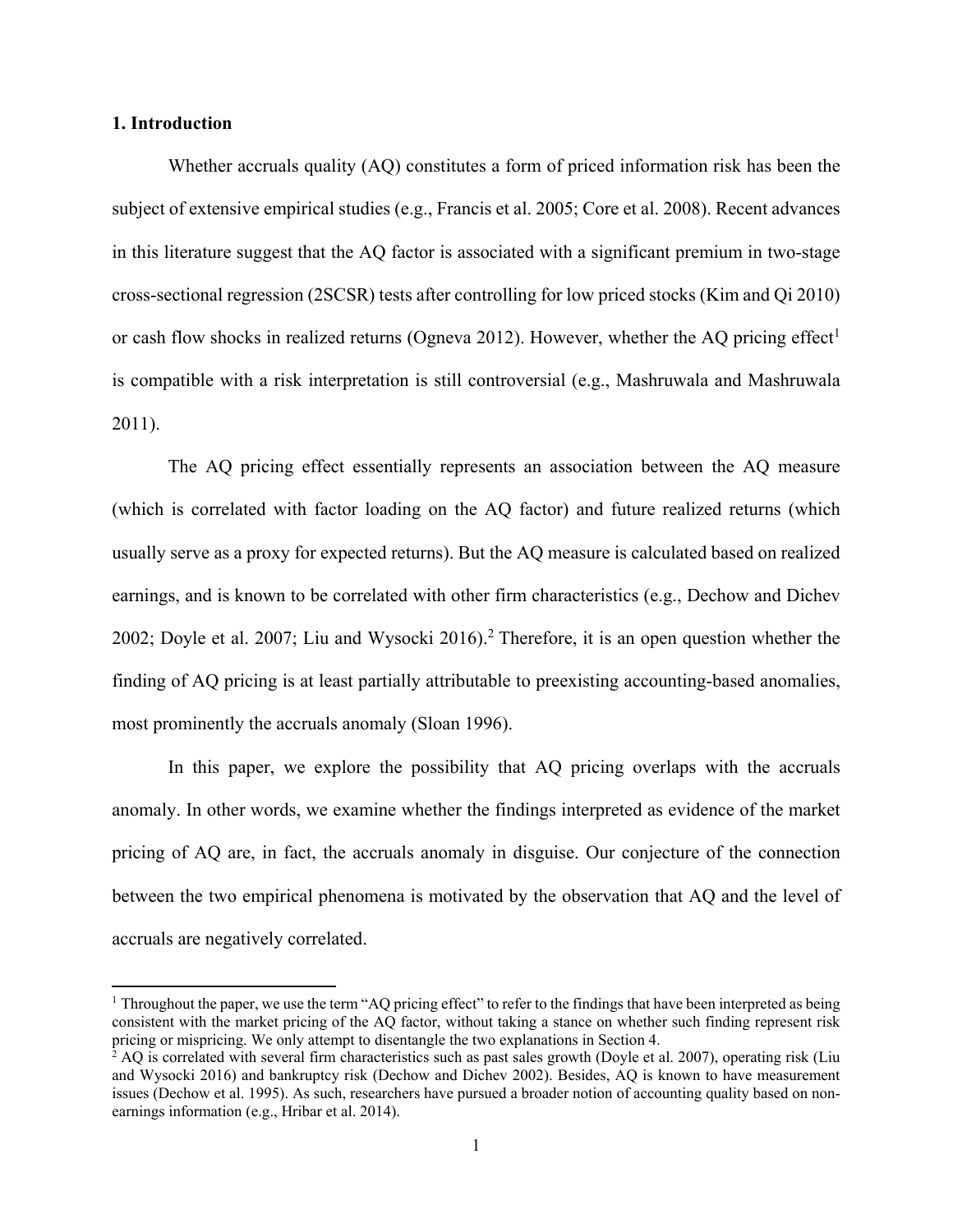## **1. Introduction**

 

Whether accruals quality (AQ) constitutes a form of priced information risk has been the subject of extensive empirical studies (e.g., Francis et al. 2005; Core et al. 2008). Recent advances in this literature suggest that the AQ factor is associated with a significant premium in two-stage cross-sectional regression (2SCSR) tests after controlling for low priced stocks (Kim and Qi 2010) or cash flow shocks in realized returns (Ogneva 2012). However, whether the AQ pricing effect<sup>1</sup> is compatible with a risk interpretation is still controversial (e.g., Mashruwala and Mashruwala 2011).

The AQ pricing effect essentially represents an association between the AQ measure (which is correlated with factor loading on the AQ factor) and future realized returns (which usually serve as a proxy for expected returns). But the AQ measure is calculated based on realized earnings, and is known to be correlated with other firm characteristics (e.g., Dechow and Dichev 2002; Doyle et al. 2007; Liu and Wysocki 2016).<sup>2</sup> Therefore, it is an open question whether the finding of AQ pricing is at least partially attributable to preexisting accounting-based anomalies, most prominently the accruals anomaly (Sloan 1996).

In this paper, we explore the possibility that AQ pricing overlaps with the accruals anomaly. In other words, we examine whether the findings interpreted as evidence of the market pricing of AQ are, in fact, the accruals anomaly in disguise. Our conjecture of the connection between the two empirical phenomena is motivated by the observation that AQ and the level of accruals are negatively correlated.

<sup>&</sup>lt;sup>1</sup> Throughout the paper, we use the term "AQ pricing effect" to refer to the findings that have been interpreted as being consistent with the market pricing of the AQ factor, without taking a stance on whether such finding represent risk pricing or mispricing. We only attempt to disentangle the two explanations in Section 4.

<sup>&</sup>lt;sup>2</sup> AQ is correlated with several firm characteristics such as past sales growth (Doyle et al. 2007), operating risk (Liu and Wysocki 2016) and bankruptcy risk (Dechow and Dichev 2002). Besides, AQ is known to have measurement issues (Dechow et al. 1995). As such, researchers have pursued a broader notion of accounting quality based on nonearnings information (e.g., Hribar et al. 2014).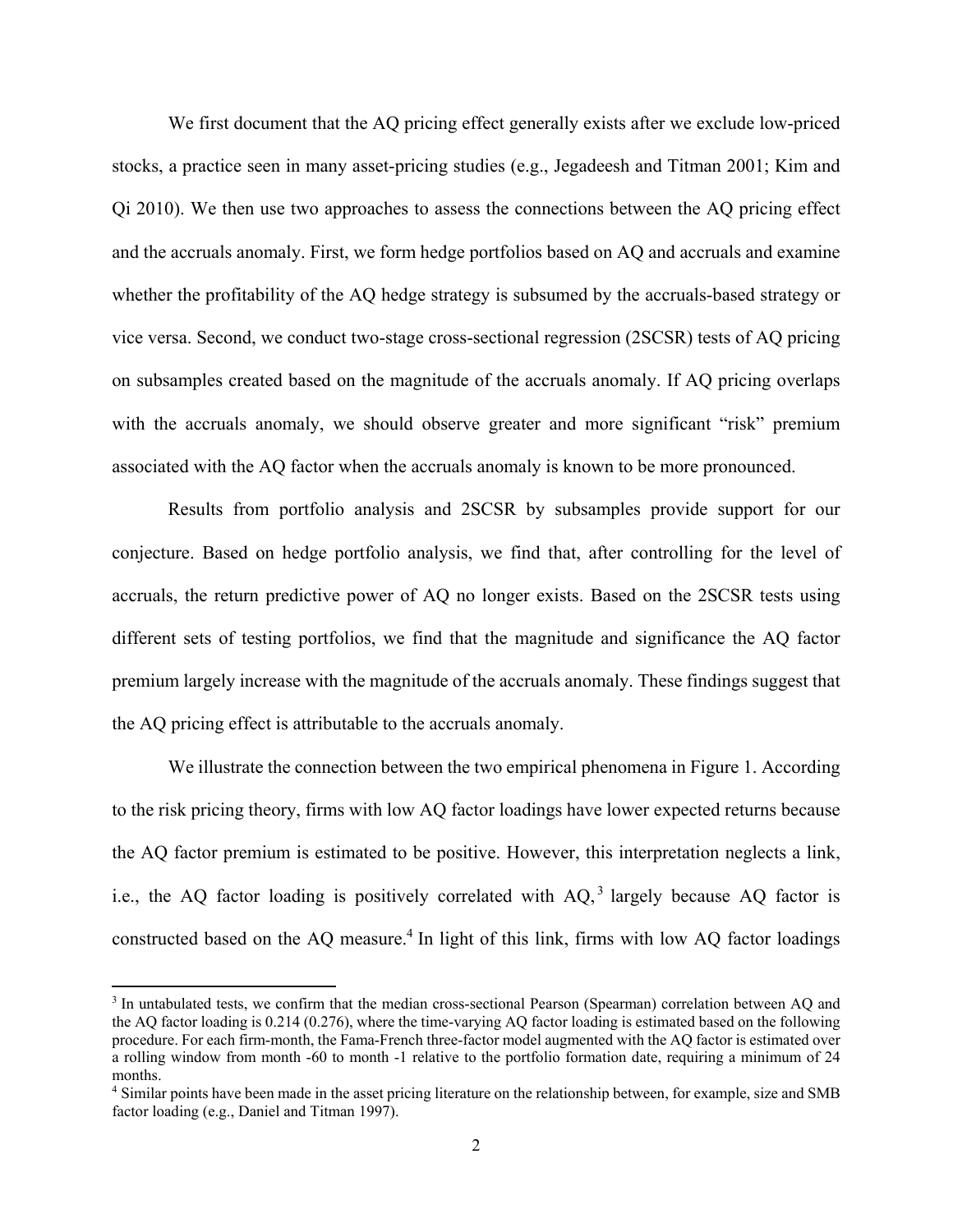We first document that the AQ pricing effect generally exists after we exclude low-priced stocks, a practice seen in many asset-pricing studies (e.g., Jegadeesh and Titman 2001; Kim and Qi 2010). We then use two approaches to assess the connections between the AQ pricing effect and the accruals anomaly. First, we form hedge portfolios based on AQ and accruals and examine whether the profitability of the AQ hedge strategy is subsumed by the accruals-based strategy or vice versa. Second, we conduct two-stage cross-sectional regression (2SCSR) tests of AQ pricing on subsamples created based on the magnitude of the accruals anomaly. If AQ pricing overlaps with the accruals anomaly, we should observe greater and more significant "risk" premium associated with the AQ factor when the accruals anomaly is known to be more pronounced.

Results from portfolio analysis and 2SCSR by subsamples provide support for our conjecture. Based on hedge portfolio analysis, we find that, after controlling for the level of accruals, the return predictive power of AQ no longer exists. Based on the 2SCSR tests using different sets of testing portfolios, we find that the magnitude and significance the AQ factor premium largely increase with the magnitude of the accruals anomaly. These findings suggest that the AQ pricing effect is attributable to the accruals anomaly.

We illustrate the connection between the two empirical phenomena in Figure 1. According to the risk pricing theory, firms with low AQ factor loadings have lower expected returns because the AQ factor premium is estimated to be positive. However, this interpretation neglects a link, i.e., the AQ factor loading is positively correlated with  $AQ<sub>l</sub><sup>3</sup>$  largely because AQ factor is constructed based on the AQ measure.<sup>4</sup> In light of this link, firms with low AQ factor loadings

<sup>&</sup>lt;sup>3</sup> In untabulated tests, we confirm that the median cross-sectional Pearson (Spearman) correlation between AQ and the AQ factor loading is 0.214 (0.276), where the time-varying AQ factor loading is estimated based on the following procedure. For each firm-month, the Fama-French three-factor model augmented with the AQ factor is estimated over a rolling window from month -60 to month -1 relative to the portfolio formation date, requiring a minimum of 24 months.

<sup>4</sup> Similar points have been made in the asset pricing literature on the relationship between, for example, size and SMB factor loading (e.g., Daniel and Titman 1997).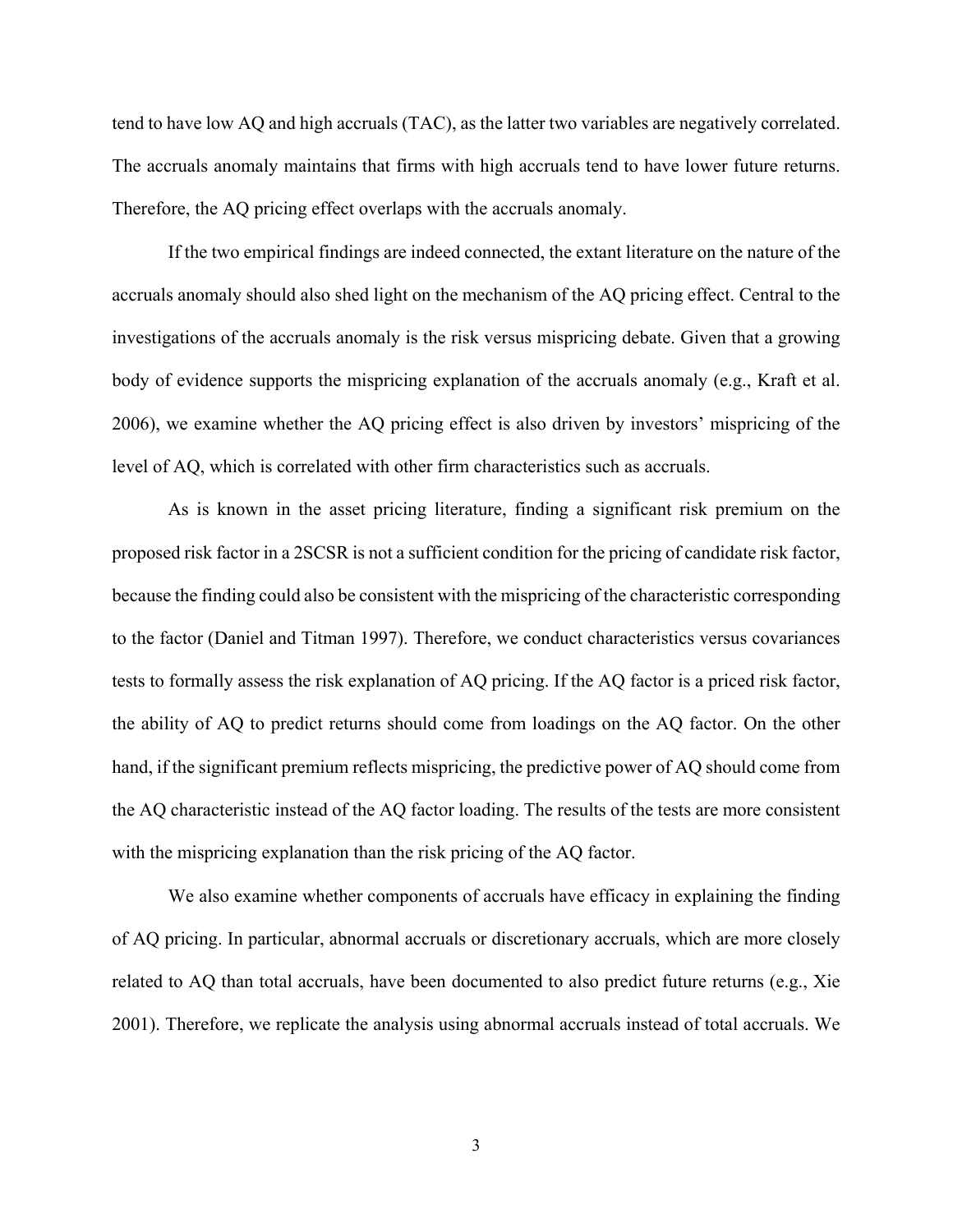tend to have low AQ and high accruals (TAC), as the latter two variables are negatively correlated. The accruals anomaly maintains that firms with high accruals tend to have lower future returns. Therefore, the AQ pricing effect overlaps with the accruals anomaly.

If the two empirical findings are indeed connected, the extant literature on the nature of the accruals anomaly should also shed light on the mechanism of the AQ pricing effect. Central to the investigations of the accruals anomaly is the risk versus mispricing debate. Given that a growing body of evidence supports the mispricing explanation of the accruals anomaly (e.g., Kraft et al. 2006), we examine whether the AQ pricing effect is also driven by investors' mispricing of the level of AQ, which is correlated with other firm characteristics such as accruals.

As is known in the asset pricing literature, finding a significant risk premium on the proposed risk factor in a 2SCSR is not a sufficient condition for the pricing of candidate risk factor, because the finding could also be consistent with the mispricing of the characteristic corresponding to the factor (Daniel and Titman 1997). Therefore, we conduct characteristics versus covariances tests to formally assess the risk explanation of AQ pricing. If the AQ factor is a priced risk factor, the ability of AQ to predict returns should come from loadings on the AQ factor. On the other hand, if the significant premium reflects mispricing, the predictive power of AQ should come from the AQ characteristic instead of the AQ factor loading. The results of the tests are more consistent with the mispricing explanation than the risk pricing of the AQ factor.

We also examine whether components of accruals have efficacy in explaining the finding of AQ pricing. In particular, abnormal accruals or discretionary accruals, which are more closely related to AQ than total accruals, have been documented to also predict future returns (e.g., Xie 2001). Therefore, we replicate the analysis using abnormal accruals instead of total accruals. We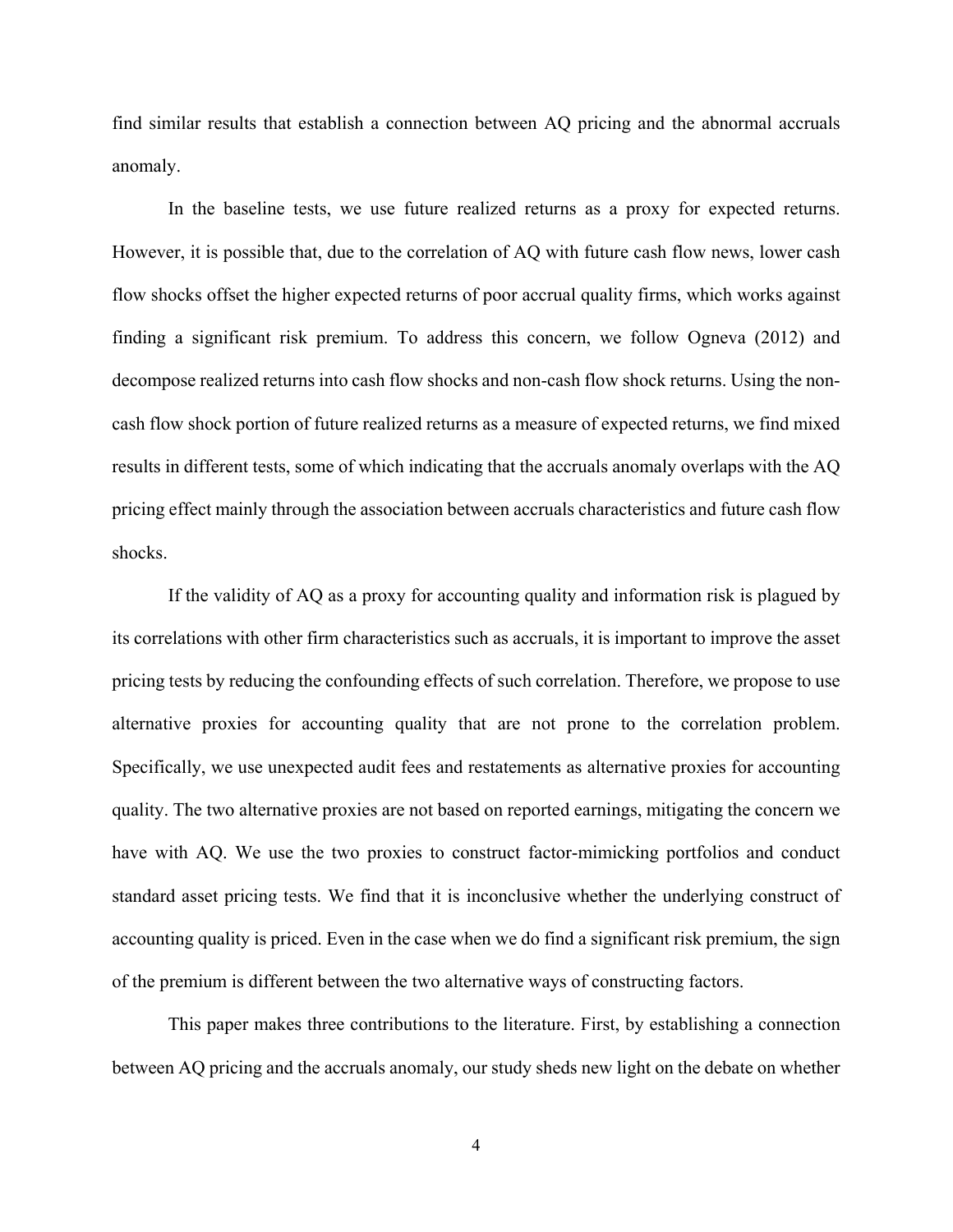find similar results that establish a connection between AQ pricing and the abnormal accruals anomaly.

In the baseline tests, we use future realized returns as a proxy for expected returns. However, it is possible that, due to the correlation of AQ with future cash flow news, lower cash flow shocks offset the higher expected returns of poor accrual quality firms, which works against finding a significant risk premium. To address this concern, we follow Ogneva (2012) and decompose realized returns into cash flow shocks and non-cash flow shock returns. Using the noncash flow shock portion of future realized returns as a measure of expected returns, we find mixed results in different tests, some of which indicating that the accruals anomaly overlaps with the AQ pricing effect mainly through the association between accruals characteristics and future cash flow shocks.

If the validity of AQ as a proxy for accounting quality and information risk is plagued by its correlations with other firm characteristics such as accruals, it is important to improve the asset pricing tests by reducing the confounding effects of such correlation. Therefore, we propose to use alternative proxies for accounting quality that are not prone to the correlation problem. Specifically, we use unexpected audit fees and restatements as alternative proxies for accounting quality. The two alternative proxies are not based on reported earnings, mitigating the concern we have with AQ. We use the two proxies to construct factor-mimicking portfolios and conduct standard asset pricing tests. We find that it is inconclusive whether the underlying construct of accounting quality is priced. Even in the case when we do find a significant risk premium, the sign of the premium is different between the two alternative ways of constructing factors.

This paper makes three contributions to the literature. First, by establishing a connection between AQ pricing and the accruals anomaly, our study sheds new light on the debate on whether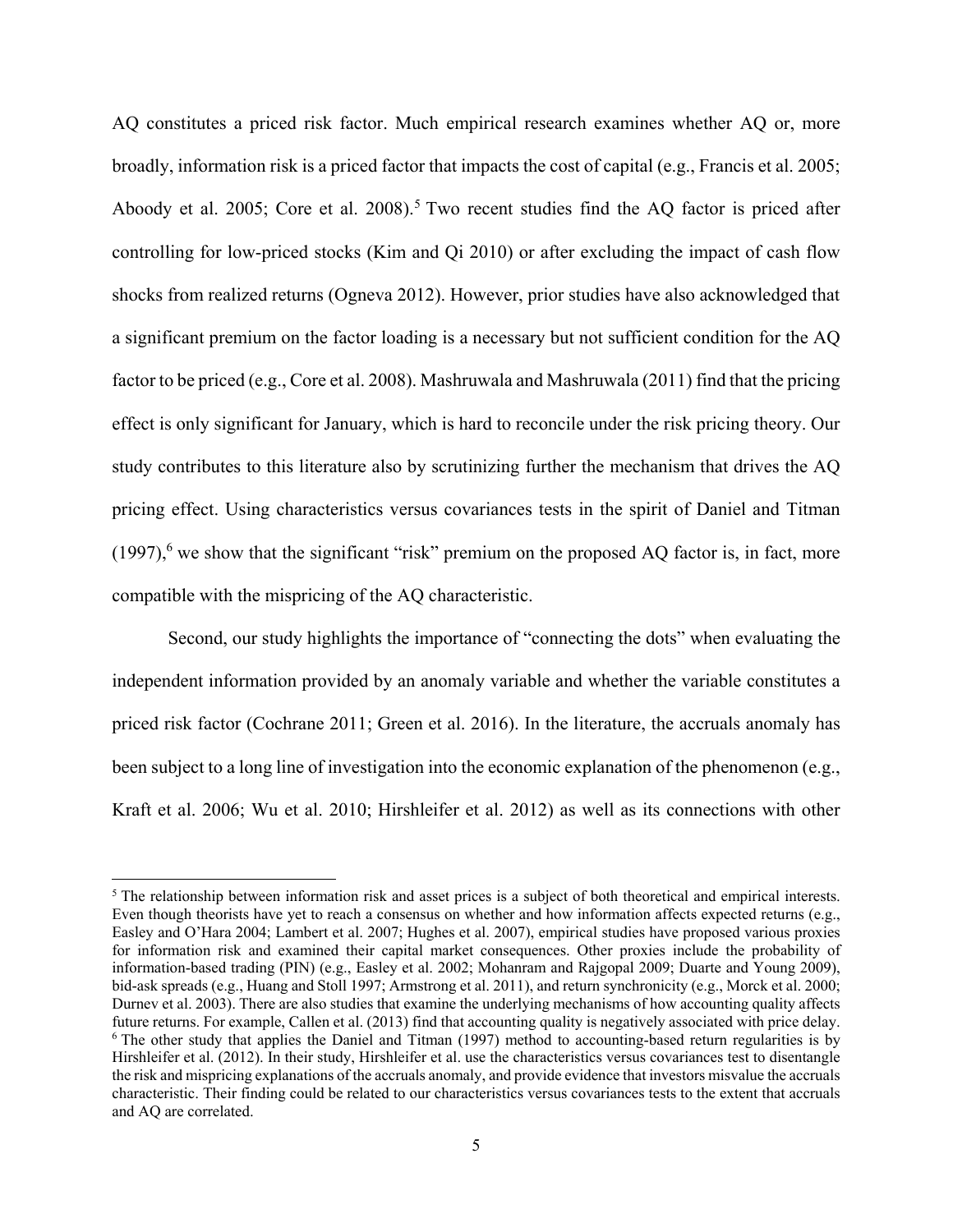AQ constitutes a priced risk factor. Much empirical research examines whether AQ or, more broadly, information risk is a priced factor that impacts the cost of capital (e.g., Francis et al. 2005; Aboody et al. 2005; Core et al. 2008).<sup>5</sup> Two recent studies find the AQ factor is priced after controlling for low-priced stocks (Kim and Qi 2010) or after excluding the impact of cash flow shocks from realized returns (Ogneva 2012). However, prior studies have also acknowledged that a significant premium on the factor loading is a necessary but not sufficient condition for the AQ factor to be priced (e.g., Core et al. 2008). Mashruwala and Mashruwala (2011) find that the pricing effect is only significant for January, which is hard to reconcile under the risk pricing theory. Our study contributes to this literature also by scrutinizing further the mechanism that drives the AQ pricing effect. Using characteristics versus covariances tests in the spirit of Daniel and Titman  $(1997)$ <sup>6</sup>, we show that the significant "risk" premium on the proposed AQ factor is, in fact, more compatible with the mispricing of the AQ characteristic.

Second, our study highlights the importance of "connecting the dots" when evaluating the independent information provided by an anomaly variable and whether the variable constitutes a priced risk factor (Cochrane 2011; Green et al. 2016). In the literature, the accruals anomaly has been subject to a long line of investigation into the economic explanation of the phenomenon (e.g., Kraft et al. 2006; Wu et al. 2010; Hirshleifer et al. 2012) as well as its connections with other

<sup>&</sup>lt;sup>5</sup> The relationship between information risk and asset prices is a subject of both theoretical and empirical interests. Even though theorists have yet to reach a consensus on whether and how information affects expected returns (e.g., Easley and O'Hara 2004; Lambert et al. 2007; Hughes et al. 2007), empirical studies have proposed various proxies for information risk and examined their capital market consequences. Other proxies include the probability of information-based trading (PIN) (e.g., Easley et al. 2002; Mohanram and Rajgopal 2009; Duarte and Young 2009), bid-ask spreads (e.g., Huang and Stoll 1997; Armstrong et al. 2011), and return synchronicity (e.g., Morck et al. 2000; Durnev et al. 2003). There are also studies that examine the underlying mechanisms of how accounting quality affects future returns. For example, Callen et al. (2013) find that accounting quality is negatively associated with price delay. 6 <sup>6</sup> The other study that applies the Daniel and Titman (1997) method to accounting-based return regularities is by Hirshleifer et al. (2012). In their study, Hirshleifer et al. use the characteristics versus covariances test to disentangle the risk and mispricing explanations of the accruals anomaly, and provide evidence that investors misvalue the accruals characteristic. Their finding could be related to our characteristics versus covariances tests to the extent that accruals and AQ are correlated.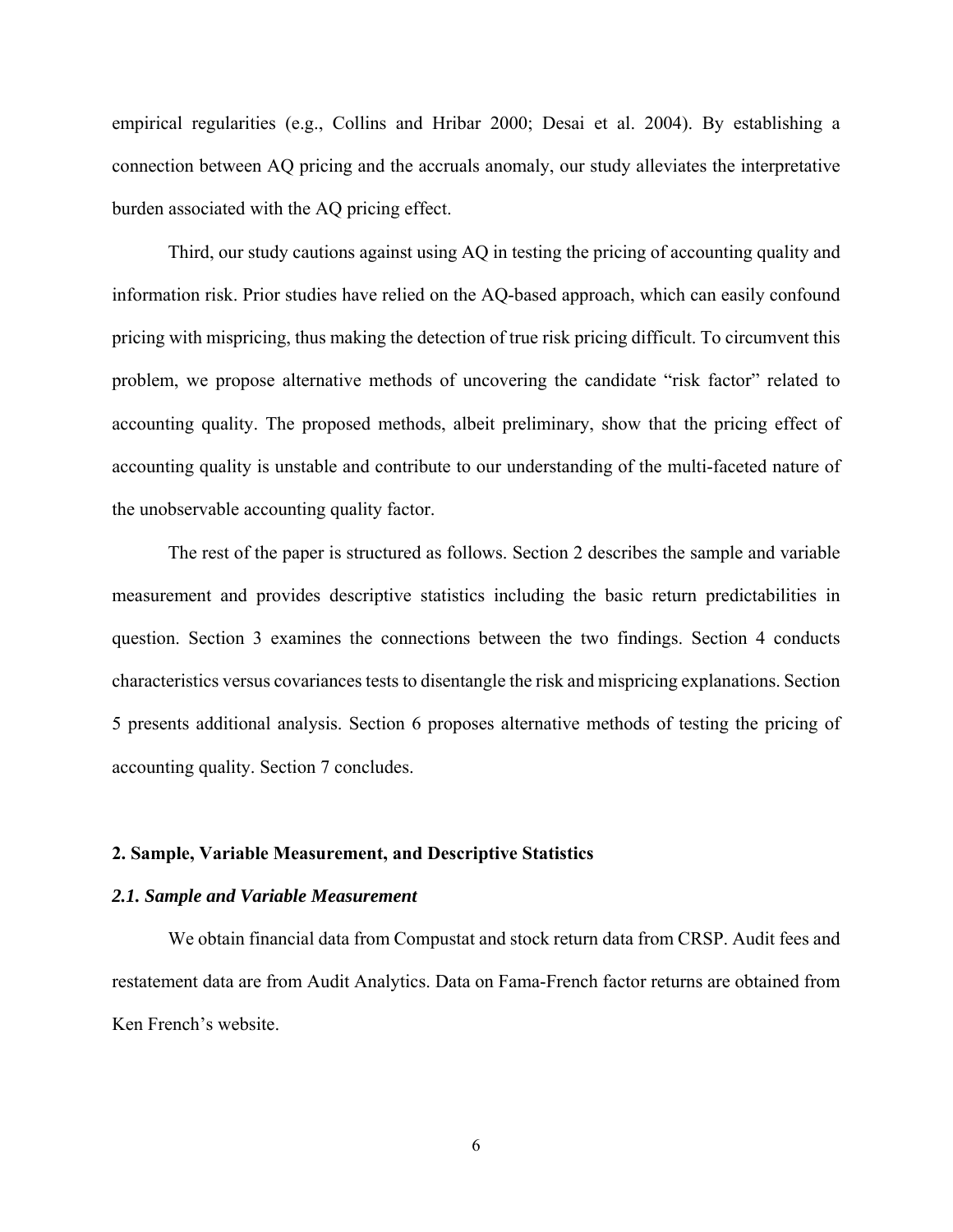empirical regularities (e.g., Collins and Hribar 2000; Desai et al. 2004). By establishing a connection between AQ pricing and the accruals anomaly, our study alleviates the interpretative burden associated with the AQ pricing effect.

Third, our study cautions against using AQ in testing the pricing of accounting quality and information risk. Prior studies have relied on the AQ-based approach, which can easily confound pricing with mispricing, thus making the detection of true risk pricing difficult. To circumvent this problem, we propose alternative methods of uncovering the candidate "risk factor" related to accounting quality. The proposed methods, albeit preliminary, show that the pricing effect of accounting quality is unstable and contribute to our understanding of the multi-faceted nature of the unobservable accounting quality factor.

The rest of the paper is structured as follows. Section 2 describes the sample and variable measurement and provides descriptive statistics including the basic return predictabilities in question. Section 3 examines the connections between the two findings. Section 4 conducts characteristics versus covariances tests to disentangle the risk and mispricing explanations. Section 5 presents additional analysis. Section 6 proposes alternative methods of testing the pricing of accounting quality. Section 7 concludes.

### **2. Sample, Variable Measurement, and Descriptive Statistics**

## *2.1. Sample and Variable Measurement*

We obtain financial data from Compustat and stock return data from CRSP. Audit fees and restatement data are from Audit Analytics. Data on Fama-French factor returns are obtained from Ken French's website.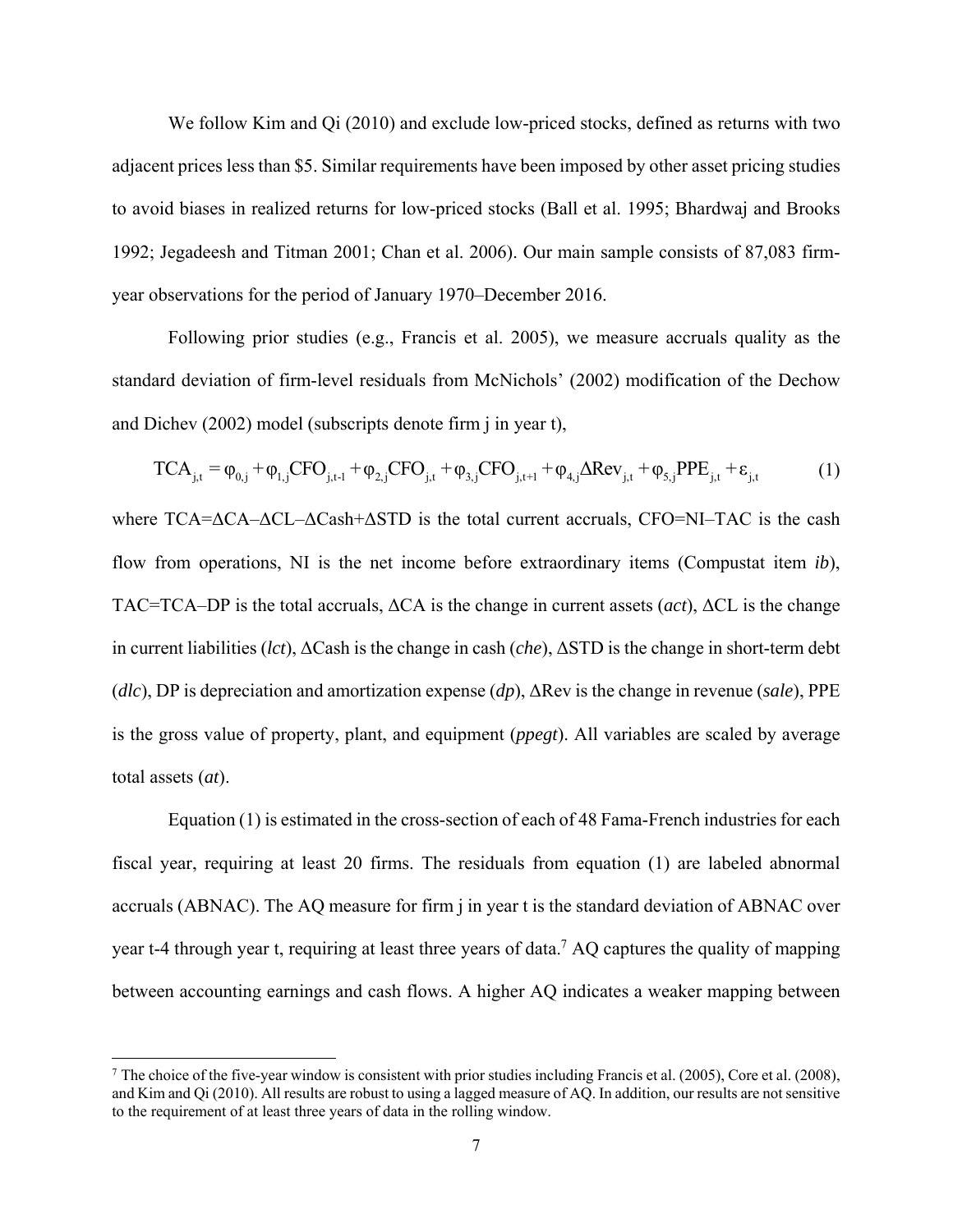We follow Kim and Qi (2010) and exclude low-priced stocks, defined as returns with two adjacent prices less than \$5. Similar requirements have been imposed by other asset pricing studies to avoid biases in realized returns for low-priced stocks (Ball et al. 1995; Bhardwaj and Brooks 1992; Jegadeesh and Titman 2001; Chan et al. 2006). Our main sample consists of 87,083 firmyear observations for the period of January 1970–December 2016.

Following prior studies (e.g., Francis et al. 2005), we measure accruals quality as the standard deviation of firm-level residuals from McNichols' (2002) modification of the Dechow and Dichev (2002) model (subscripts denote firm j in year t),

$$
TCA_{j,t} = \varphi_{0,j} + \varphi_{1,j} CFO_{j,t-1} + \varphi_{2,j} CFO_{j,t} + \varphi_{3,j} CFO_{j,t+1} + \varphi_{4,j} \Delta Rev_{j,t} + \varphi_{5,j} PPE_{j,t} + \varepsilon_{j,t}
$$
(1)

where TCA=ΔCA-ΔCL-ΔCash+ΔSTD is the total current accruals, CFO=NI-TAC is the cash flow from operations, NI is the net income before extraordinary items (Compustat item *ib*), TAC=TCA–DP is the total accruals, ΔCA is the change in current assets (*act*), ΔCL is the change in current liabilities (*lct*), ΔCash is the change in cash (*che*), ΔSTD is the change in short-term debt (*dlc*), DP is depreciation and amortization expense (*dp*), ΔRev is the change in revenue (*sale*), PPE is the gross value of property, plant, and equipment (*ppegt*). All variables are scaled by average total assets (*at*).

Equation (1) is estimated in the cross-section of each of 48 Fama-French industries for each fiscal year, requiring at least 20 firms. The residuals from equation (1) are labeled abnormal accruals (ABNAC). The AQ measure for firm j in year t is the standard deviation of ABNAC over year t-4 through year t, requiring at least three years of data.<sup>7</sup> AQ captures the quality of mapping between accounting earnings and cash flows. A higher AQ indicates a weaker mapping between

<sup>&</sup>lt;sup>7</sup> The choice of the five-year window is consistent with prior studies including Francis et al. (2005), Core et al. (2008), and Kim and Qi (2010). All results are robust to using a lagged measure of AQ. In addition, our results are not sensitive to the requirement of at least three years of data in the rolling window.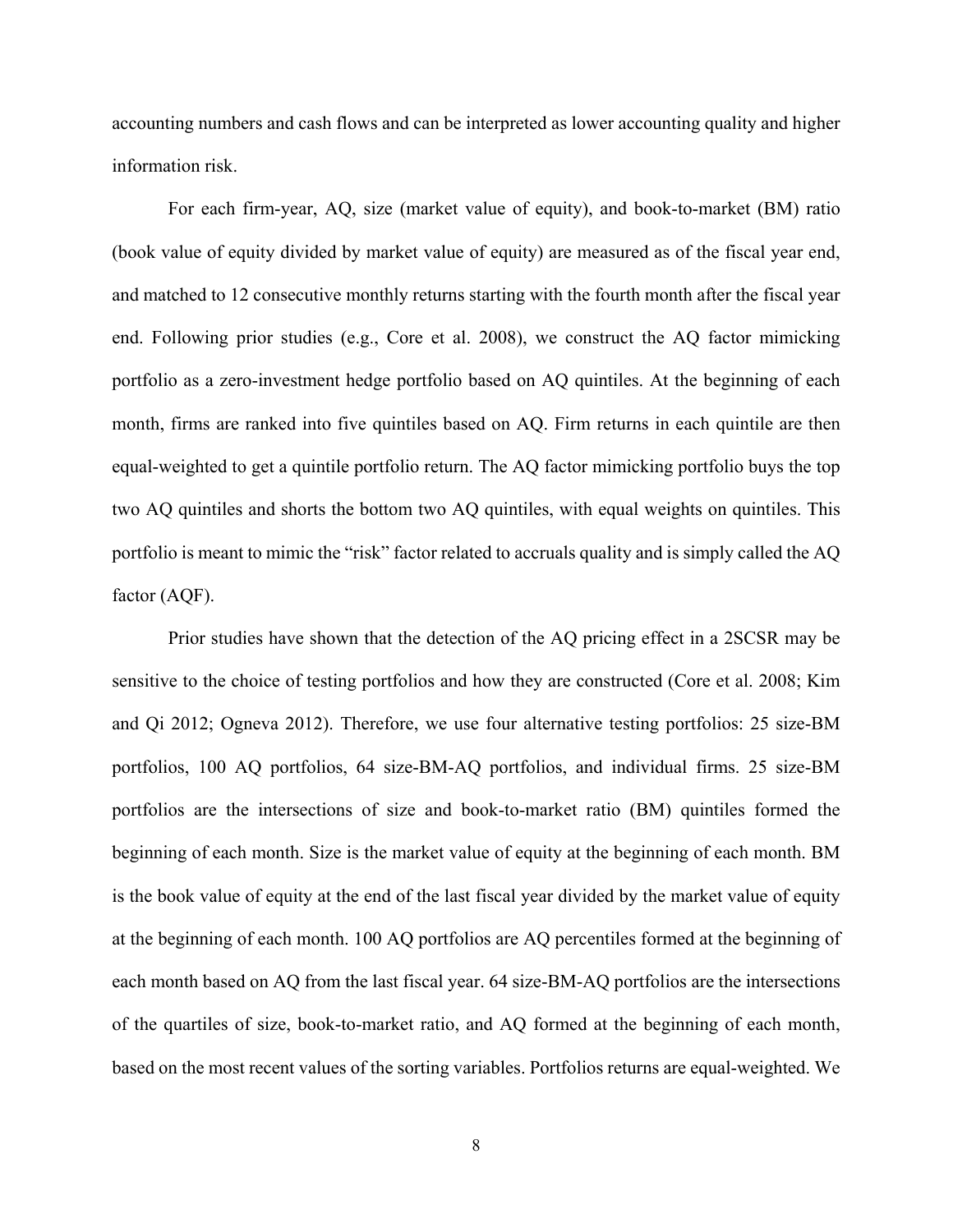accounting numbers and cash flows and can be interpreted as lower accounting quality and higher information risk.

For each firm-year, AQ, size (market value of equity), and book-to-market (BM) ratio (book value of equity divided by market value of equity) are measured as of the fiscal year end, and matched to 12 consecutive monthly returns starting with the fourth month after the fiscal year end. Following prior studies (e.g., Core et al. 2008), we construct the AQ factor mimicking portfolio as a zero-investment hedge portfolio based on AQ quintiles. At the beginning of each month, firms are ranked into five quintiles based on AQ. Firm returns in each quintile are then equal-weighted to get a quintile portfolio return. The AQ factor mimicking portfolio buys the top two AQ quintiles and shorts the bottom two AQ quintiles, with equal weights on quintiles. This portfolio is meant to mimic the "risk" factor related to accruals quality and is simply called the AQ factor (AQF).

Prior studies have shown that the detection of the AQ pricing effect in a 2SCSR may be sensitive to the choice of testing portfolios and how they are constructed (Core et al. 2008; Kim and Qi 2012; Ogneva 2012). Therefore, we use four alternative testing portfolios: 25 size-BM portfolios, 100 AQ portfolios, 64 size-BM-AQ portfolios, and individual firms. 25 size-BM portfolios are the intersections of size and book-to-market ratio (BM) quintiles formed the beginning of each month. Size is the market value of equity at the beginning of each month. BM is the book value of equity at the end of the last fiscal year divided by the market value of equity at the beginning of each month. 100 AQ portfolios are AQ percentiles formed at the beginning of each month based on AQ from the last fiscal year. 64 size-BM-AQ portfolios are the intersections of the quartiles of size, book-to-market ratio, and AQ formed at the beginning of each month, based on the most recent values of the sorting variables. Portfolios returns are equal-weighted. We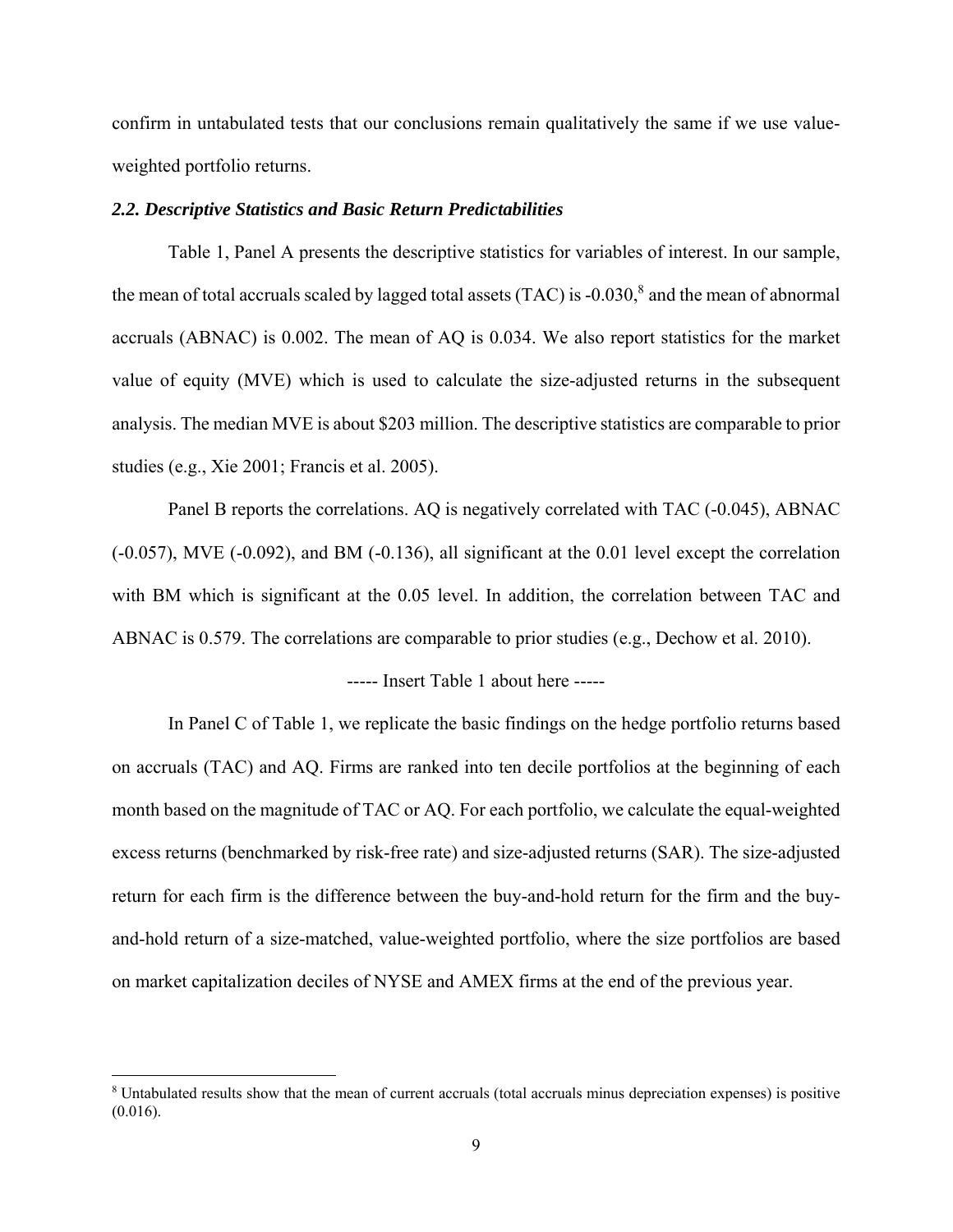confirm in untabulated tests that our conclusions remain qualitatively the same if we use valueweighted portfolio returns.

## *2.2. Descriptive Statistics and Basic Return Predictabilities*

Table 1, Panel A presents the descriptive statistics for variables of interest. In our sample, the mean of total accruals scaled by lagged total assets  $(TAC)$  is -0.030, $8$  and the mean of abnormal accruals (ABNAC) is 0.002. The mean of AQ is 0.034. We also report statistics for the market value of equity (MVE) which is used to calculate the size-adjusted returns in the subsequent analysis. The median MVE is about \$203 million. The descriptive statistics are comparable to prior studies (e.g., Xie 2001; Francis et al. 2005).

Panel B reports the correlations. AQ is negatively correlated with TAC (-0.045), ABNAC (-0.057), MVE (-0.092), and BM (-0.136), all significant at the 0.01 level except the correlation with BM which is significant at the 0.05 level. In addition, the correlation between TAC and ABNAC is 0.579. The correlations are comparable to prior studies (e.g., Dechow et al. 2010).

----- Insert Table 1 about here -----

In Panel C of Table 1, we replicate the basic findings on the hedge portfolio returns based on accruals (TAC) and AQ. Firms are ranked into ten decile portfolios at the beginning of each month based on the magnitude of TAC or AQ. For each portfolio, we calculate the equal-weighted excess returns (benchmarked by risk-free rate) and size-adjusted returns (SAR). The size-adjusted return for each firm is the difference between the buy-and-hold return for the firm and the buyand-hold return of a size-matched, value-weighted portfolio, where the size portfolios are based on market capitalization deciles of NYSE and AMEX firms at the end of the previous year.

<sup>&</sup>lt;sup>8</sup> Untabulated results show that the mean of current accruals (total accruals minus depreciation expenses) is positive  $(0.016).$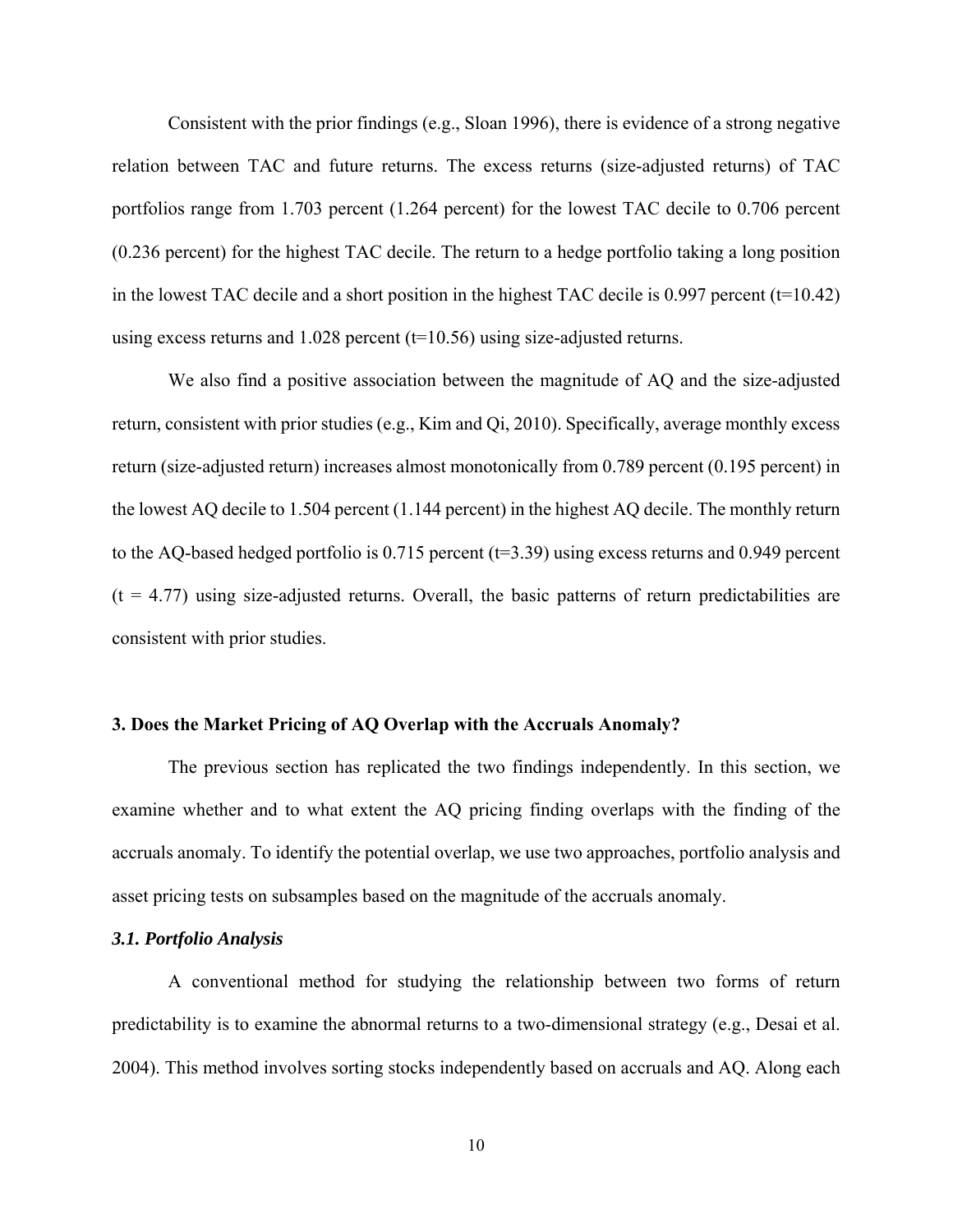Consistent with the prior findings (e.g., Sloan 1996), there is evidence of a strong negative relation between TAC and future returns. The excess returns (size-adjusted returns) of TAC portfolios range from 1.703 percent (1.264 percent) for the lowest TAC decile to 0.706 percent (0.236 percent) for the highest TAC decile. The return to a hedge portfolio taking a long position in the lowest TAC decile and a short position in the highest TAC decile is 0.997 percent  $(t=10.42)$ using excess returns and  $1.028$  percent ( $t=10.56$ ) using size-adjusted returns.

We also find a positive association between the magnitude of AQ and the size-adjusted return, consistent with prior studies (e.g., Kim and Qi, 2010). Specifically, average monthly excess return (size-adjusted return) increases almost monotonically from 0.789 percent (0.195 percent) in the lowest AQ decile to 1.504 percent (1.144 percent) in the highest AQ decile. The monthly return to the AQ-based hedged portfolio is 0.715 percent (t=3.39) using excess returns and 0.949 percent  $(t = 4.77)$  using size-adjusted returns. Overall, the basic patterns of return predictabilities are consistent with prior studies.

## **3. Does the Market Pricing of AQ Overlap with the Accruals Anomaly?**

The previous section has replicated the two findings independently. In this section, we examine whether and to what extent the AQ pricing finding overlaps with the finding of the accruals anomaly. To identify the potential overlap, we use two approaches, portfolio analysis and asset pricing tests on subsamples based on the magnitude of the accruals anomaly.

## *3.1. Portfolio Analysis*

A conventional method for studying the relationship between two forms of return predictability is to examine the abnormal returns to a two-dimensional strategy (e.g., Desai et al. 2004). This method involves sorting stocks independently based on accruals and AQ. Along each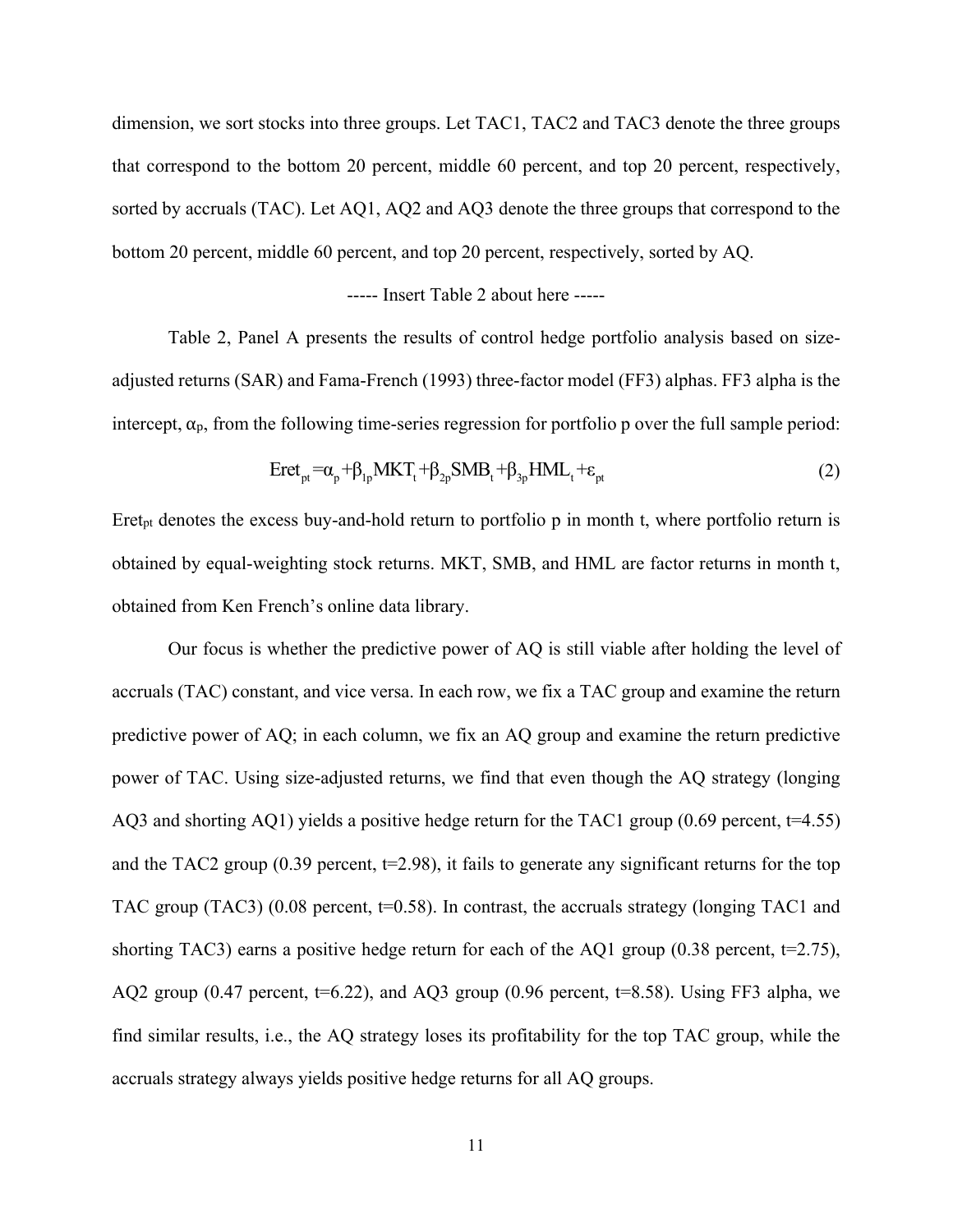dimension, we sort stocks into three groups. Let TAC1, TAC2 and TAC3 denote the three groups that correspond to the bottom 20 percent, middle 60 percent, and top 20 percent, respectively, sorted by accruals (TAC). Let AQ1, AQ2 and AQ3 denote the three groups that correspond to the bottom 20 percent, middle 60 percent, and top 20 percent, respectively, sorted by AQ.

# ----- Insert Table 2 about here -----

Table 2, Panel A presents the results of control hedge portfolio analysis based on sizeadjusted returns (SAR) and Fama-French (1993) three-factor model (FF3) alphas. FF3 alpha is the intercept,  $\alpha_p$ , from the following time-series regression for portfolio p over the full sample period:

$$
Eret_{pt} = \alpha_p + \beta_{lp} MKT_t + \beta_{2p} SMB_t + \beta_{3p} HML_t + \varepsilon_{pt}
$$
 (2)

Eret<sub>pt</sub> denotes the excess buy-and-hold return to portfolio p in month t, where portfolio return is obtained by equal-weighting stock returns. MKT, SMB, and HML are factor returns in month t, obtained from Ken French's online data library.

Our focus is whether the predictive power of AQ is still viable after holding the level of accruals (TAC) constant, and vice versa. In each row, we fix a TAC group and examine the return predictive power of AQ; in each column, we fix an AQ group and examine the return predictive power of TAC. Using size-adjusted returns, we find that even though the AQ strategy (longing AQ3 and shorting AQ1) yields a positive hedge return for the TAC1 group (0.69 percent, t=4.55) and the TAC2 group  $(0.39$  percent,  $t=2.98$ ), it fails to generate any significant returns for the top TAC group (TAC3) (0.08 percent,  $t=0.58$ ). In contrast, the accruals strategy (longing TAC1 and shorting TAC3) earns a positive hedge return for each of the AQ1 group (0.38 percent,  $t=2.75$ ), AQ2 group (0.47 percent,  $t=6.22$ ), and AQ3 group (0.96 percent,  $t=8.58$ ). Using FF3 alpha, we find similar results, i.e., the AQ strategy loses its profitability for the top TAC group, while the accruals strategy always yields positive hedge returns for all AQ groups.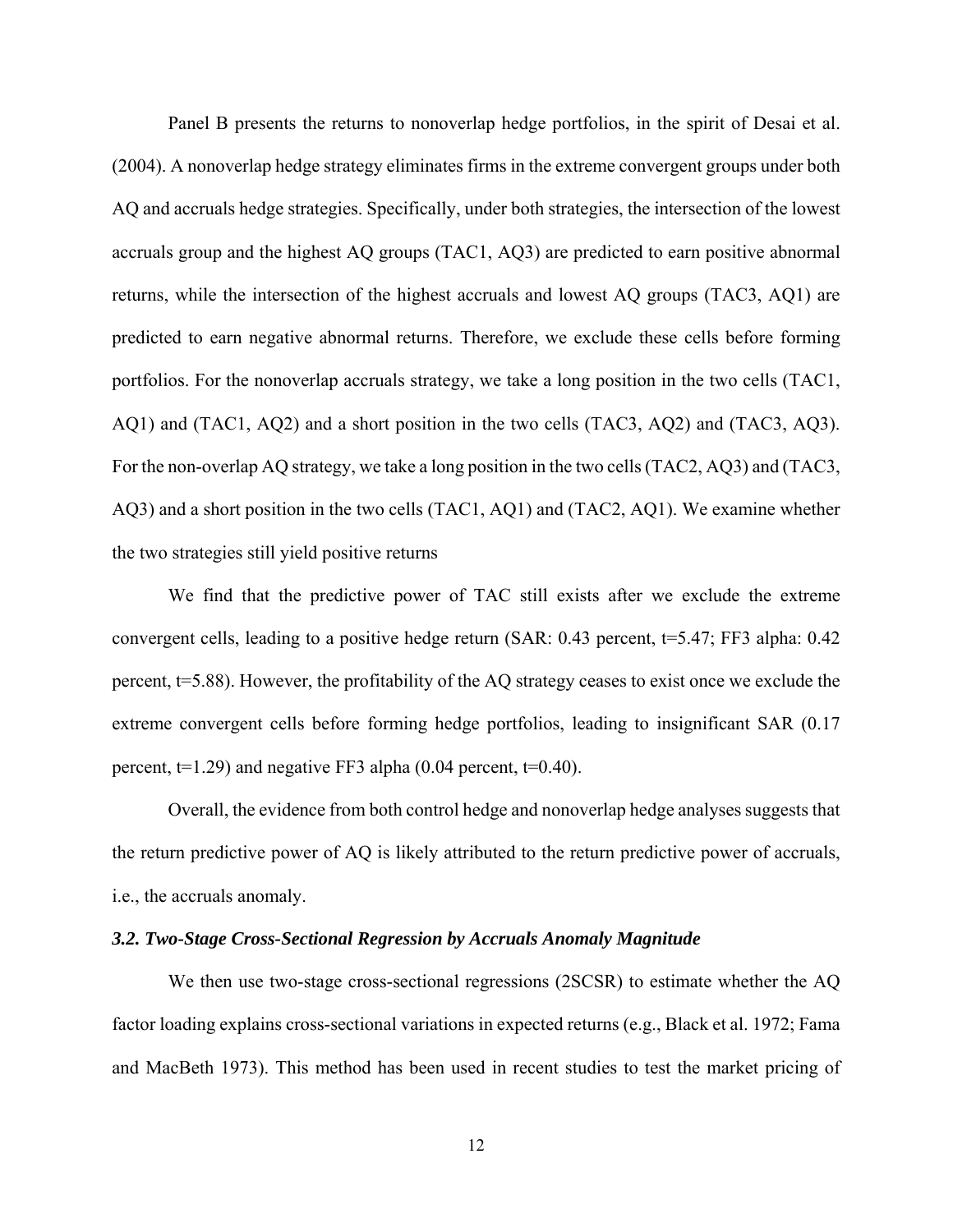Panel B presents the returns to nonoverlap hedge portfolios, in the spirit of Desai et al. (2004). A nonoverlap hedge strategy eliminates firms in the extreme convergent groups under both AQ and accruals hedge strategies. Specifically, under both strategies, the intersection of the lowest accruals group and the highest AQ groups (TAC1, AQ3) are predicted to earn positive abnormal returns, while the intersection of the highest accruals and lowest AQ groups (TAC3, AQ1) are predicted to earn negative abnormal returns. Therefore, we exclude these cells before forming portfolios. For the nonoverlap accruals strategy, we take a long position in the two cells (TAC1, AQ1) and (TAC1, AQ2) and a short position in the two cells (TAC3, AQ2) and (TAC3, AQ3). For the non-overlap AQ strategy, we take a long position in the two cells (TAC2, AQ3) and (TAC3, AQ3) and a short position in the two cells (TAC1, AQ1) and (TAC2, AQ1). We examine whether the two strategies still yield positive returns

We find that the predictive power of TAC still exists after we exclude the extreme convergent cells, leading to a positive hedge return (SAR: 0.43 percent, t=5.47; FF3 alpha: 0.42 percent,  $t=5.88$ ). However, the profitability of the AQ strategy ceases to exist once we exclude the extreme convergent cells before forming hedge portfolios, leading to insignificant SAR (0.17 percent,  $t=1.29$ ) and negative FF3 alpha (0.04 percent,  $t=0.40$ ).

Overall, the evidence from both control hedge and nonoverlap hedge analyses suggests that the return predictive power of AQ is likely attributed to the return predictive power of accruals, i.e., the accruals anomaly.

# *3.2. Two-Stage Cross-Sectional Regression by Accruals Anomaly Magnitude*

We then use two-stage cross-sectional regressions (2SCSR) to estimate whether the AQ factor loading explains cross-sectional variations in expected returns (e.g., Black et al. 1972; Fama and MacBeth 1973). This method has been used in recent studies to test the market pricing of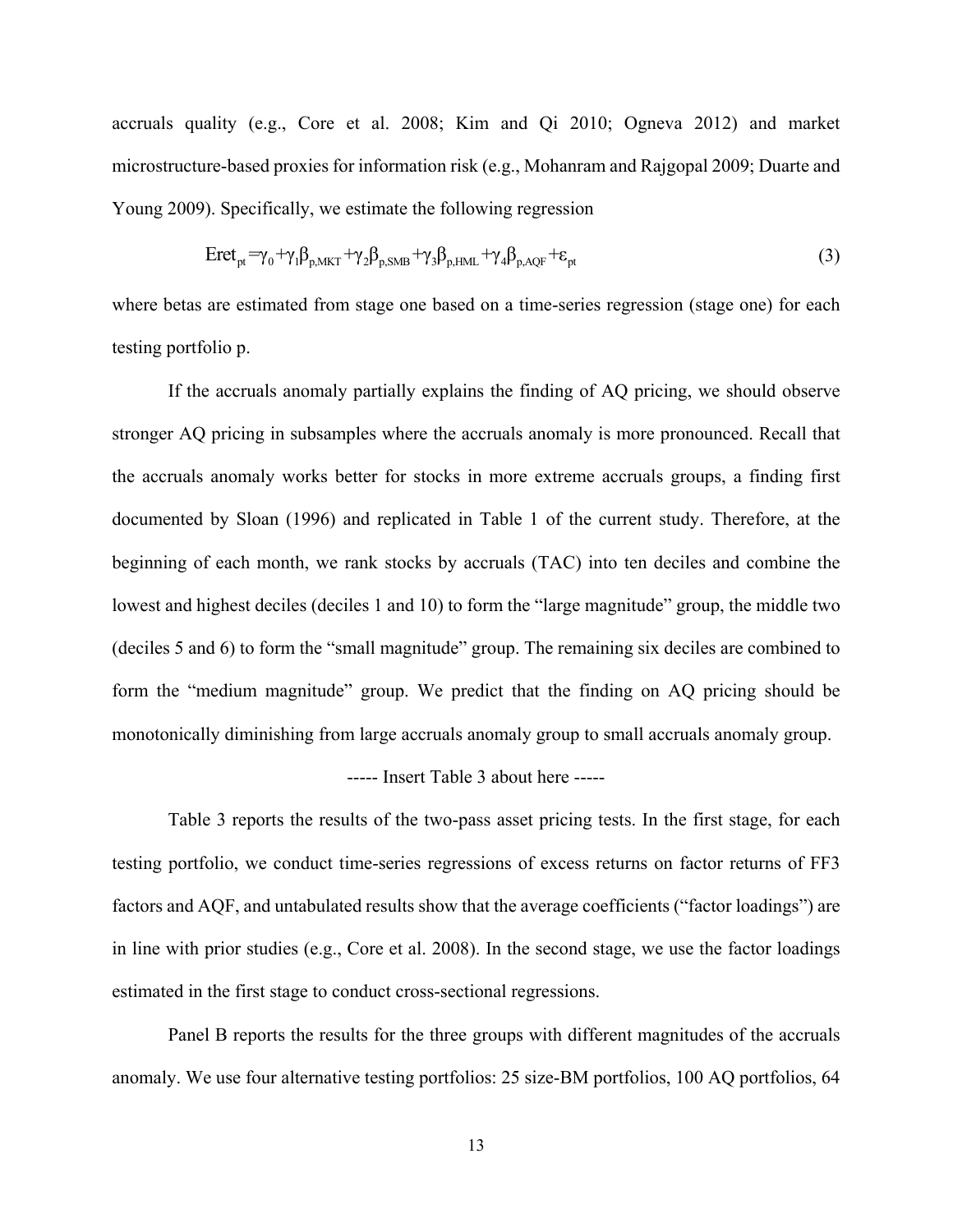accruals quality (e.g., Core et al. 2008; Kim and Qi 2010; Ogneva 2012) and market microstructure-based proxies for information risk (e.g., Mohanram and Rajgopal 2009; Duarte and Young 2009). Specifically, we estimate the following regression

$$
Eret_{pt} = \gamma_0 + \gamma_1 \beta_{p,MKT} + \gamma_2 \beta_{p,SMB} + \gamma_3 \beta_{p,HML} + \gamma_4 \beta_{p,AQF} + \epsilon_{pt}
$$
\n(3)

where betas are estimated from stage one based on a time-series regression (stage one) for each testing portfolio p.

If the accruals anomaly partially explains the finding of AQ pricing, we should observe stronger AQ pricing in subsamples where the accruals anomaly is more pronounced. Recall that the accruals anomaly works better for stocks in more extreme accruals groups, a finding first documented by Sloan (1996) and replicated in Table 1 of the current study. Therefore, at the beginning of each month, we rank stocks by accruals (TAC) into ten deciles and combine the lowest and highest deciles (deciles 1 and 10) to form the "large magnitude" group, the middle two (deciles 5 and 6) to form the "small magnitude" group. The remaining six deciles are combined to form the "medium magnitude" group. We predict that the finding on AQ pricing should be monotonically diminishing from large accruals anomaly group to small accruals anomaly group.

## ----- Insert Table 3 about here -----

Table 3 reports the results of the two-pass asset pricing tests. In the first stage, for each testing portfolio, we conduct time-series regressions of excess returns on factor returns of FF3 factors and AQF, and untabulated results show that the average coefficients ("factor loadings") are in line with prior studies (e.g., Core et al. 2008). In the second stage, we use the factor loadings estimated in the first stage to conduct cross-sectional regressions.

Panel B reports the results for the three groups with different magnitudes of the accruals anomaly. We use four alternative testing portfolios: 25 size-BM portfolios, 100 AQ portfolios, 64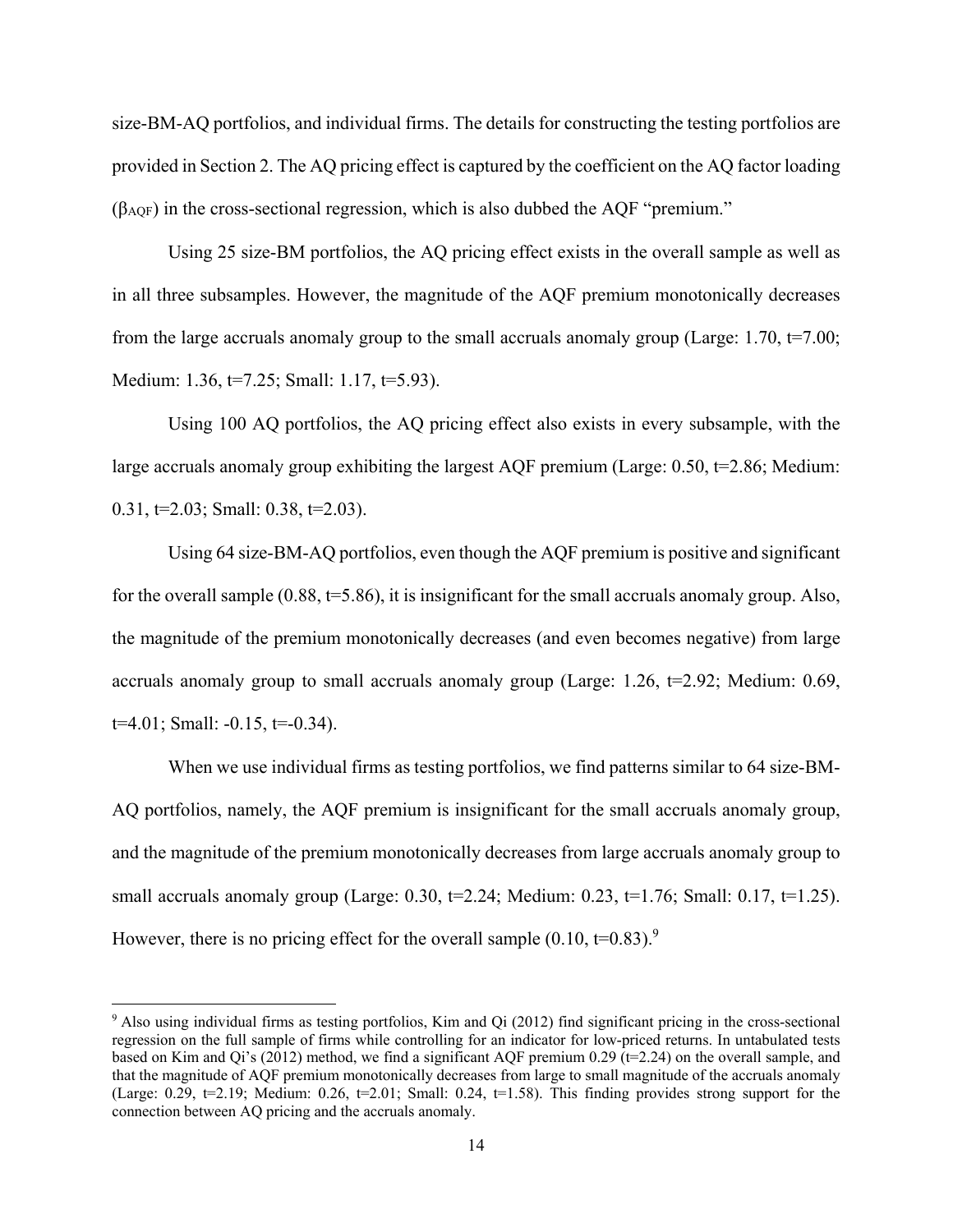size-BM-AQ portfolios, and individual firms. The details for constructing the testing portfolios are provided in Section 2. The AQ pricing effect is captured by the coefficient on the AQ factor loading  $(\beta_{AOF})$  in the cross-sectional regression, which is also dubbed the AOF "premium."

Using 25 size-BM portfolios, the AQ pricing effect exists in the overall sample as well as in all three subsamples. However, the magnitude of the AQF premium monotonically decreases from the large accruals anomaly group to the small accruals anomaly group (Large:  $1.70$ ,  $t=7.00$ ; Medium: 1.36, t=7.25; Small: 1.17, t=5.93).

Using 100 AQ portfolios, the AQ pricing effect also exists in every subsample, with the large accruals anomaly group exhibiting the largest AQF premium (Large:  $0.50$ ,  $t=2.86$ ; Medium: 0.31,  $t=2.03$ ; Small: 0.38,  $t=2.03$ ).

Using 64 size-BM-AQ portfolios, even though the AQF premium is positive and significant for the overall sample  $(0.88, t=5.86)$ , it is insignificant for the small accruals anomaly group. Also, the magnitude of the premium monotonically decreases (and even becomes negative) from large accruals anomaly group to small accruals anomaly group (Large: 1.26,  $t=2.92$ ; Medium: 0.69,  $t=4.01$ ; Small:  $-0.15$ ,  $t=-0.34$ ).

When we use individual firms as testing portfolios, we find patterns similar to 64 size-BM-AQ portfolios, namely, the AQF premium is insignificant for the small accruals anomaly group, and the magnitude of the premium monotonically decreases from large accruals anomaly group to small accruals anomaly group (Large: 0.30,  $t=2.24$ ; Medium: 0.23,  $t=1.76$ ; Small: 0.17,  $t=1.25$ ). However, there is no pricing effect for the overall sample  $(0.10, t=0.83)$ .<sup>9</sup>

<sup>9</sup> Also using individual firms as testing portfolios, Kim and Qi (2012) find significant pricing in the cross-sectional regression on the full sample of firms while controlling for an indicator for low-priced returns. In untabulated tests based on Kim and Qi's (2012) method, we find a significant AQF premium 0.29 ( $t=2.24$ ) on the overall sample, and that the magnitude of AQF premium monotonically decreases from large to small magnitude of the accruals anomaly (Large: 0.29,  $t=2.19$ ; Medium: 0.26,  $t=2.01$ ; Small: 0.24,  $t=1.58$ ). This finding provides strong support for the connection between AQ pricing and the accruals anomaly.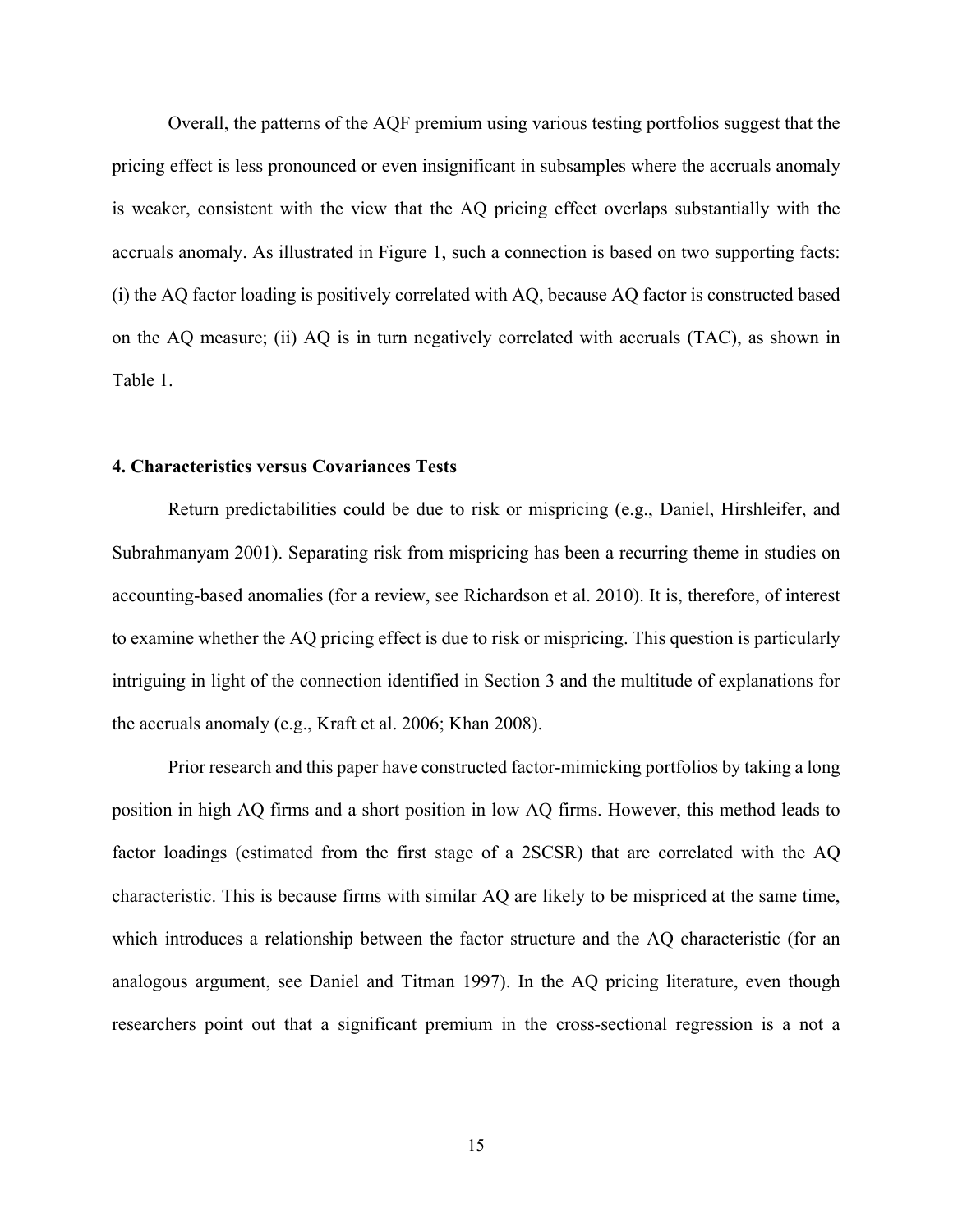Overall, the patterns of the AQF premium using various testing portfolios suggest that the pricing effect is less pronounced or even insignificant in subsamples where the accruals anomaly is weaker, consistent with the view that the AQ pricing effect overlaps substantially with the accruals anomaly. As illustrated in Figure 1, such a connection is based on two supporting facts: (i) the AQ factor loading is positively correlated with AQ, because AQ factor is constructed based on the AQ measure; (ii) AQ is in turn negatively correlated with accruals (TAC), as shown in Table 1.

## **4. Characteristics versus Covariances Tests**

Return predictabilities could be due to risk or mispricing (e.g., Daniel, Hirshleifer, and Subrahmanyam 2001). Separating risk from mispricing has been a recurring theme in studies on accounting-based anomalies (for a review, see Richardson et al. 2010). It is, therefore, of interest to examine whether the AQ pricing effect is due to risk or mispricing. This question is particularly intriguing in light of the connection identified in Section 3 and the multitude of explanations for the accruals anomaly (e.g., Kraft et al. 2006; Khan 2008).

Prior research and this paper have constructed factor-mimicking portfolios by taking a long position in high AQ firms and a short position in low AQ firms. However, this method leads to factor loadings (estimated from the first stage of a 2SCSR) that are correlated with the AQ characteristic. This is because firms with similar AQ are likely to be mispriced at the same time, which introduces a relationship between the factor structure and the AQ characteristic (for an analogous argument, see Daniel and Titman 1997). In the AQ pricing literature, even though researchers point out that a significant premium in the cross-sectional regression is a not a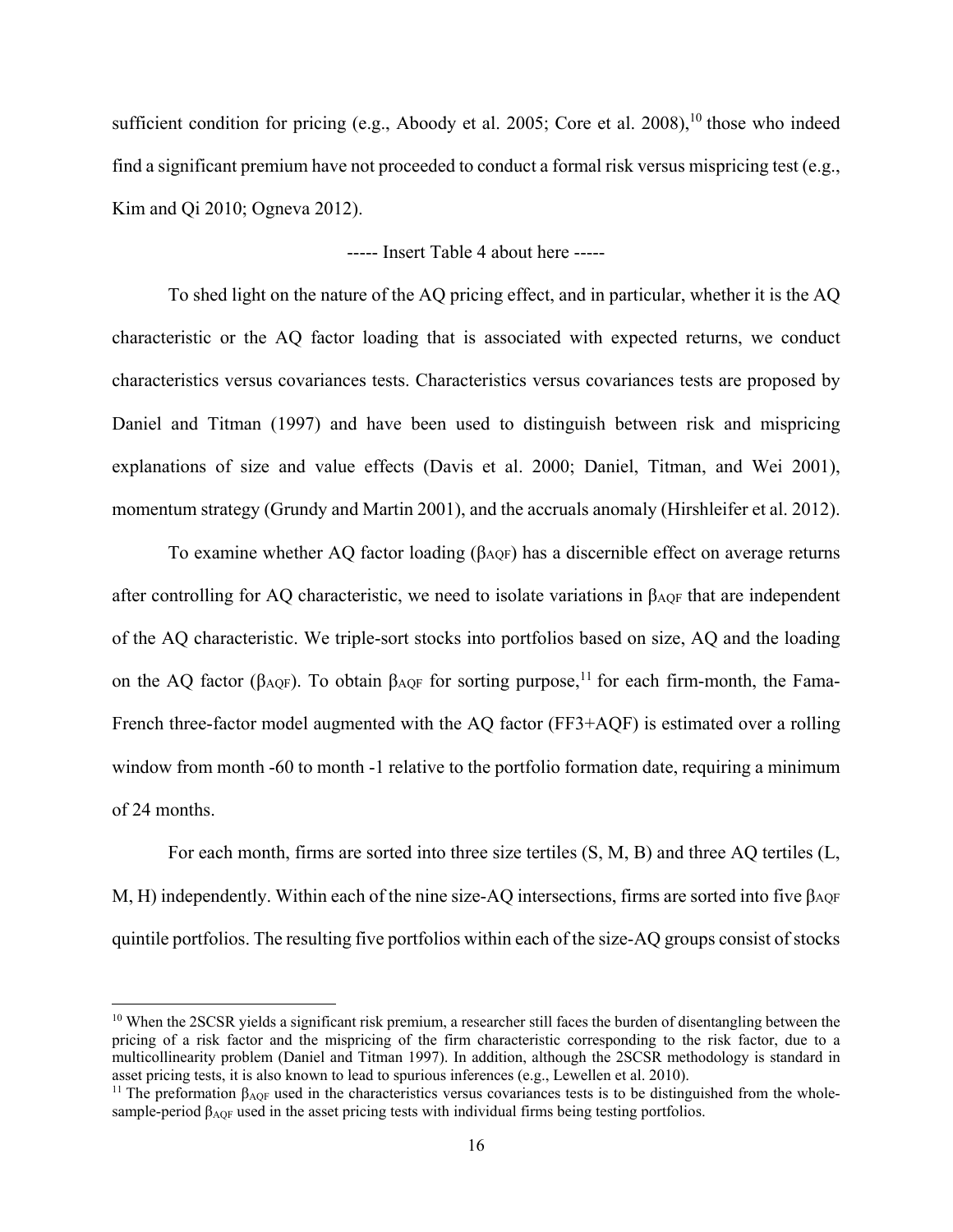sufficient condition for pricing (e.g., Aboody et al. 2005; Core et al. 2008),<sup>10</sup> those who indeed find a significant premium have not proceeded to conduct a formal risk versus mispricing test (e.g., Kim and Qi 2010; Ogneva 2012).

----- Insert Table 4 about here -----

To shed light on the nature of the AQ pricing effect, and in particular, whether it is the AQ characteristic or the AQ factor loading that is associated with expected returns, we conduct characteristics versus covariances tests. Characteristics versus covariances tests are proposed by Daniel and Titman (1997) and have been used to distinguish between risk and mispricing explanations of size and value effects (Davis et al. 2000; Daniel, Titman, and Wei 2001), momentum strategy (Grundy and Martin 2001), and the accruals anomaly (Hirshleifer et al. 2012).

To examine whether AQ factor loading  $(\beta_{\text{AOF}})$  has a discernible effect on average returns after controlling for AQ characteristic, we need to isolate variations in  $\beta_{AOF}$  that are independent of the AQ characteristic. We triple-sort stocks into portfolios based on size, AQ and the loading on the AQ factor ( $\beta_{AQF}$ ). To obtain  $\beta_{AQF}$  for sorting purpose,<sup>11</sup> for each firm-month, the Fama-French three-factor model augmented with the AQ factor (FF3+AQF) is estimated over a rolling window from month -60 to month -1 relative to the portfolio formation date, requiring a minimum of 24 months.

For each month, firms are sorted into three size tertiles (S, M, B) and three AQ tertiles (L, M, H) independently. Within each of the nine size-AQ intersections, firms are sorted into five  $\beta_{AQF}$ quintile portfolios. The resulting five portfolios within each of the size-AQ groups consist of stocks

<sup>&</sup>lt;sup>10</sup> When the 2SCSR yields a significant risk premium, a researcher still faces the burden of disentangling between the pricing of a risk factor and the mispricing of the firm characteristic corresponding to the risk factor, due to a multicollinearity problem (Daniel and Titman 1997). In addition, although the 2SCSR methodology is standard in asset pricing tests, it is also known to lead to spurious inferences (e.g., Lewellen et al. 2010).

<sup>&</sup>lt;sup>11</sup> The preformation  $\beta_{AOF}$  used in the characteristics versus covariances tests is to be distinguished from the wholesample-period βAQF used in the asset pricing tests with individual firms being testing portfolios.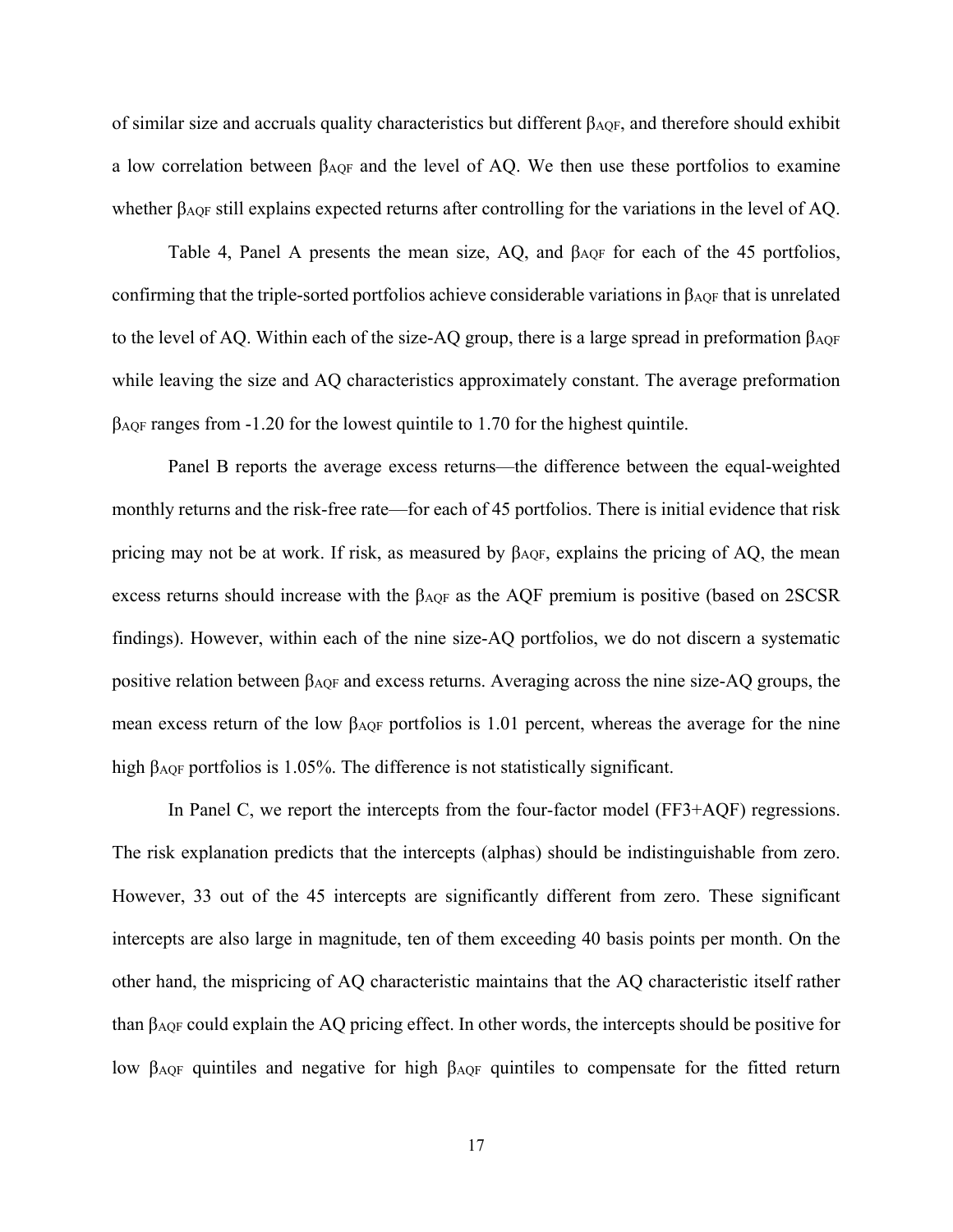of similar size and accruals quality characteristics but different  $\beta_{\text{AOF}}$ , and therefore should exhibit a low correlation between βAQF and the level of AQ. We then use these portfolios to examine whether β<sub>AQF</sub> still explains expected returns after controlling for the variations in the level of AQ.

Table 4, Panel A presents the mean size, AQ, and  $\beta_{AOF}$  for each of the 45 portfolios, confirming that the triple-sorted portfolios achieve considerable variations in  $\beta_{AOF}$  that is unrelated to the level of AQ. Within each of the size-AQ group, there is a large spread in preformation  $\beta_{\text{AOF}}$ while leaving the size and AQ characteristics approximately constant. The average preformation βAQF ranges from -1.20 for the lowest quintile to 1.70 for the highest quintile.

Panel B reports the average excess returns—the difference between the equal-weighted monthly returns and the risk-free rate—for each of 45 portfolios. There is initial evidence that risk pricing may not be at work. If risk, as measured by  $\beta_{AOF}$ , explains the pricing of AQ, the mean excess returns should increase with the βAQF as the AQF premium is positive (based on 2SCSR findings). However, within each of the nine size-AQ portfolios, we do not discern a systematic positive relation between βAQF and excess returns. Averaging across the nine size-AQ groups, the mean excess return of the low  $\beta_{\text{AOF}}$  portfolios is 1.01 percent, whereas the average for the nine high β<sub>AQF</sub> portfolios is 1.05%. The difference is not statistically significant.

In Panel C, we report the intercepts from the four-factor model (FF3+AQF) regressions. The risk explanation predicts that the intercepts (alphas) should be indistinguishable from zero. However, 33 out of the 45 intercepts are significantly different from zero. These significant intercepts are also large in magnitude, ten of them exceeding 40 basis points per month. On the other hand, the mispricing of AQ characteristic maintains that the AQ characteristic itself rather than βAQF could explain the AQ pricing effect. In other words, the intercepts should be positive for low β<sub>AQF</sub> quintiles and negative for high β<sub>AQF</sub> quintiles to compensate for the fitted return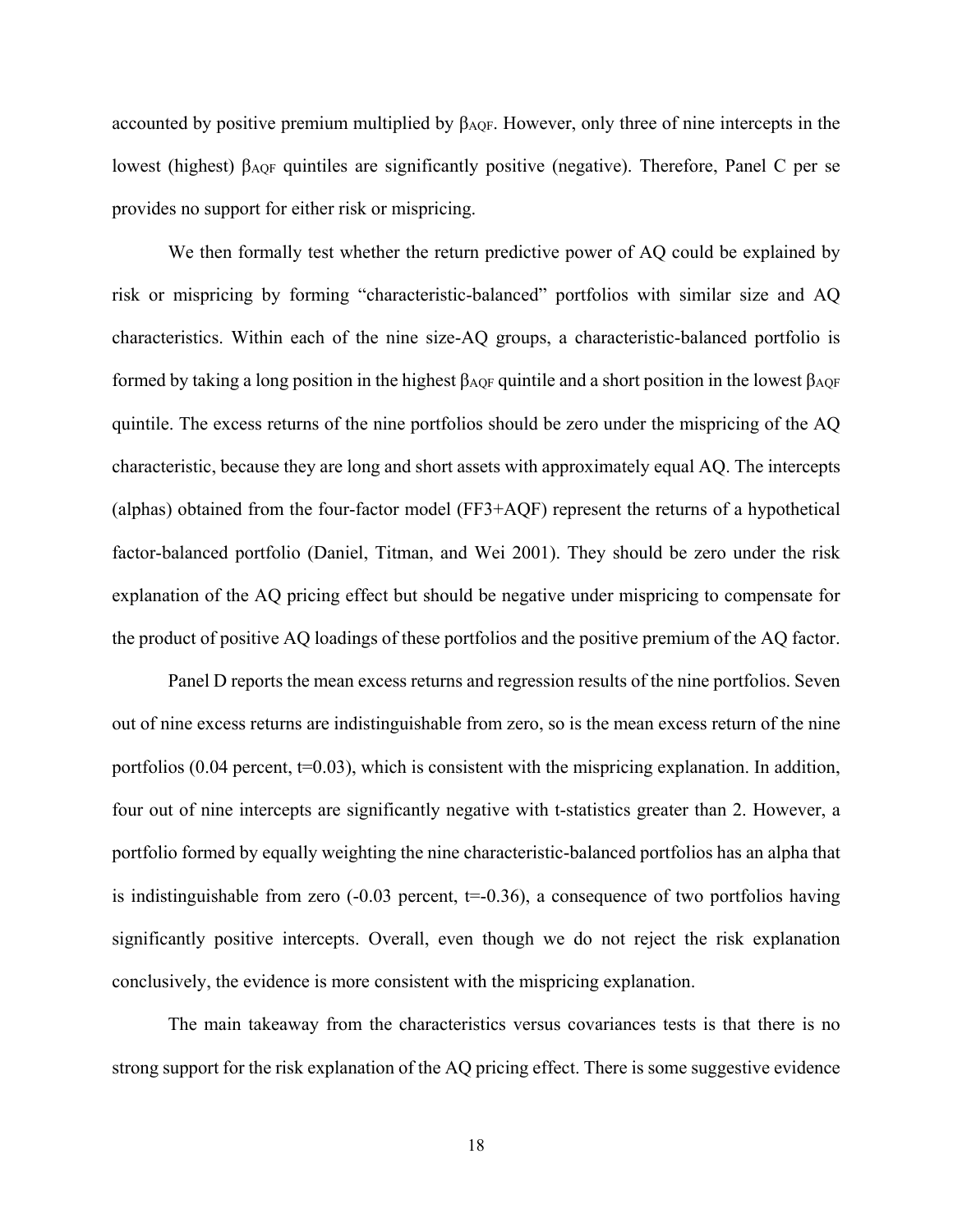accounted by positive premium multiplied by  $\beta_{AOF}$ . However, only three of nine intercepts in the lowest (highest) βAQF quintiles are significantly positive (negative). Therefore, Panel C per se provides no support for either risk or mispricing.

We then formally test whether the return predictive power of AQ could be explained by risk or mispricing by forming "characteristic-balanced" portfolios with similar size and AQ characteristics. Within each of the nine size-AQ groups, a characteristic-balanced portfolio is formed by taking a long position in the highest βAQF quintile and a short position in the lowest βAQF quintile. The excess returns of the nine portfolios should be zero under the mispricing of the AQ characteristic, because they are long and short assets with approximately equal AQ. The intercepts (alphas) obtained from the four-factor model (FF3+AQF) represent the returns of a hypothetical factor-balanced portfolio (Daniel, Titman, and Wei 2001). They should be zero under the risk explanation of the AQ pricing effect but should be negative under mispricing to compensate for the product of positive AQ loadings of these portfolios and the positive premium of the AQ factor.

Panel D reports the mean excess returns and regression results of the nine portfolios. Seven out of nine excess returns are indistinguishable from zero, so is the mean excess return of the nine portfolios  $(0.04$  percent,  $t=0.03$ , which is consistent with the mispricing explanation. In addition, four out of nine intercepts are significantly negative with t-statistics greater than 2. However, a portfolio formed by equally weighting the nine characteristic-balanced portfolios has an alpha that is indistinguishable from zero  $(-0.03$  percent,  $t=0.36$ ), a consequence of two portfolios having significantly positive intercepts. Overall, even though we do not reject the risk explanation conclusively, the evidence is more consistent with the mispricing explanation.

The main takeaway from the characteristics versus covariances tests is that there is no strong support for the risk explanation of the AQ pricing effect. There is some suggestive evidence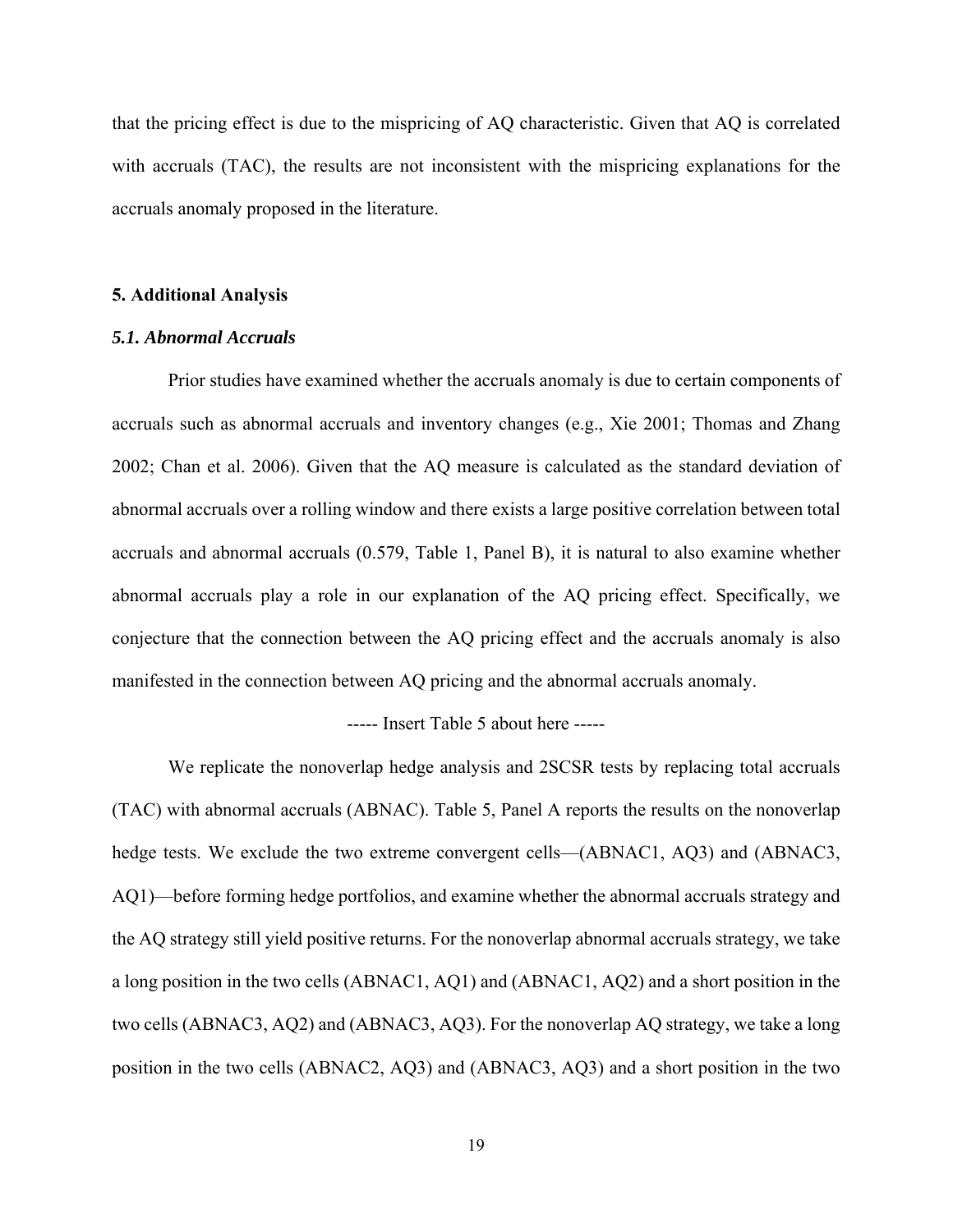that the pricing effect is due to the mispricing of AQ characteristic. Given that AQ is correlated with accruals (TAC), the results are not inconsistent with the mispricing explanations for the accruals anomaly proposed in the literature.

### **5. Additional Analysis**

## *5.1. Abnormal Accruals*

Prior studies have examined whether the accruals anomaly is due to certain components of accruals such as abnormal accruals and inventory changes (e.g., Xie 2001; Thomas and Zhang 2002; Chan et al. 2006). Given that the AQ measure is calculated as the standard deviation of abnormal accruals over a rolling window and there exists a large positive correlation between total accruals and abnormal accruals (0.579, Table 1, Panel B), it is natural to also examine whether abnormal accruals play a role in our explanation of the AQ pricing effect. Specifically, we conjecture that the connection between the AQ pricing effect and the accruals anomaly is also manifested in the connection between AQ pricing and the abnormal accruals anomaly.

----- Insert Table 5 about here -----

We replicate the nonoverlap hedge analysis and 2SCSR tests by replacing total accruals (TAC) with abnormal accruals (ABNAC). Table 5, Panel A reports the results on the nonoverlap hedge tests. We exclude the two extreme convergent cells—(ABNAC1, AQ3) and (ABNAC3, AQ1)—before forming hedge portfolios, and examine whether the abnormal accruals strategy and the AQ strategy still yield positive returns. For the nonoverlap abnormal accruals strategy, we take a long position in the two cells (ABNAC1, AQ1) and (ABNAC1, AQ2) and a short position in the two cells (ABNAC3, AQ2) and (ABNAC3, AQ3). For the nonoverlap AQ strategy, we take a long position in the two cells (ABNAC2, AQ3) and (ABNAC3, AQ3) and a short position in the two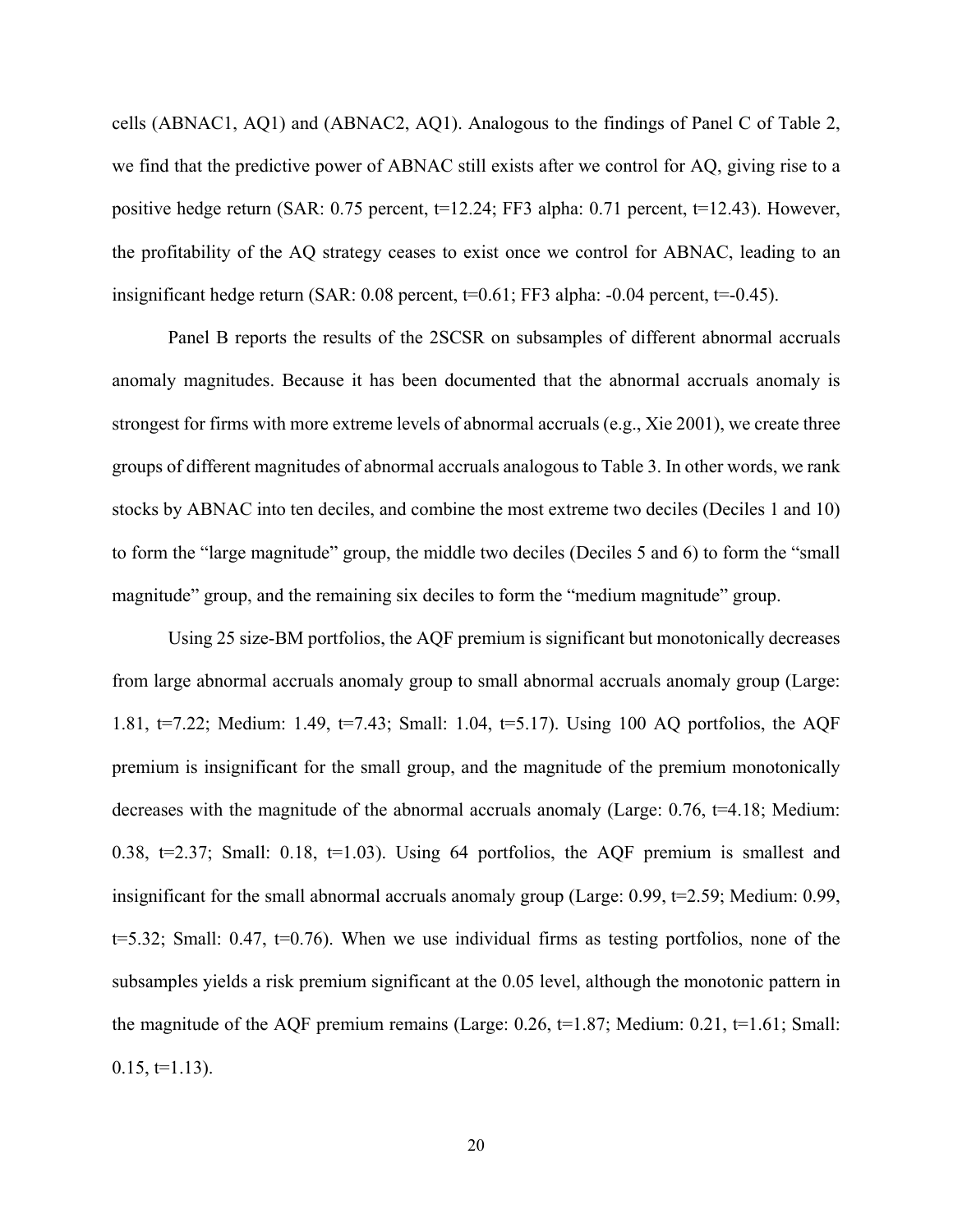cells (ABNAC1, AQ1) and (ABNAC2, AQ1). Analogous to the findings of Panel C of Table 2, we find that the predictive power of ABNAC still exists after we control for AQ, giving rise to a positive hedge return (SAR: 0.75 percent, t=12.24; FF3 alpha: 0.71 percent, t=12.43). However, the profitability of the AQ strategy ceases to exist once we control for ABNAC, leading to an insignificant hedge return (SAR:  $0.08$  percent,  $t=0.61$ ; FF3 alpha:  $-0.04$  percent,  $t=0.45$ ).

Panel B reports the results of the 2SCSR on subsamples of different abnormal accruals anomaly magnitudes. Because it has been documented that the abnormal accruals anomaly is strongest for firms with more extreme levels of abnormal accruals (e.g., Xie 2001), we create three groups of different magnitudes of abnormal accruals analogous to Table 3. In other words, we rank stocks by ABNAC into ten deciles, and combine the most extreme two deciles (Deciles 1 and 10) to form the "large magnitude" group, the middle two deciles (Deciles 5 and 6) to form the "small magnitude" group, and the remaining six deciles to form the "medium magnitude" group.

Using 25 size-BM portfolios, the AQF premium is significant but monotonically decreases from large abnormal accruals anomaly group to small abnormal accruals anomaly group (Large: 1.81, t=7.22; Medium: 1.49, t=7.43; Small: 1.04, t=5.17). Using 100 AQ portfolios, the AQF premium is insignificant for the small group, and the magnitude of the premium monotonically decreases with the magnitude of the abnormal accruals anomaly (Large:  $0.76$ ,  $t=4.18$ ; Medium: 0.38,  $t=2.37$ ; Small: 0.18,  $t=1.03$ ). Using 64 portfolios, the AQF premium is smallest and insignificant for the small abnormal accruals anomaly group (Large: 0.99, t=2.59; Medium: 0.99,  $t=5.32$ ; Small: 0.47,  $t=0.76$ ). When we use individual firms as testing portfolios, none of the subsamples yields a risk premium significant at the 0.05 level, although the monotonic pattern in the magnitude of the AQF premium remains (Large:  $0.26$ ,  $t=1.87$ ; Medium:  $0.21$ ,  $t=1.61$ ; Small:  $0.15, t=1.13$ ).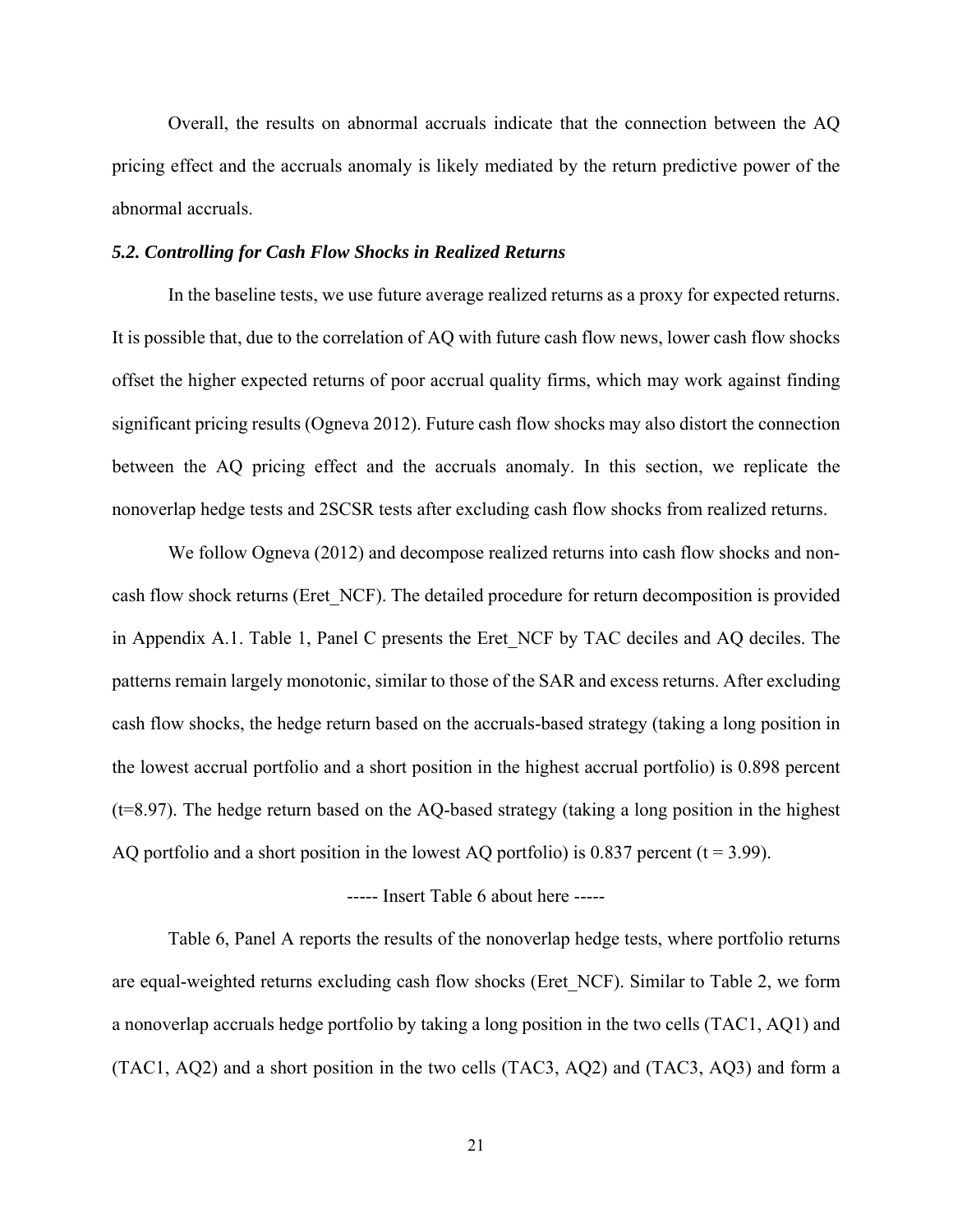Overall, the results on abnormal accruals indicate that the connection between the AQ pricing effect and the accruals anomaly is likely mediated by the return predictive power of the abnormal accruals.

## *5.2. Controlling for Cash Flow Shocks in Realized Returns*

In the baseline tests, we use future average realized returns as a proxy for expected returns. It is possible that, due to the correlation of AQ with future cash flow news, lower cash flow shocks offset the higher expected returns of poor accrual quality firms, which may work against finding significant pricing results (Ogneva 2012). Future cash flow shocks may also distort the connection between the AQ pricing effect and the accruals anomaly. In this section, we replicate the nonoverlap hedge tests and 2SCSR tests after excluding cash flow shocks from realized returns.

We follow Ogneva (2012) and decompose realized returns into cash flow shocks and noncash flow shock returns (Eret\_NCF). The detailed procedure for return decomposition is provided in Appendix A.1. Table 1, Panel C presents the Eret NCF by TAC deciles and AQ deciles. The patterns remain largely monotonic, similar to those of the SAR and excess returns. After excluding cash flow shocks, the hedge return based on the accruals-based strategy (taking a long position in the lowest accrual portfolio and a short position in the highest accrual portfolio) is 0.898 percent (t=8.97). The hedge return based on the AQ-based strategy (taking a long position in the highest AQ portfolio and a short position in the lowest AQ portfolio) is 0.837 percent ( $t = 3.99$ ).

# ----- Insert Table 6 about here -----

Table 6, Panel A reports the results of the nonoverlap hedge tests, where portfolio returns are equal-weighted returns excluding cash flow shocks (Eret\_NCF). Similar to Table 2, we form a nonoverlap accruals hedge portfolio by taking a long position in the two cells (TAC1, AQ1) and (TAC1, AQ2) and a short position in the two cells (TAC3, AQ2) and (TAC3, AQ3) and form a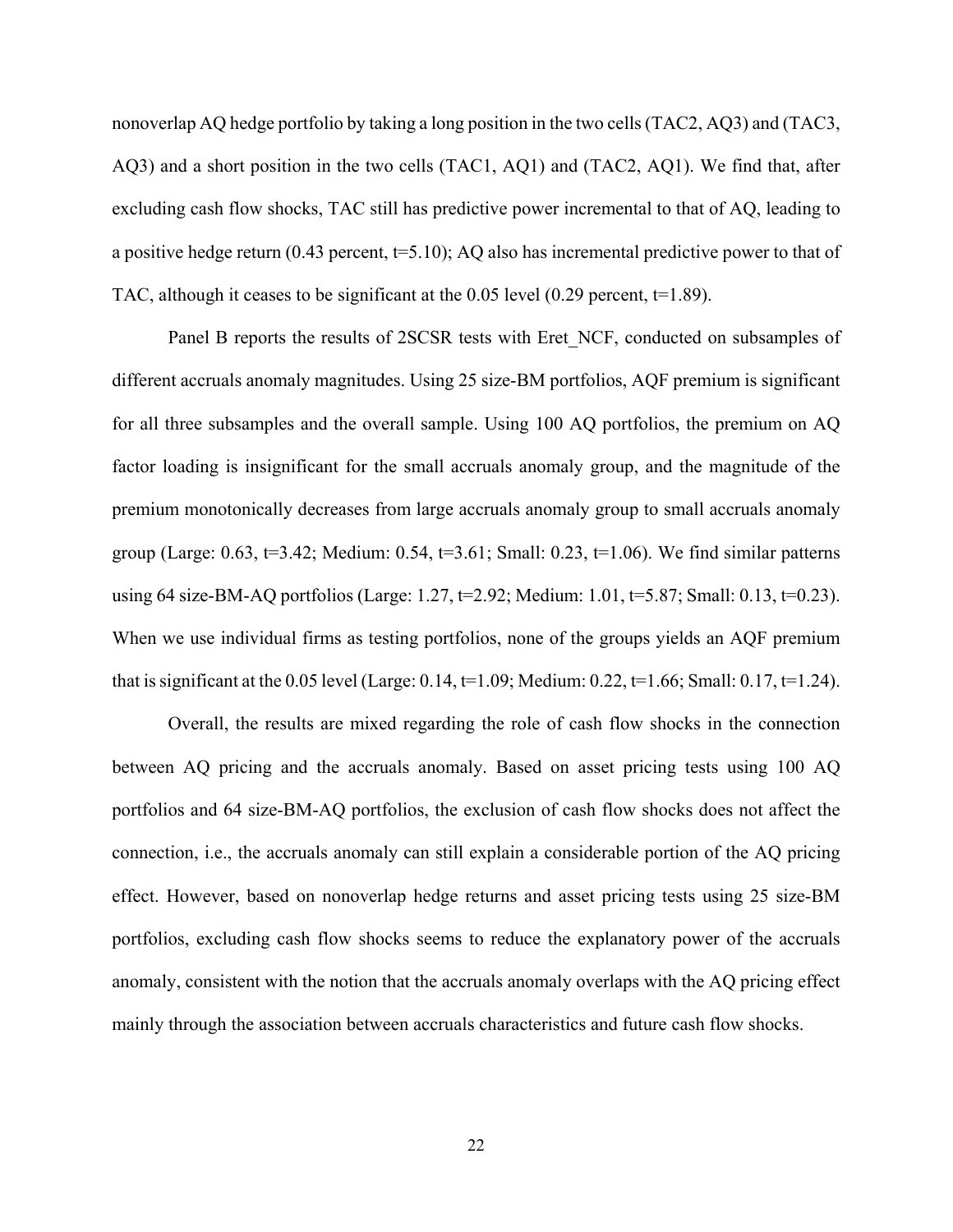nonoverlap AQ hedge portfolio by taking a long position in the two cells (TAC2, AQ3) and (TAC3, AQ3) and a short position in the two cells (TAC1, AQ1) and (TAC2, AQ1). We find that, after excluding cash flow shocks, TAC still has predictive power incremental to that of AQ, leading to a positive hedge return  $(0.43$  percent,  $t=5.10$ ); AQ also has incremental predictive power to that of TAC, although it ceases to be significant at the 0.05 level (0.29 percent,  $t=1.89$ ).

Panel B reports the results of 2SCSR tests with Eret NCF, conducted on subsamples of different accruals anomaly magnitudes. Using 25 size-BM portfolios, AQF premium is significant for all three subsamples and the overall sample. Using 100 AQ portfolios, the premium on AQ factor loading is insignificant for the small accruals anomaly group, and the magnitude of the premium monotonically decreases from large accruals anomaly group to small accruals anomaly group (Large:  $0.63$ ,  $t=3.42$ ; Medium:  $0.54$ ,  $t=3.61$ ; Small:  $0.23$ ,  $t=1.06$ ). We find similar patterns using 64 size-BM-AQ portfolios (Large: 1.27, t=2.92; Medium: 1.01, t=5.87; Small: 0.13, t=0.23). When we use individual firms as testing portfolios, none of the groups yields an AQF premium that is significant at the 0.05 level (Large: 0.14,  $t=1.09$ ; Medium: 0.22,  $t=1.66$ ; Small: 0.17,  $t=1.24$ ).

Overall, the results are mixed regarding the role of cash flow shocks in the connection between AQ pricing and the accruals anomaly. Based on asset pricing tests using 100 AQ portfolios and 64 size-BM-AQ portfolios, the exclusion of cash flow shocks does not affect the connection, i.e., the accruals anomaly can still explain a considerable portion of the AQ pricing effect. However, based on nonoverlap hedge returns and asset pricing tests using 25 size-BM portfolios, excluding cash flow shocks seems to reduce the explanatory power of the accruals anomaly, consistent with the notion that the accruals anomaly overlaps with the AQ pricing effect mainly through the association between accruals characteristics and future cash flow shocks.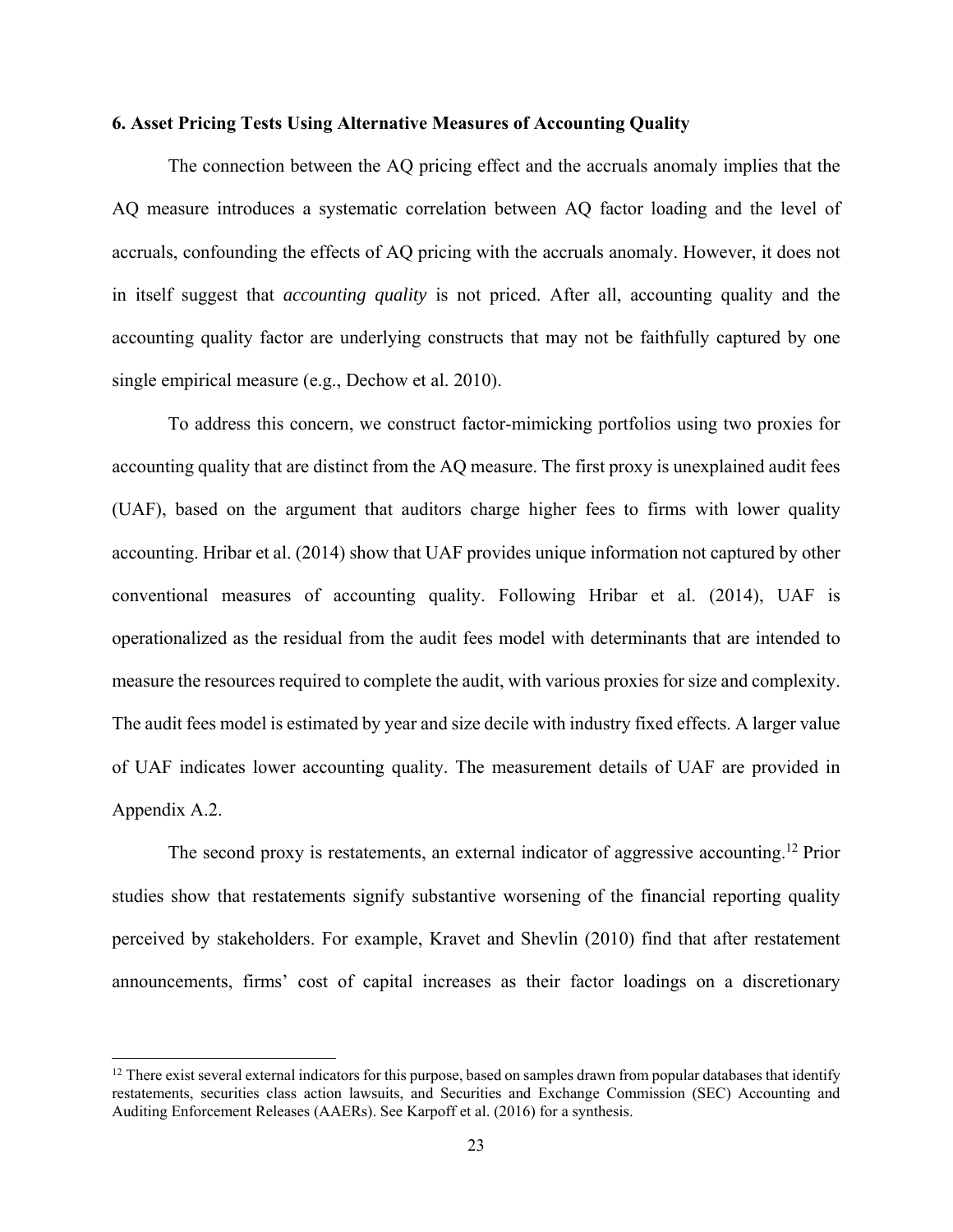## **6. Asset Pricing Tests Using Alternative Measures of Accounting Quality**

The connection between the AQ pricing effect and the accruals anomaly implies that the AQ measure introduces a systematic correlation between AQ factor loading and the level of accruals, confounding the effects of AQ pricing with the accruals anomaly. However, it does not in itself suggest that *accounting quality* is not priced. After all, accounting quality and the accounting quality factor are underlying constructs that may not be faithfully captured by one single empirical measure (e.g., Dechow et al. 2010).

To address this concern, we construct factor-mimicking portfolios using two proxies for accounting quality that are distinct from the AQ measure. The first proxy is unexplained audit fees (UAF), based on the argument that auditors charge higher fees to firms with lower quality accounting. Hribar et al. (2014) show that UAF provides unique information not captured by other conventional measures of accounting quality. Following Hribar et al. (2014), UAF is operationalized as the residual from the audit fees model with determinants that are intended to measure the resources required to complete the audit, with various proxies for size and complexity. The audit fees model is estimated by year and size decile with industry fixed effects. A larger value of UAF indicates lower accounting quality. The measurement details of UAF are provided in Appendix A.2.

The second proxy is restatements, an external indicator of aggressive accounting.<sup>12</sup> Prior studies show that restatements signify substantive worsening of the financial reporting quality perceived by stakeholders. For example, Kravet and Shevlin (2010) find that after restatement announcements, firms' cost of capital increases as their factor loadings on a discretionary

 $12$  There exist several external indicators for this purpose, based on samples drawn from popular databases that identify restatements, securities class action lawsuits, and Securities and Exchange Commission (SEC) Accounting and Auditing Enforcement Releases (AAERs). See Karpoff et al. (2016) for a synthesis.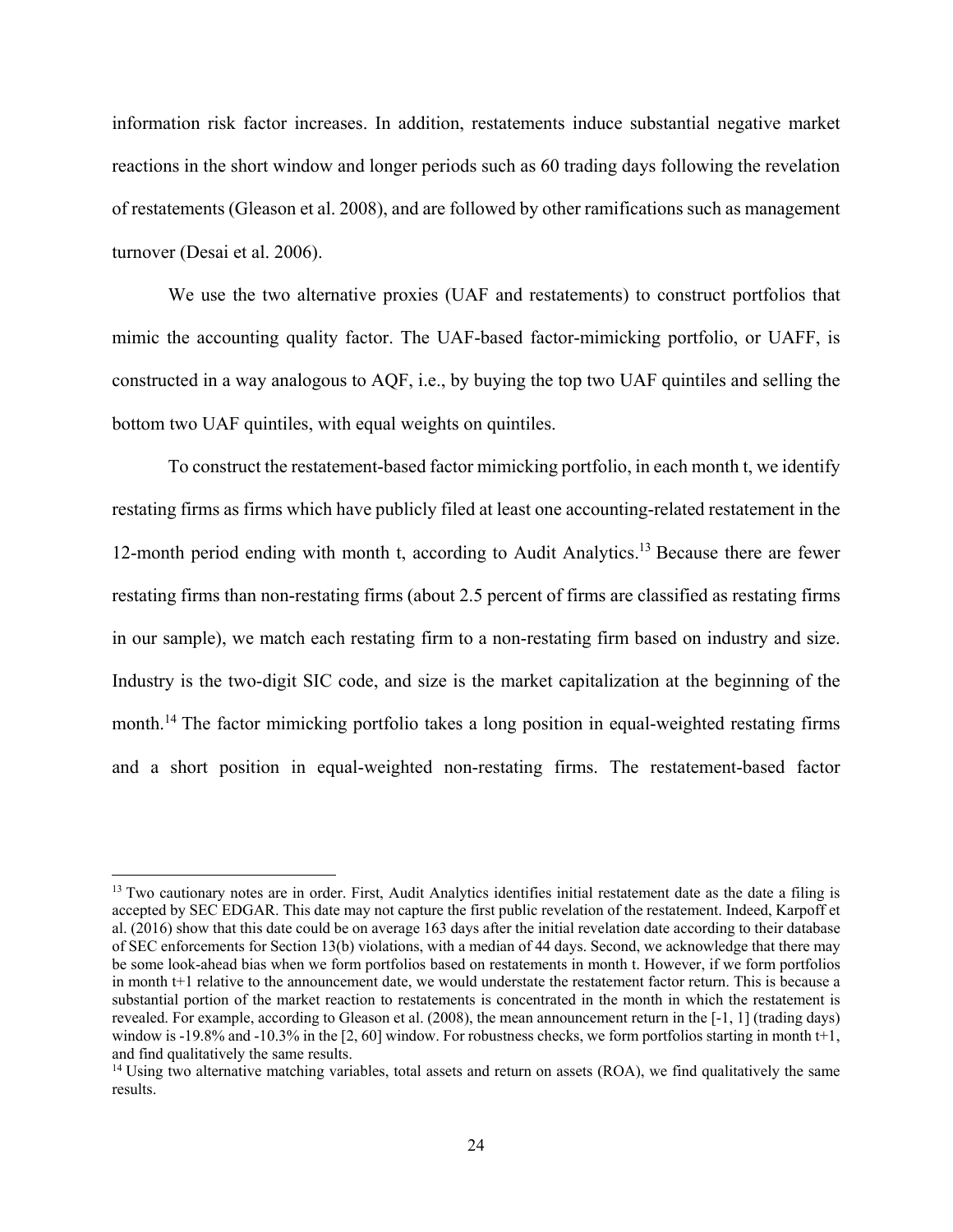information risk factor increases. In addition, restatements induce substantial negative market reactions in the short window and longer periods such as 60 trading days following the revelation of restatements (Gleason et al. 2008), and are followed by other ramifications such as management turnover (Desai et al. 2006).

We use the two alternative proxies (UAF and restatements) to construct portfolios that mimic the accounting quality factor. The UAF-based factor-mimicking portfolio, or UAFF, is constructed in a way analogous to AQF, i.e., by buying the top two UAF quintiles and selling the bottom two UAF quintiles, with equal weights on quintiles.

To construct the restatement-based factor mimicking portfolio, in each month t, we identify restating firms as firms which have publicly filed at least one accounting-related restatement in the 12-month period ending with month t, according to Audit Analytics.<sup>13</sup> Because there are fewer restating firms than non-restating firms (about 2.5 percent of firms are classified as restating firms in our sample), we match each restating firm to a non-restating firm based on industry and size. Industry is the two-digit SIC code, and size is the market capitalization at the beginning of the month.<sup>14</sup> The factor mimicking portfolio takes a long position in equal-weighted restating firms and a short position in equal-weighted non-restating firms. The restatement-based factor

<sup>&</sup>lt;sup>13</sup> Two cautionary notes are in order. First, Audit Analytics identifies initial restatement date as the date a filing is accepted by SEC EDGAR. This date may not capture the first public revelation of the restatement. Indeed, Karpoff et al. (2016) show that this date could be on average 163 days after the initial revelation date according to their database of SEC enforcements for Section 13(b) violations, with a median of 44 days. Second, we acknowledge that there may be some look-ahead bias when we form portfolios based on restatements in month t. However, if we form portfolios in month t+1 relative to the announcement date, we would understate the restatement factor return. This is because a substantial portion of the market reaction to restatements is concentrated in the month in which the restatement is revealed. For example, according to Gleason et al. (2008), the mean announcement return in the [-1, 1] (trading days) window is -19.8% and -10.3% in the [2, 60] window. For robustness checks, we form portfolios starting in month t+1, and find qualitatively the same results.

<sup>&</sup>lt;sup>14</sup> Using two alternative matching variables, total assets and return on assets (ROA), we find qualitatively the same results.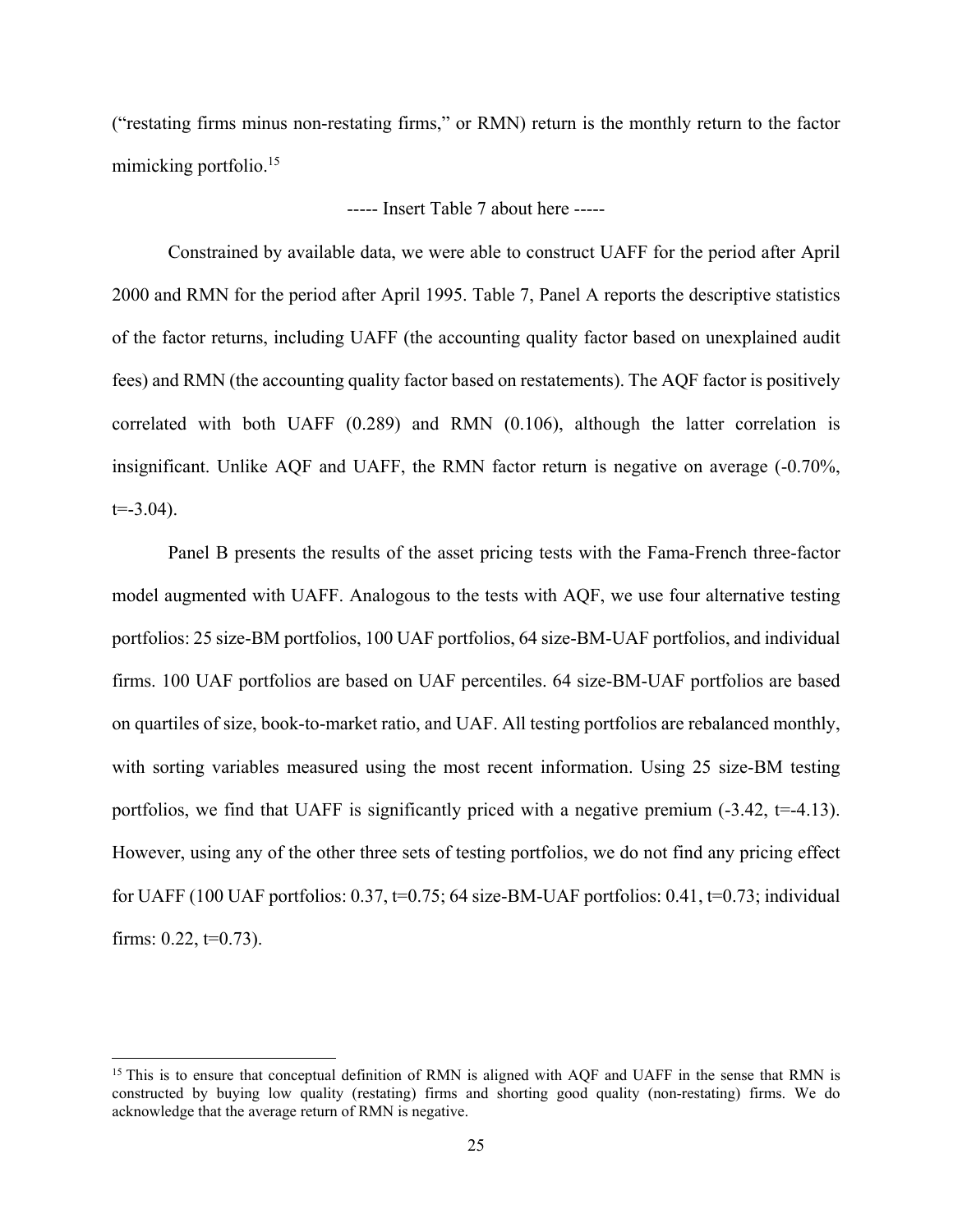("restating firms minus non-restating firms," or RMN) return is the monthly return to the factor mimicking portfolio.<sup>15</sup>

# ----- Insert Table 7 about here -----

Constrained by available data, we were able to construct UAFF for the period after April 2000 and RMN for the period after April 1995. Table 7, Panel A reports the descriptive statistics of the factor returns, including UAFF (the accounting quality factor based on unexplained audit fees) and RMN (the accounting quality factor based on restatements). The AQF factor is positively correlated with both UAFF (0.289) and RMN (0.106), although the latter correlation is insignificant. Unlike AQF and UAFF, the RMN factor return is negative on average (-0.70%,  $t = -3.04$ ).

Panel B presents the results of the asset pricing tests with the Fama-French three-factor model augmented with UAFF. Analogous to the tests with AQF, we use four alternative testing portfolios: 25 size-BM portfolios, 100 UAF portfolios, 64 size-BM-UAF portfolios, and individual firms. 100 UAF portfolios are based on UAF percentiles. 64 size-BM-UAF portfolios are based on quartiles of size, book-to-market ratio, and UAF. All testing portfolios are rebalanced monthly, with sorting variables measured using the most recent information. Using 25 size-BM testing portfolios, we find that UAFF is significantly priced with a negative premium  $(-3.42, t=4.13)$ . However, using any of the other three sets of testing portfolios, we do not find any pricing effect for UAFF (100 UAF portfolios:  $0.37$ ,  $t=0.75$ ; 64 size-BM-UAF portfolios:  $0.41$ ,  $t=0.73$ ; individual firms:  $0.22, t=0.73$ ).

<sup>&</sup>lt;sup>15</sup> This is to ensure that conceptual definition of RMN is aligned with AQF and UAFF in the sense that RMN is constructed by buying low quality (restating) firms and shorting good quality (non-restating) firms. We do acknowledge that the average return of RMN is negative.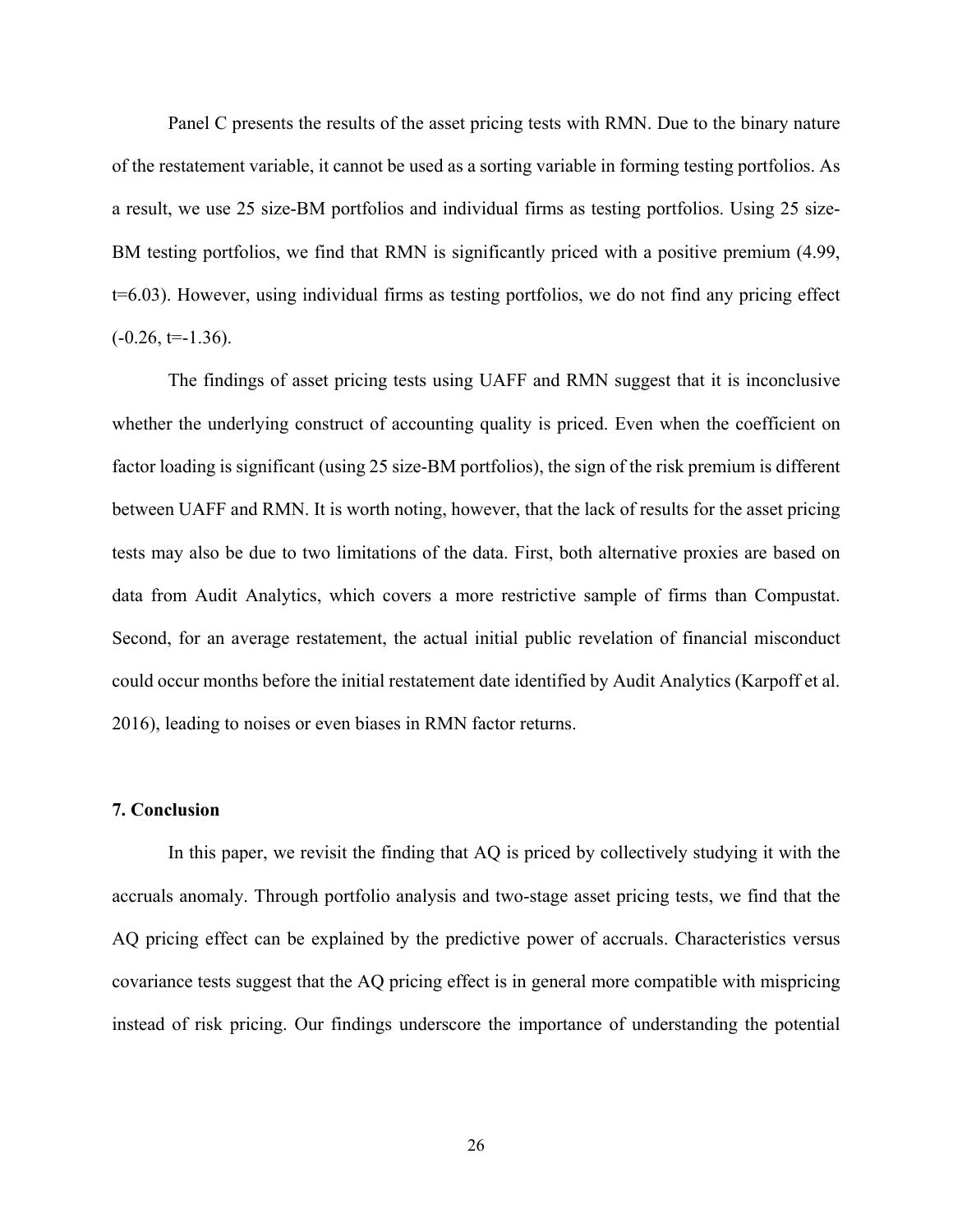Panel C presents the results of the asset pricing tests with RMN. Due to the binary nature of the restatement variable, it cannot be used as a sorting variable in forming testing portfolios. As a result, we use 25 size-BM portfolios and individual firms as testing portfolios. Using 25 size-BM testing portfolios, we find that RMN is significantly priced with a positive premium (4.99, t=6.03). However, using individual firms as testing portfolios, we do not find any pricing effect  $(-0.26, t=-1.36)$ .

The findings of asset pricing tests using UAFF and RMN suggest that it is inconclusive whether the underlying construct of accounting quality is priced. Even when the coefficient on factor loading is significant (using 25 size-BM portfolios), the sign of the risk premium is different between UAFF and RMN. It is worth noting, however, that the lack of results for the asset pricing tests may also be due to two limitations of the data. First, both alternative proxies are based on data from Audit Analytics, which covers a more restrictive sample of firms than Compustat. Second, for an average restatement, the actual initial public revelation of financial misconduct could occur months before the initial restatement date identified by Audit Analytics (Karpoff et al. 2016), leading to noises or even biases in RMN factor returns.

## **7. Conclusion**

In this paper, we revisit the finding that AQ is priced by collectively studying it with the accruals anomaly. Through portfolio analysis and two-stage asset pricing tests, we find that the AQ pricing effect can be explained by the predictive power of accruals. Characteristics versus covariance tests suggest that the AQ pricing effect is in general more compatible with mispricing instead of risk pricing. Our findings underscore the importance of understanding the potential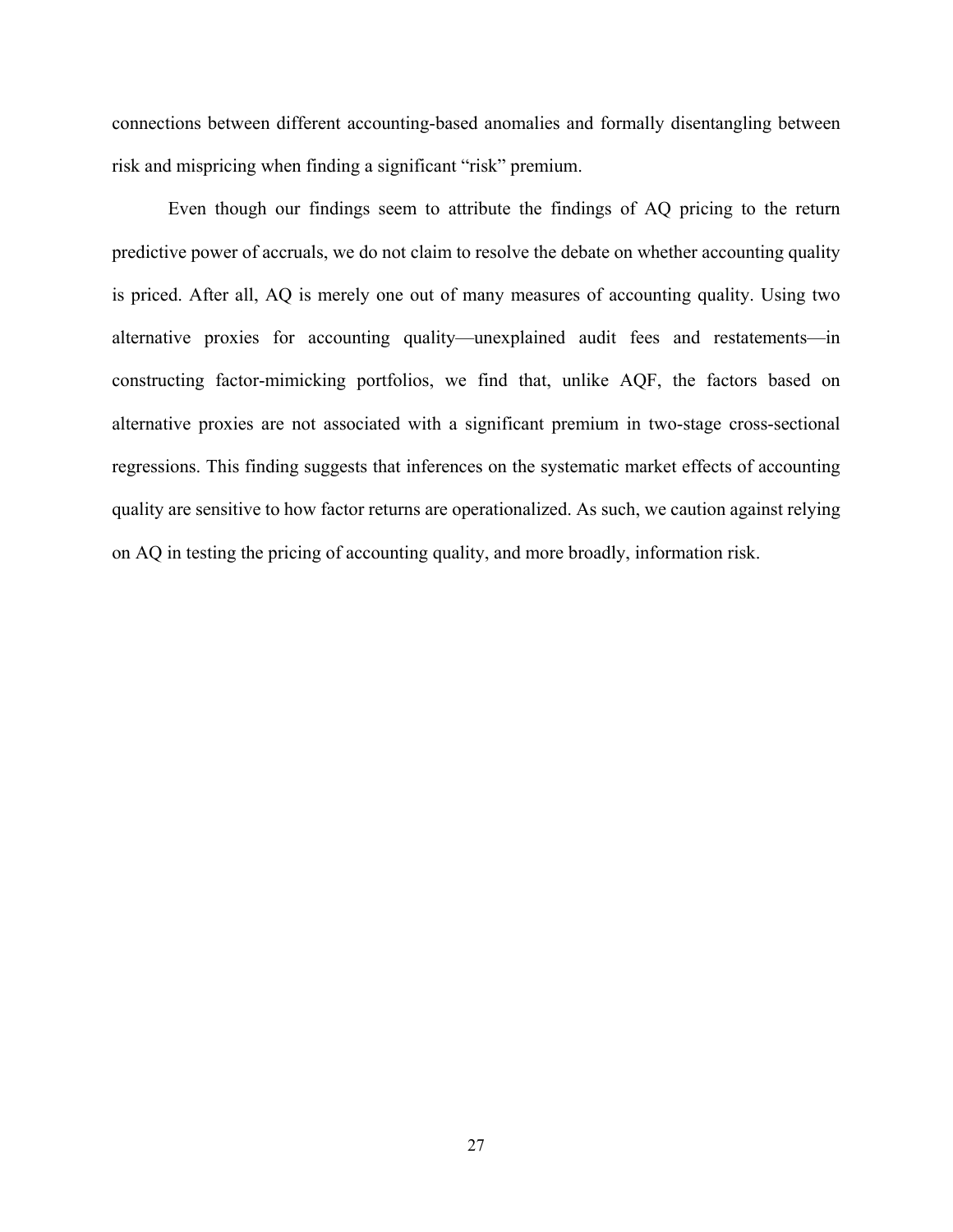connections between different accounting-based anomalies and formally disentangling between risk and mispricing when finding a significant "risk" premium.

Even though our findings seem to attribute the findings of AQ pricing to the return predictive power of accruals, we do not claim to resolve the debate on whether accounting quality is priced. After all, AQ is merely one out of many measures of accounting quality. Using two alternative proxies for accounting quality—unexplained audit fees and restatements—in constructing factor-mimicking portfolios, we find that, unlike AQF, the factors based on alternative proxies are not associated with a significant premium in two-stage cross-sectional regressions. This finding suggests that inferences on the systematic market effects of accounting quality are sensitive to how factor returns are operationalized. As such, we caution against relying on AQ in testing the pricing of accounting quality, and more broadly, information risk.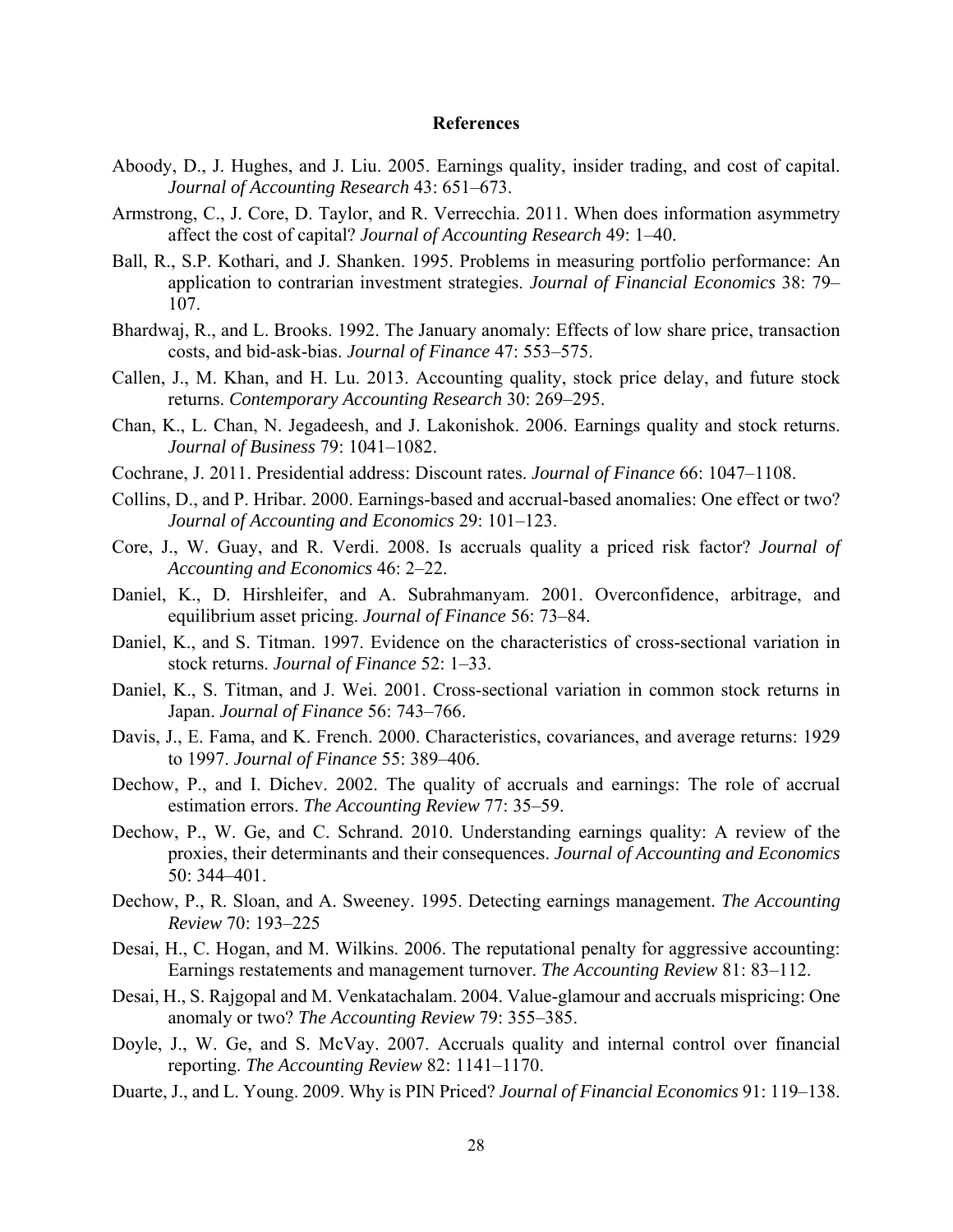## **References**

- Aboody, D., J. Hughes, and J. Liu. 2005. Earnings quality, insider trading, and cost of capital. *Journal of Accounting Research* 43: 651–673.
- Armstrong, C., J. Core, D. Taylor, and R. Verrecchia. 2011. When does information asymmetry affect the cost of capital? *Journal of Accounting Research* 49: 1–40.
- Ball, R., S.P. Kothari, and J. Shanken. 1995. Problems in measuring portfolio performance: An application to contrarian investment strategies. *Journal of Financial Economics* 38: 79– 107.
- Bhardwaj, R., and L. Brooks. 1992. The January anomaly: Effects of low share price, transaction costs, and bid-ask-bias. *Journal of Finance* 47: 553–575.
- Callen, J., M. Khan, and H. Lu. 2013. Accounting quality, stock price delay, and future stock returns. *Contemporary Accounting Research* 30: 269–295.
- Chan, K., L. Chan, N. Jegadeesh, and J. Lakonishok. 2006. Earnings quality and stock returns. *Journal of Business* 79: 1041–1082.
- Cochrane, J. 2011. Presidential address: Discount rates. *Journal of Finance* 66: 1047–1108.
- Collins, D., and P. Hribar. 2000. Earnings-based and accrual-based anomalies: One effect or two? *Journal of Accounting and Economics* 29: 101–123.
- Core, J., W. Guay, and R. Verdi. 2008. Is accruals quality a priced risk factor? *Journal of Accounting and Economics* 46: 2–22.
- Daniel, K., D. Hirshleifer, and A. Subrahmanyam. 2001. Overconfidence, arbitrage, and equilibrium asset pricing. *Journal of Finance* 56: 73–84.
- Daniel, K., and S. Titman. 1997. Evidence on the characteristics of cross-sectional variation in stock returns. *Journal of Finance* 52: 1–33.
- Daniel, K., S. Titman, and J. Wei. 2001. Cross-sectional variation in common stock returns in Japan. *Journal of Finance* 56: 743–766.
- Davis, J., E. Fama, and K. French. 2000. Characteristics, covariances, and average returns: 1929 to 1997. *Journal of Finance* 55: 389–406.
- Dechow, P., and I. Dichev. 2002. The quality of accruals and earnings: The role of accrual estimation errors. *The Accounting Review* 77: 35–59.
- Dechow, P., W. Ge, and C. Schrand. 2010. Understanding earnings quality: A review of the proxies, their determinants and their consequences. *Journal of Accounting and Economics* 50: 344–401.
- Dechow, P., R. Sloan, and A. Sweeney. 1995. Detecting earnings management. *The Accounting Review* 70: 193–225
- Desai, H., C. Hogan, and M. Wilkins. 2006. The reputational penalty for aggressive accounting: Earnings restatements and management turnover. *The Accounting Review* 81: 83–112.
- Desai, H., S. Rajgopal and M. Venkatachalam. 2004. Value-glamour and accruals mispricing: One anomaly or two? *The Accounting Review* 79: 355–385.
- Doyle, J., W. Ge, and S. McVay. 2007. Accruals quality and internal control over financial reporting. *The Accounting Review* 82: 1141–1170.
- Duarte, J., and L. Young. 2009. Why is PIN Priced? *Journal of Financial Economics* 91: 119–138.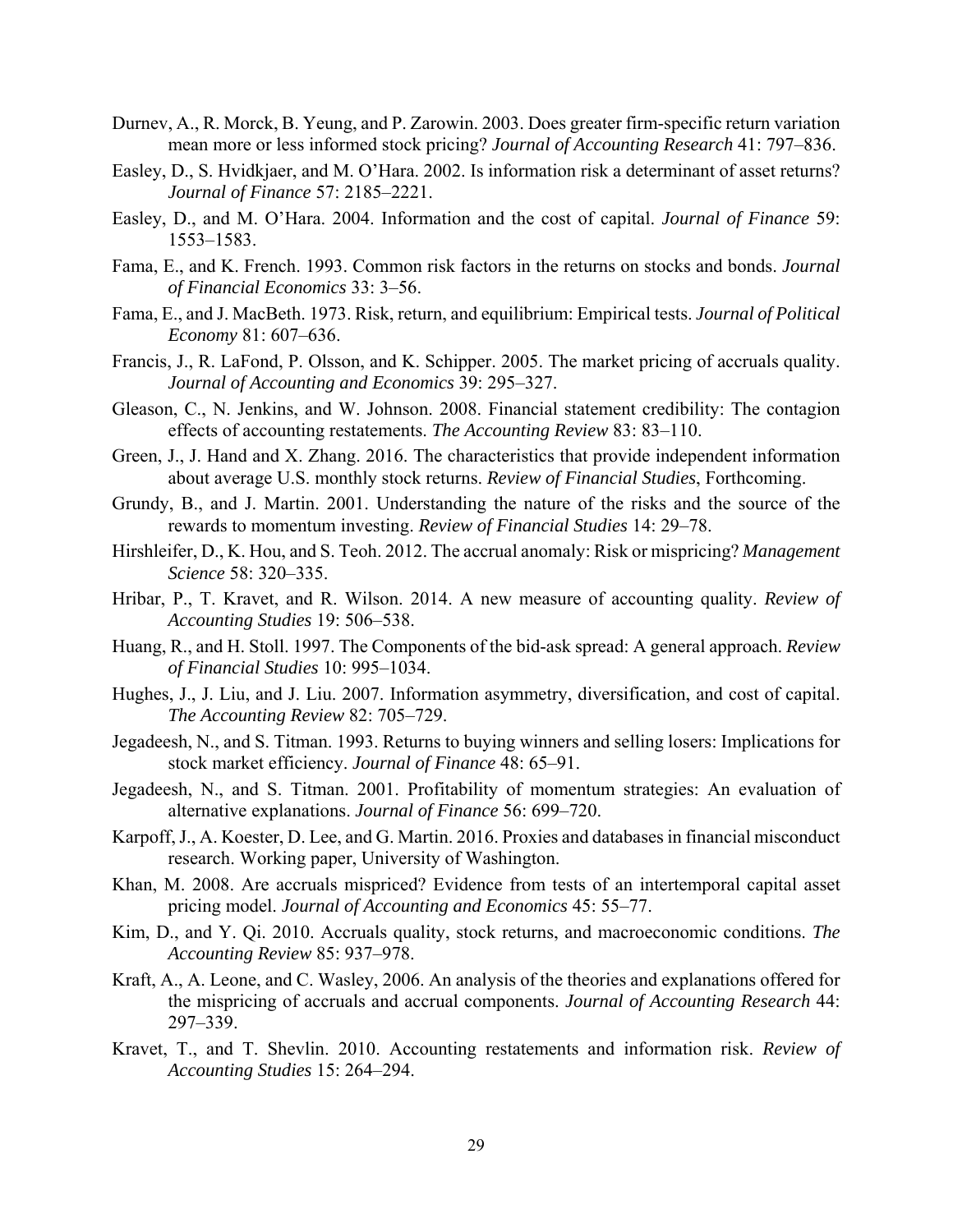- Durnev, A., R. Morck, B. Yeung, and P. Zarowin. 2003. Does greater firm-specific return variation mean more or less informed stock pricing? *Journal of Accounting Research* 41: 797–836.
- Easley, D., S. Hvidkjaer, and M. O'Hara. 2002. Is information risk a determinant of asset returns? *Journal of Finance* 57: 2185–2221.
- Easley, D., and M. O'Hara. 2004. Information and the cost of capital. *Journal of Finance* 59: 1553–1583.
- Fama, E., and K. French. 1993. Common risk factors in the returns on stocks and bonds. *Journal of Financial Economics* 33: 3–56.
- Fama, E., and J. MacBeth. 1973. Risk, return, and equilibrium: Empirical tests. *Journal of Political Economy* 81: 607–636.
- Francis, J., R. LaFond, P. Olsson, and K. Schipper. 2005. The market pricing of accruals quality. *Journal of Accounting and Economics* 39: 295–327.
- Gleason, C., N. Jenkins, and W. Johnson. 2008. Financial statement credibility: The contagion effects of accounting restatements. *The Accounting Review* 83: 83–110.
- Green, J., J. Hand and X. Zhang. 2016. The characteristics that provide independent information about average U.S. monthly stock returns. *Review of Financial Studies*, Forthcoming.
- Grundy, B., and J. Martin. 2001. Understanding the nature of the risks and the source of the rewards to momentum investing. *Review of Financial Studies* 14: 29–78.
- Hirshleifer, D., K. Hou, and S. Teoh. 2012. The accrual anomaly: Risk or mispricing? *Management Science* 58: 320–335.
- Hribar, P., T. Kravet, and R. Wilson. 2014. A new measure of accounting quality. *Review of Accounting Studies* 19: 506–538.
- Huang, R., and H. Stoll. 1997. The Components of the bid-ask spread: A general approach. *Review of Financial Studies* 10: 995–1034.
- Hughes, J., J. Liu, and J. Liu. 2007. Information asymmetry, diversification, and cost of capital. *The Accounting Review* 82: 705–729.
- Jegadeesh, N., and S. Titman. 1993. Returns to buying winners and selling losers: Implications for stock market efficiency. *Journal of Finance* 48: 65–91.
- Jegadeesh, N., and S. Titman. 2001. Profitability of momentum strategies: An evaluation of alternative explanations. *Journal of Finance* 56: 699–720.
- Karpoff, J., A. Koester, D. Lee, and G. Martin. 2016. Proxies and databases in financial misconduct research. Working paper, University of Washington.
- Khan, M. 2008. Are accruals mispriced? Evidence from tests of an intertemporal capital asset pricing model. *Journal of Accounting and Economics* 45: 55–77.
- Kim, D., and Y. Qi. 2010. Accruals quality, stock returns, and macroeconomic conditions. *The Accounting Review* 85: 937–978.
- Kraft, A., A. Leone, and C. Wasley, 2006. An analysis of the theories and explanations offered for the mispricing of accruals and accrual components. *Journal of Accounting Research* 44: 297–339.
- Kravet, T., and T. Shevlin. 2010. Accounting restatements and information risk. *Review of Accounting Studies* 15: 264–294.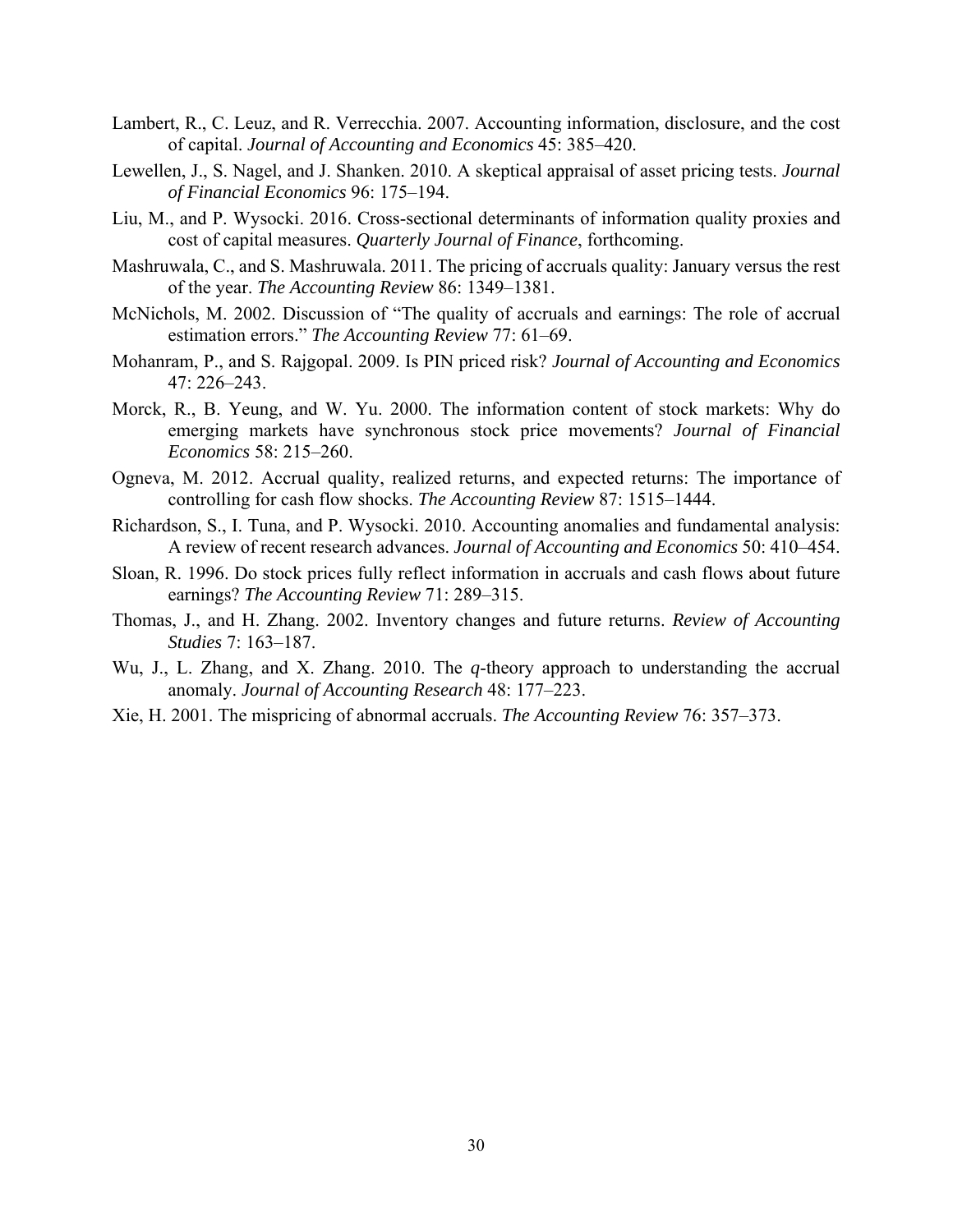- Lambert, R., C. Leuz, and R. Verrecchia. 2007. Accounting information, disclosure, and the cost of capital. *Journal of Accounting and Economics* 45: 385–420.
- Lewellen, J., S. Nagel, and J. Shanken. 2010. A skeptical appraisal of asset pricing tests. *Journal of Financial Economics* 96: 175–194.
- Liu, M., and P. Wysocki. 2016. Cross-sectional determinants of information quality proxies and cost of capital measures. *Quarterly Journal of Finance*, forthcoming.
- Mashruwala, C., and S. Mashruwala. 2011. The pricing of accruals quality: January versus the rest of the year. *The Accounting Review* 86: 1349–1381.
- McNichols, M. 2002. Discussion of "The quality of accruals and earnings: The role of accrual estimation errors." *The Accounting Review* 77: 61–69.
- Mohanram, P., and S. Rajgopal. 2009. Is PIN priced risk? *Journal of Accounting and Economics* 47: 226–243.
- Morck, R., B. Yeung, and W. Yu. 2000. The information content of stock markets: Why do emerging markets have synchronous stock price movements? *Journal of Financial Economics* 58: 215–260.
- Ogneva, M. 2012. Accrual quality, realized returns, and expected returns: The importance of controlling for cash flow shocks. *The Accounting Review* 87: 1515–1444.
- Richardson, S., I. Tuna, and P. Wysocki. 2010. Accounting anomalies and fundamental analysis: A review of recent research advances. *Journal of Accounting and Economics* 50: 410–454.
- Sloan, R. 1996. Do stock prices fully reflect information in accruals and cash flows about future earnings? *The Accounting Review* 71: 289–315.
- Thomas, J., and H. Zhang. 2002. Inventory changes and future returns. *Review of Accounting Studies* 7: 163–187.
- Wu, J., L. Zhang, and X. Zhang. 2010. The *q*-theory approach to understanding the accrual anomaly. *Journal of Accounting Research* 48: 177–223.
- Xie, H. 2001. The mispricing of abnormal accruals. *The Accounting Review* 76: 357–373.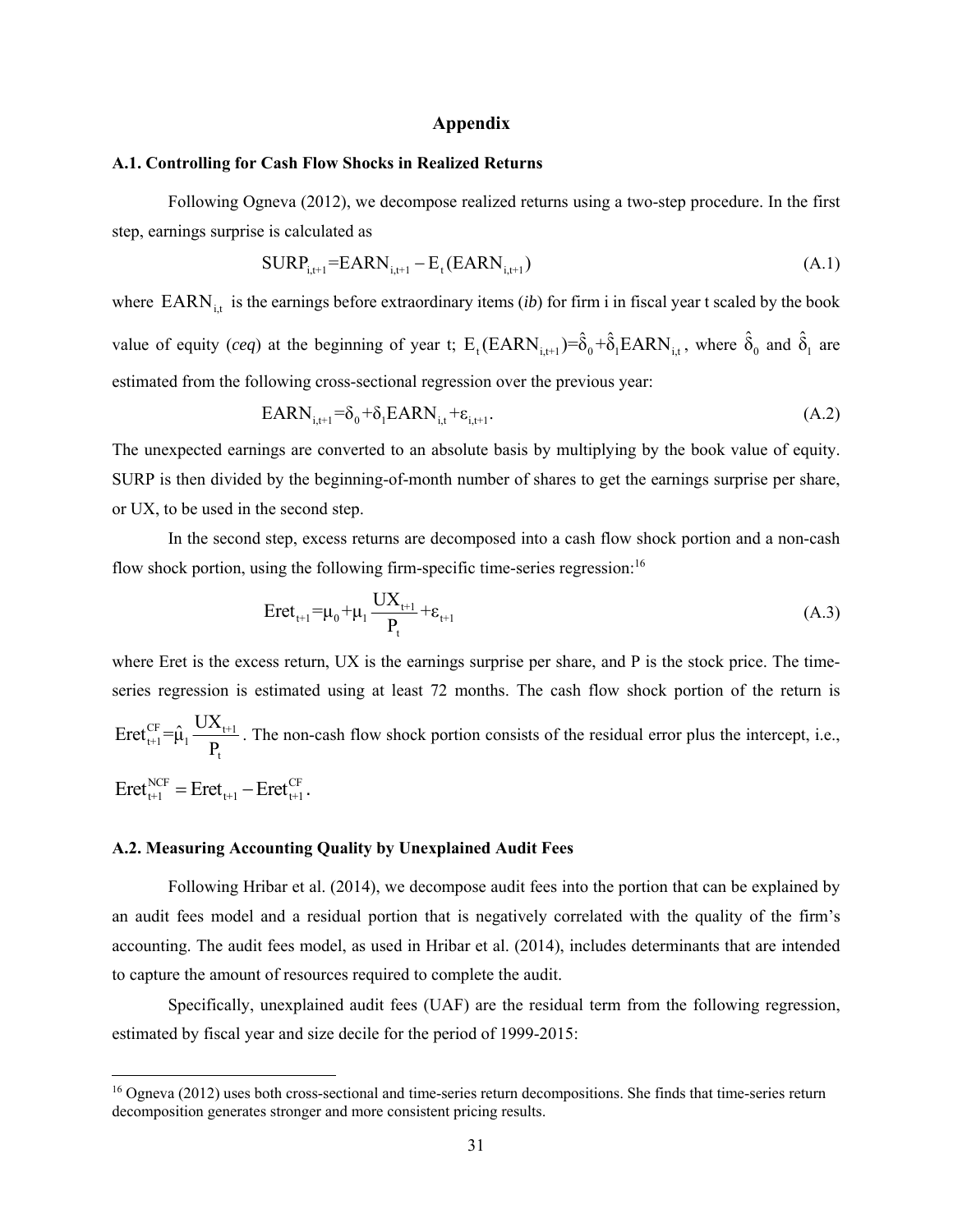#### **Appendix**

#### **A.1. Controlling for Cash Flow Shocks in Realized Returns**

Following Ogneva (2012), we decompose realized returns using a two-step procedure. In the first step, earnings surprise is calculated as

$$
SURP_{i,t+1} = EARN_{i,t+1} - E_t(EARN_{i,t+1})
$$
\n(A.1)

where  $\text{EARN}_{i,t}$  is the earnings before extraordinary items (*ib*) for firm i in fiscal year t scaled by the book value of equity (*ceq*) at the beginning of year t;  $E_t(EARN_{i,t+1}) = \hat{\delta}_0 + \hat{\delta}_1 EARN_{i,t}$ , where  $\hat{\delta}_0$  and  $\hat{\delta}_1$  are estimated from the following cross-sectional regression over the previous year:

$$
EARN_{i,t+1} = \delta_0 + \delta_1 EARN_{i,t} + \varepsilon_{i,t+1}.
$$
\n(A.2)

The unexpected earnings are converted to an absolute basis by multiplying by the book value of equity. SURP is then divided by the beginning-of-month number of shares to get the earnings surprise per share, or UX, to be used in the second step.

In the second step, excess returns are decomposed into a cash flow shock portion and a non-cash flow shock portion, using the following firm-specific time-series regression:<sup>16</sup>

$$
Eret_{t+1} = \mu_0 + \mu_1 \frac{UX_{t+1}}{P_t} + \varepsilon_{t+1}
$$
 (A.3)

where Eret is the excess return, UX is the earnings surprise per share, and P is the stock price. The timeseries regression is estimated using at least 72 months. The cash flow shock portion of the return is  $\lim_{t+1}=\hat{\mu}_1 \frac{\cup \Lambda_{t+1}}{n}$  $Eret_{t+1}^{CF} = \hat{\mu}_1 \frac{UX_{t+1}}{P_t}$ . The non-cash flow shock portion consists of the residual error plus the intercept, i.e.,  $\text{Eret}_{t+1}^{\text{NCF}} = \text{Eret}_{t+1} - \text{Eret}_{t+1}^{\text{CF}}$ .

### **A.2. Measuring Accounting Quality by Unexplained Audit Fees**

 

Following Hribar et al. (2014), we decompose audit fees into the portion that can be explained by an audit fees model and a residual portion that is negatively correlated with the quality of the firm's accounting. The audit fees model, as used in Hribar et al. (2014), includes determinants that are intended to capture the amount of resources required to complete the audit.

Specifically, unexplained audit fees (UAF) are the residual term from the following regression, estimated by fiscal year and size decile for the period of 1999-2015:

<sup>16</sup> Ogneva (2012) uses both cross-sectional and time-series return decompositions. She finds that time-series return decomposition generates stronger and more consistent pricing results.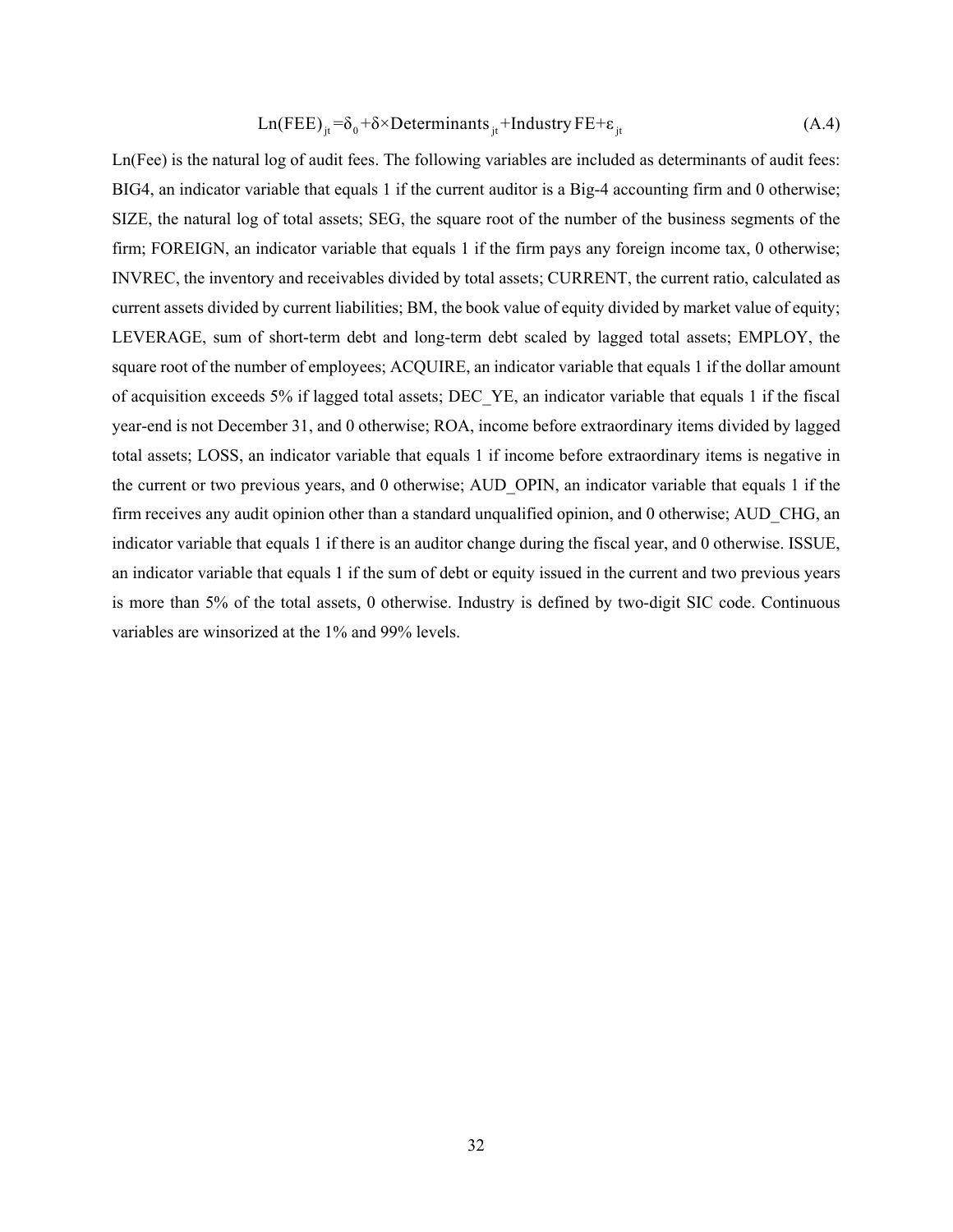$$
Ln(FEE)_{it} = \delta_0 + \delta \times Det \text{erminants}_{it} + Industry FE + \varepsilon_{it}
$$
\n(A.4)

Ln(Fee) is the natural log of audit fees. The following variables are included as determinants of audit fees: BIG4, an indicator variable that equals 1 if the current auditor is a Big-4 accounting firm and 0 otherwise; SIZE, the natural log of total assets; SEG, the square root of the number of the business segments of the firm; FOREIGN, an indicator variable that equals 1 if the firm pays any foreign income tax, 0 otherwise; INVREC, the inventory and receivables divided by total assets; CURRENT, the current ratio, calculated as current assets divided by current liabilities; BM, the book value of equity divided by market value of equity; LEVERAGE, sum of short-term debt and long-term debt scaled by lagged total assets; EMPLOY, the square root of the number of employees; ACQUIRE, an indicator variable that equals 1 if the dollar amount of acquisition exceeds 5% if lagged total assets; DEC\_YE, an indicator variable that equals 1 if the fiscal year-end is not December 31, and 0 otherwise; ROA, income before extraordinary items divided by lagged total assets; LOSS, an indicator variable that equals 1 if income before extraordinary items is negative in the current or two previous years, and 0 otherwise; AUD\_OPIN, an indicator variable that equals 1 if the firm receives any audit opinion other than a standard unqualified opinion, and 0 otherwise; AUD\_CHG, an indicator variable that equals 1 if there is an auditor change during the fiscal year, and 0 otherwise. ISSUE, an indicator variable that equals 1 if the sum of debt or equity issued in the current and two previous years is more than 5% of the total assets, 0 otherwise. Industry is defined by two-digit SIC code. Continuous variables are winsorized at the 1% and 99% levels.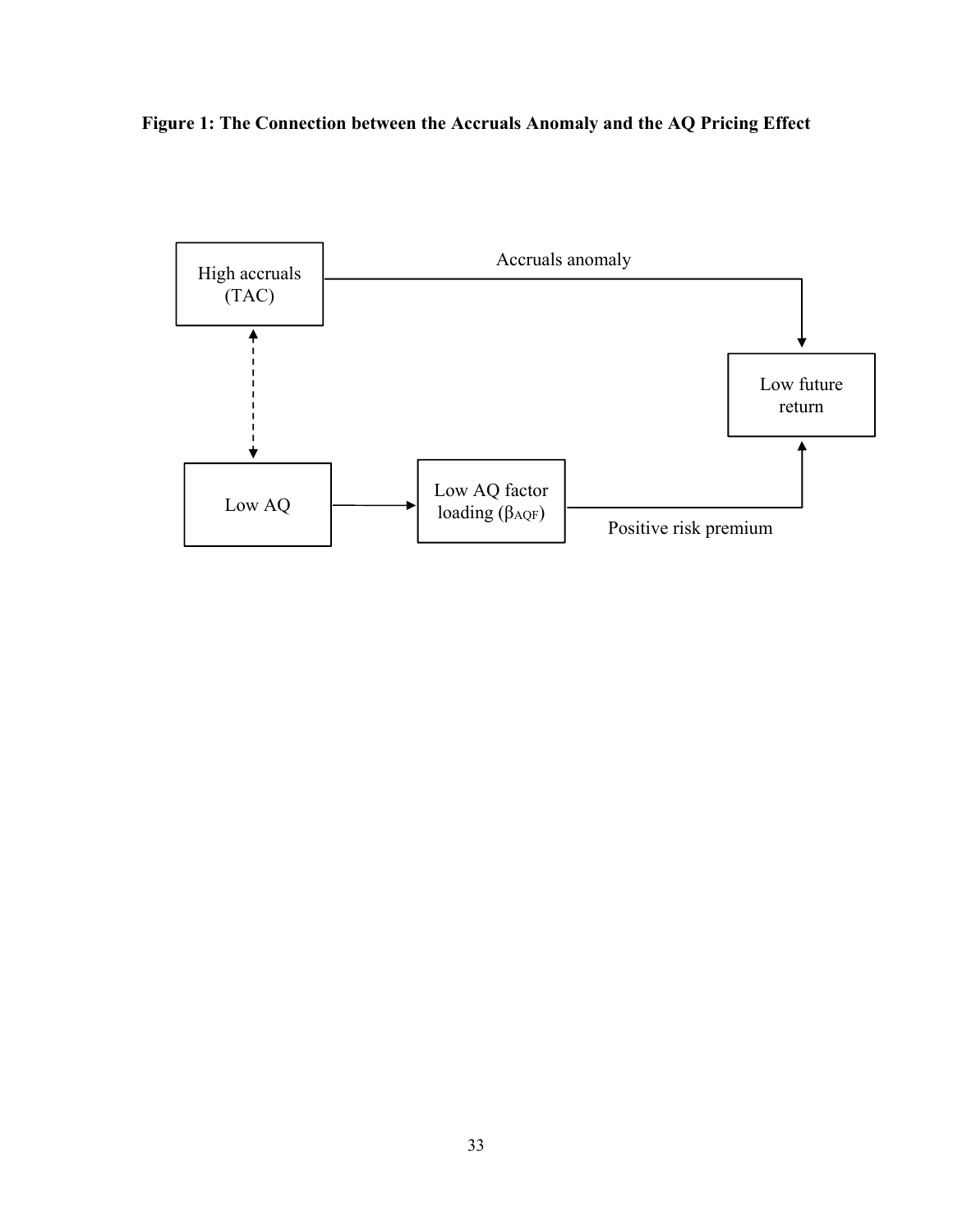**Figure 1: The Connection between the Accruals Anomaly and the AQ Pricing Effect** 

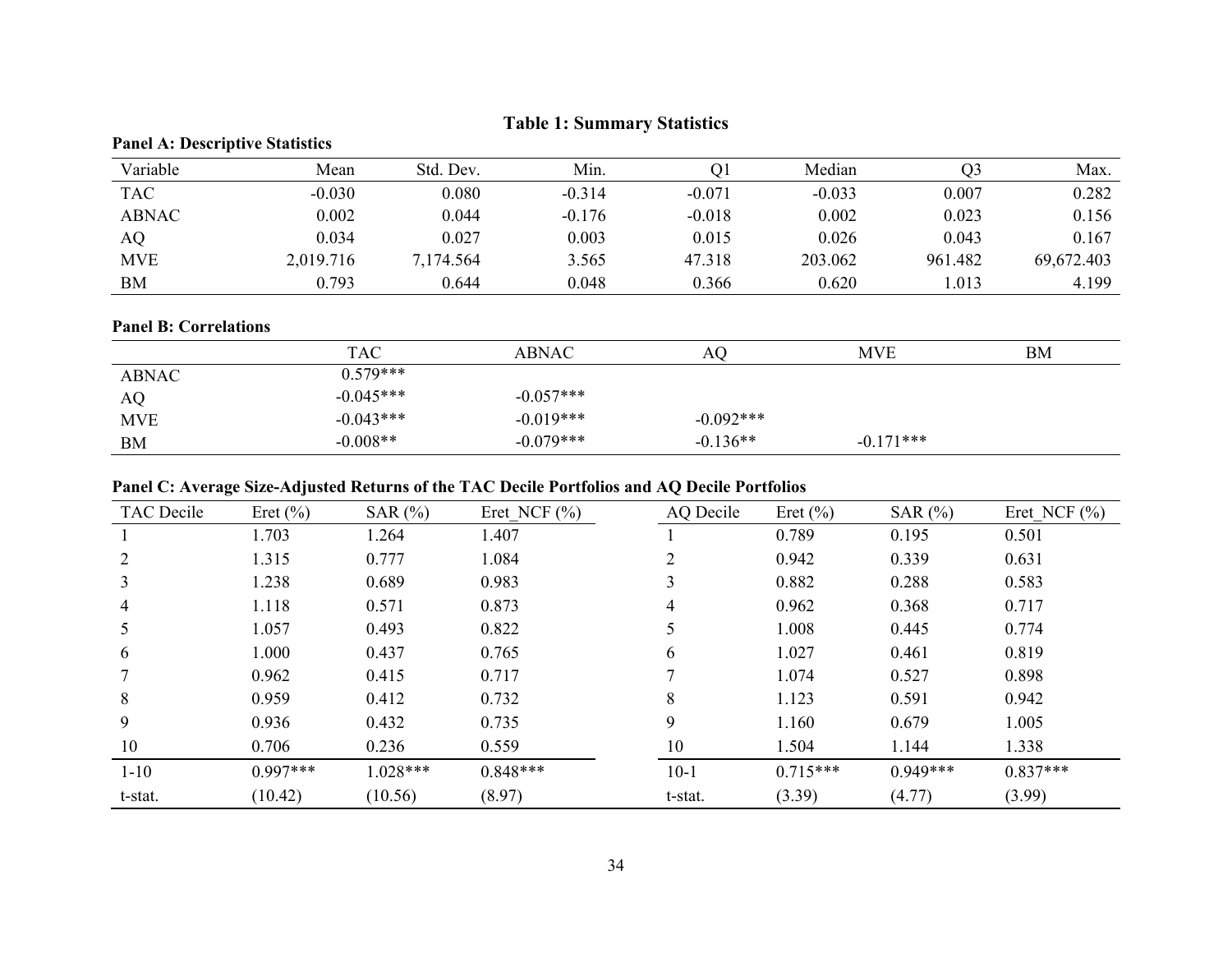|              | <b>Panel A: Descriptive Statistics</b> |           |          |          |          |         |            |  |  |  |  |  |  |
|--------------|----------------------------------------|-----------|----------|----------|----------|---------|------------|--|--|--|--|--|--|
| Variable     | Mean                                   | Std. Dev. | Min.     | Ol       | Median   | Q3      | Max.       |  |  |  |  |  |  |
| <b>TAC</b>   | $-0.030$                               | 0.080     | $-0.314$ | $-0.071$ | $-0.033$ | 0.007   | 0.282      |  |  |  |  |  |  |
| <b>ABNAC</b> | 0.002                                  | 0.044     | $-0.176$ | $-0.018$ | 0.002    | 0.023   | 0.156      |  |  |  |  |  |  |
| AQ           | 0.034                                  | 0.027     | 0.003    | 0.015    | 0.026    | 0.043   | 0.167      |  |  |  |  |  |  |
| <b>MVE</b>   | 2,019.716                              | 7,174.564 | 3.565    | 47.318   | 203.062  | 961.482 | 69,672.403 |  |  |  |  |  |  |
| <b>BM</b>    | 0.793                                  | 0.644     | 0.048    | 0.366    | 0.620    | 1.013   | 4.199      |  |  |  |  |  |  |

# **Table 1: Summary Statistics**

#### **Panel B: Correlations**

|              | <b>TAC</b>  | <b>ABNAC</b> | AQ.          | <b>MVE</b>  | <b>BM</b> |
|--------------|-------------|--------------|--------------|-------------|-----------|
| <b>ABNAC</b> | $0.579***$  |              |              |             |           |
| AQ           | $-0.045***$ | $-0.057***$  |              |             |           |
| <b>MVE</b>   | $-0.043***$ | $-0.019***$  | $-0.092$ *** |             |           |
| BM           | $-0.008**$  | $-0.079***$  | $-0.136**$   | $-0.171***$ |           |

# **Panel C: Average Size-Adjusted Returns of the TAC Decile Portfolios and AQ Decile Portfolios**

| <b>TAC</b> Decile | Eret $(\% )$ | SAR $(%)$  | Eret NCF $(\% )$ | AQ Decile | Eret $(\% )$ | SAR $(%)$  | Eret NCF $(\% )$ |
|-------------------|--------------|------------|------------------|-----------|--------------|------------|------------------|
|                   | 1.703        | 1.264      | 1.407            |           | 0.789        | 0.195      | 0.501            |
|                   | 1.315        | 0.777      | 1.084            |           | 0.942        | 0.339      | 0.631            |
| 3                 | 1.238        | 0.689      | 0.983            |           | 0.882        | 0.288      | 0.583            |
| 4                 | 1.118        | 0.571      | 0.873            | 4         | 0.962        | 0.368      | 0.717            |
|                   | 1.057        | 0.493      | 0.822            |           | 1.008        | 0.445      | 0.774            |
| 6                 | 1.000        | 0.437      | 0.765            | 6         | 1.027        | 0.461      | 0.819            |
|                   | 0.962        | 0.415      | 0.717            | ⇁         | 1.074        | 0.527      | 0.898            |
| 8                 | 0.959        | 0.412      | 0.732            | 8         | 1.123        | 0.591      | 0.942            |
| 9                 | 0.936        | 0.432      | 0.735            | 9         | 1.160        | 0.679      | 1.005            |
| 10                | 0.706        | 0.236      | 0.559            | 10        | 1.504        | 1.144      | 1.338            |
| $1 - 10$          | $0.997***$   | $1.028***$ | $0.848***$       | $10-1$    | $0.715***$   | $0.949***$ | $0.837***$       |
| t-stat.           | (10.42)      | (10.56)    | (8.97)           | t-stat.   | (3.39)       | (4.77)     | (3.99)           |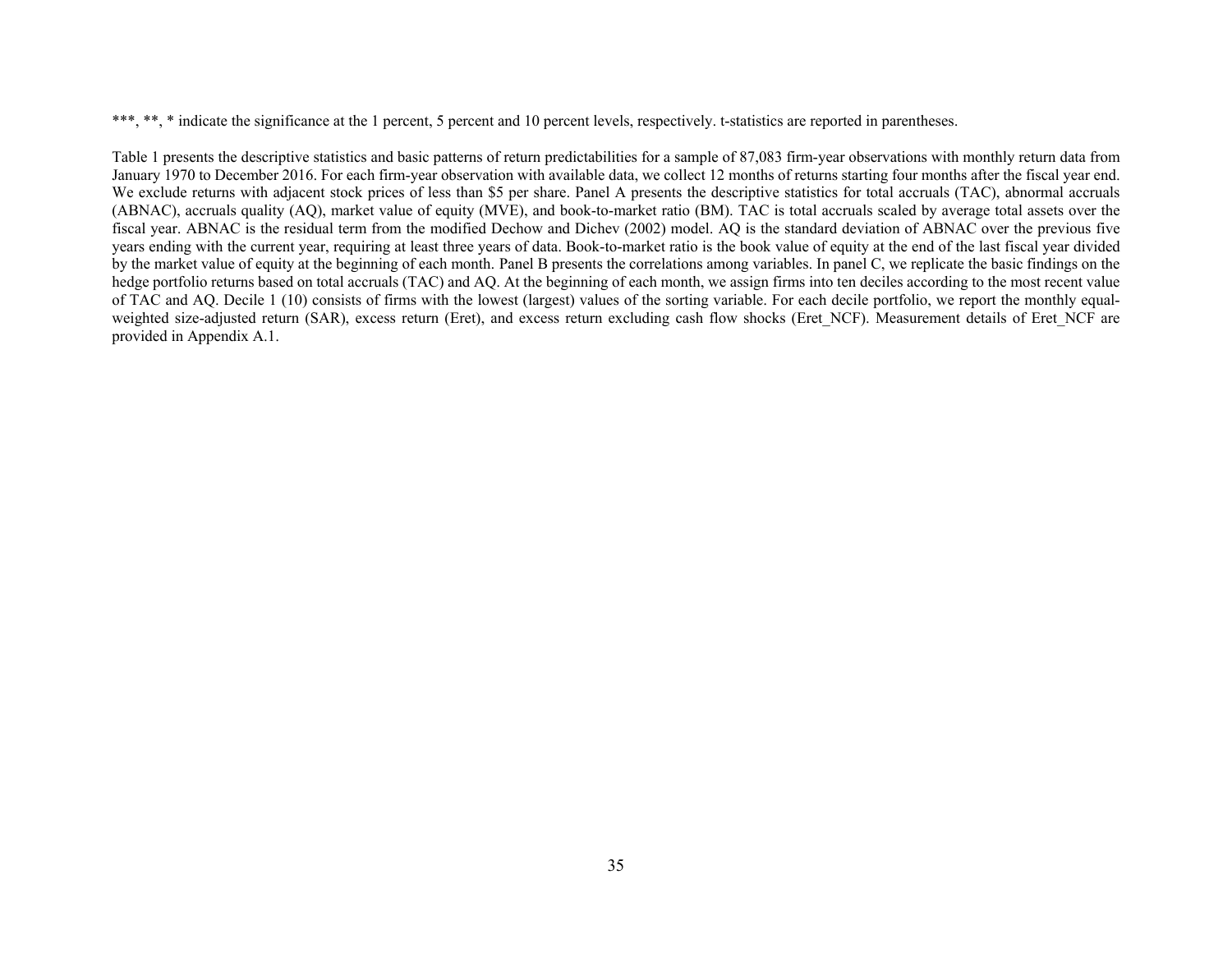\*\*\*, \*\*, indicate the significance at the 1 percent, 5 percent and 10 percent levels, respectively. t-statistics are reported in parentheses.

Table 1 presents the descriptive statistics and basic patterns of return predictabilities for a sample of 87,083 firm-year observations with monthly return data from January 1970 to December 2016. For each firm-year observation with available data, we collect 12 months of returns starting four months after the fiscal year end. We exclude returns with adjacent stock prices of less than \$5 per share. Panel A presents the descriptive statistics for total accruals (TAC), abnormal accruals (ABNAC), accruals quality (AQ), market value of equity (MVE), and book-to-market ratio (BM). TAC is total accruals scaled by average total assets over the fiscal year. ABNAC is the residual term from the modified Dechow and Dichev (2002) model. AQ is the standard deviation of ABNAC over the previous five years ending with the current year, requiring at least three years of data. Book-to-market ratio is the book value of equity at the end of the last fiscal year divided by the market value of equity at the beginning of each month. Panel B presents the correlations among variables. In panel C, we replicate the basic findings on the hedge portfolio returns based on total accruals (TAC) and AQ. At the beginning of each month, we assign firms into ten deciles according to the most recent value of TAC and AQ. Decile 1 (10) consists of firms with the lowest (largest) values of the sorting variable. For each decile portfolio, we report the monthly equalweighted size-adjusted return (SAR), excess return (Eret), and excess return excluding cash flow shocks (Eret NCF). Measurement details of Eret NCF are provided in Appendix A.1.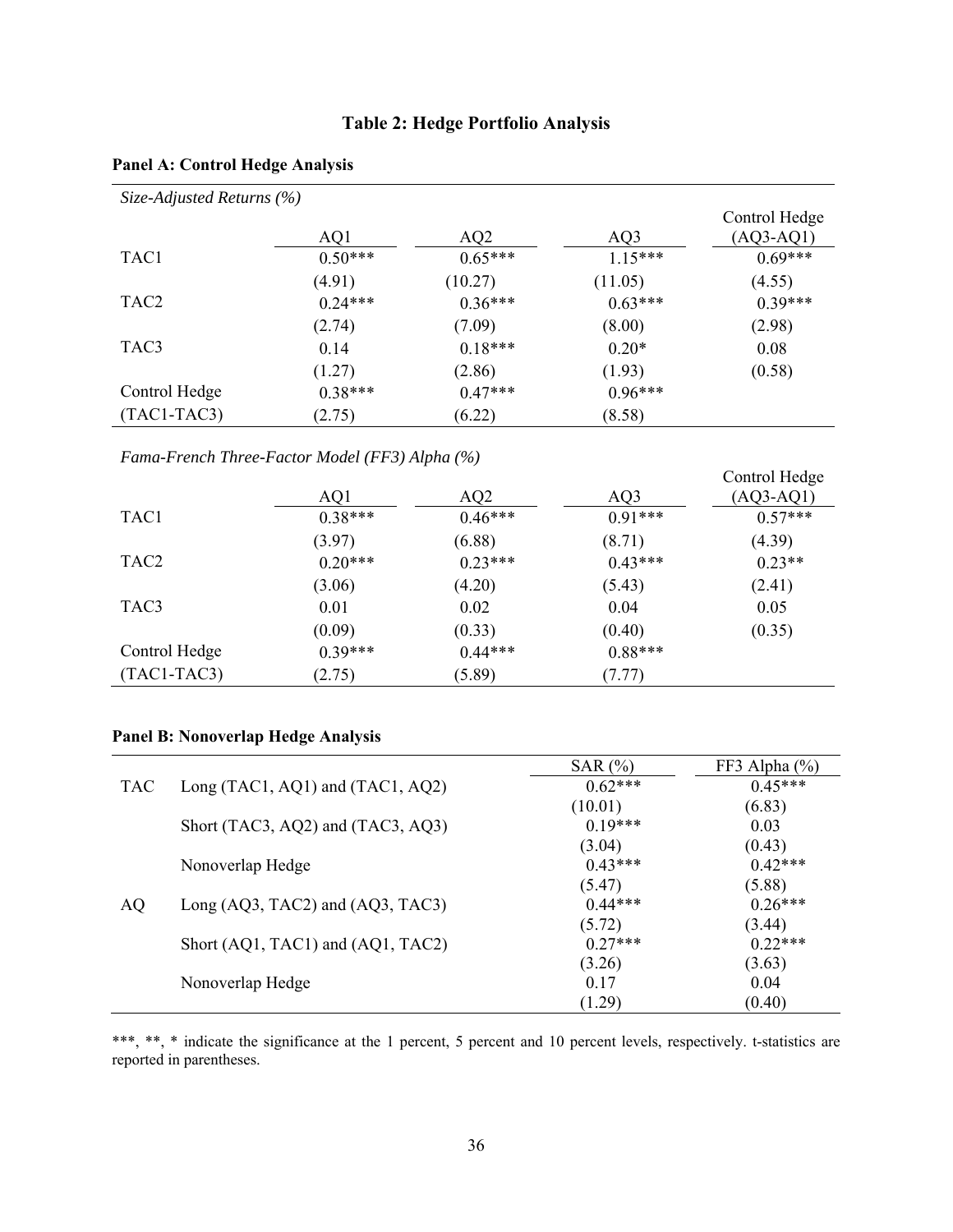# **Table 2: Hedge Portfolio Analysis**

| Size-Adjusted Returns $(\% )$ |           |           |           |               |
|-------------------------------|-----------|-----------|-----------|---------------|
|                               |           |           |           | Control Hedge |
|                               | AQ1       | AQ2       | AQ3       | $(AQ3-AQ1)$   |
| TAC1                          | $0.50***$ | $0.65***$ | $1.15***$ | $0.69***$     |
|                               | (4.91)    | (10.27)   | (11.05)   | (4.55)        |
| TAC <sub>2</sub>              | $0.24***$ | $0.36***$ | $0.63***$ | $0.39***$     |
|                               | (2.74)    | (7.09)    | (8.00)    | (2.98)        |
| TAC3                          | 0.14      | $0.18***$ | $0.20*$   | 0.08          |
|                               | (1.27)    | (2.86)    | (1.93)    | (0.58)        |
| Control Hedge                 | $0.38***$ | $0.47***$ | $0.96***$ |               |
| $(TAC1-TAC3)$                 | (2.75)    | (6.22)    | (8.58)    |               |

# **Panel A: Control Hedge Analysis**

*Fama-French Three-Factor Model (FF3) Alpha (%)* 

|                  |           |           |           | Control Hedge |
|------------------|-----------|-----------|-----------|---------------|
|                  | AQ1       | AQ2       | AQ3       | $(AQ3-AQ1)$   |
| TAC <sub>1</sub> | $0.38***$ | $0.46***$ | $0.91***$ | $0.57***$     |
|                  | (3.97)    | (6.88)    | (8.71)    | (4.39)        |
| TAC <sub>2</sub> | $0.20***$ | $0.23***$ | $0.43***$ | $0.23**$      |
|                  | (3.06)    | (4.20)    | (5.43)    | (2.41)        |
| TAC3             | 0.01      | 0.02      | 0.04      | 0.05          |
|                  | (0.09)    | (0.33)    | (0.40)    | (0.35)        |
| Control Hedge    | $0.39***$ | $0.44***$ | $0.88***$ |               |
| $(TAC1-TAC3)$    | (2.75)    | (5.89)    | (7.77)    |               |

# **Panel B: Nonoverlap Hedge Analysis**

|            |                                   | SAR $(\% )$ | FF3 Alpha $(\% )$ |
|------------|-----------------------------------|-------------|-------------------|
| <b>TAC</b> | Long (TAC1, AQ1) and (TAC1, AQ2)  | $0.62***$   | $0.45***$         |
|            |                                   | (10.01)     | (6.83)            |
|            | Short (TAC3, AQ2) and (TAC3, AQ3) | $0.19***$   | 0.03              |
|            |                                   | (3.04)      | (0.43)            |
|            | Nonoverlap Hedge                  | $0.43***$   | $0.42***$         |
|            |                                   | (5.47)      | (5.88)            |
| <b>AQ</b>  | Long (AQ3, TAC2) and (AQ3, TAC3)  | $0.44***$   | $0.26***$         |
|            |                                   | (5.72)      | (3.44)            |
|            | Short (AQ1, TAC1) and (AQ1, TAC2) | $0.27***$   | $0.22***$         |
|            |                                   | (3.26)      | (3.63)            |
|            | Nonoverlap Hedge                  | 0.17        | 0.04              |
|            |                                   | (1.29)      | (0.40)            |

\*\*\*, \*\*, \* indicate the significance at the 1 percent, 5 percent and 10 percent levels, respectively. t-statistics are reported in parentheses.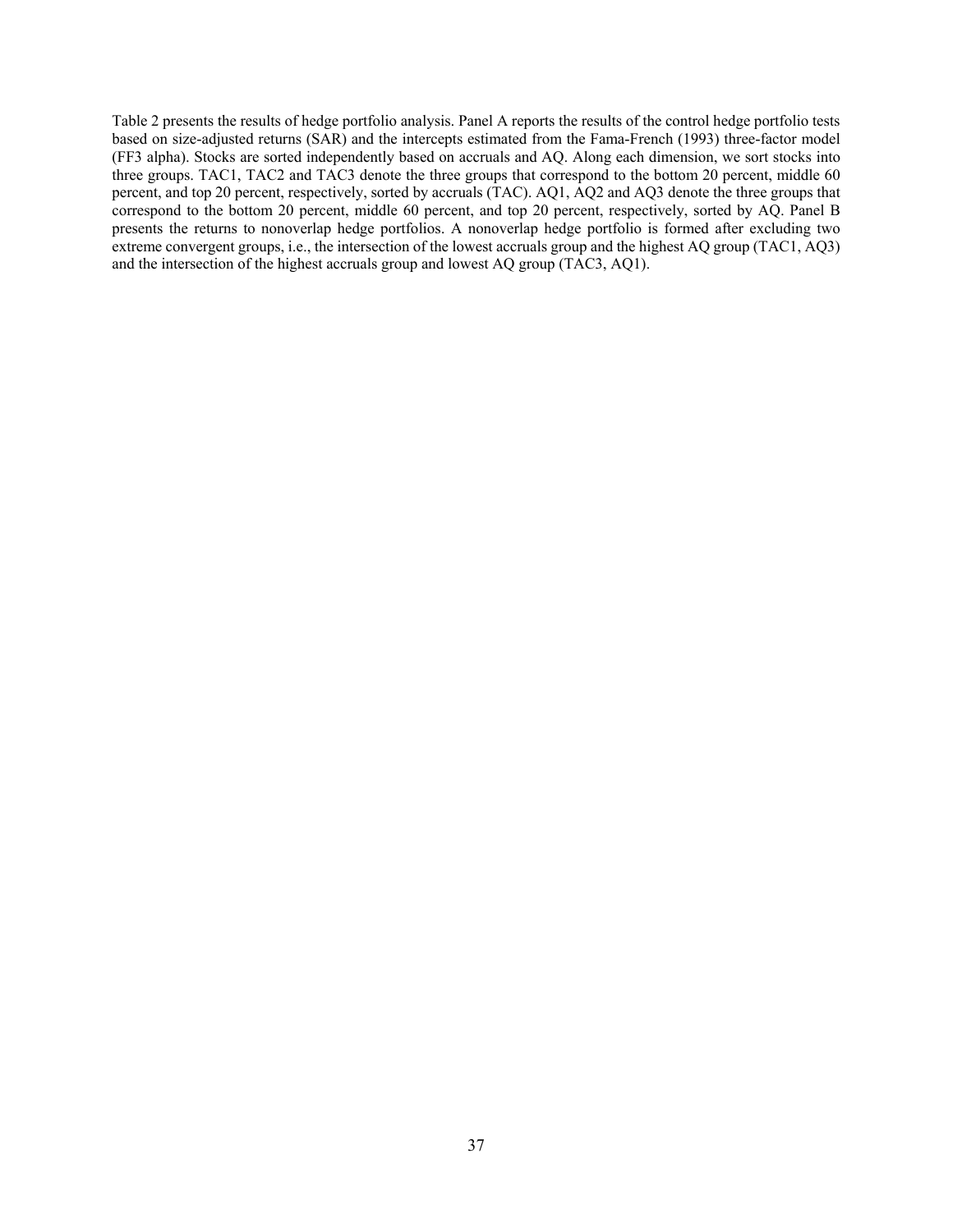Table 2 presents the results of hedge portfolio analysis. Panel A reports the results of the control hedge portfolio tests based on size-adjusted returns (SAR) and the intercepts estimated from the Fama-French (1993) three-factor model (FF3 alpha). Stocks are sorted independently based on accruals and AQ. Along each dimension, we sort stocks into three groups. TAC1, TAC2 and TAC3 denote the three groups that correspond to the bottom 20 percent, middle 60 percent, and top 20 percent, respectively, sorted by accruals (TAC). AQ1, AQ2 and AQ3 denote the three groups that correspond to the bottom 20 percent, middle 60 percent, and top 20 percent, respectively, sorted by AQ. Panel B presents the returns to nonoverlap hedge portfolios. A nonoverlap hedge portfolio is formed after excluding two extreme convergent groups, i.e., the intersection of the lowest accruals group and the highest AQ group (TAC1, AQ3) and the intersection of the highest accruals group and lowest AQ group (TAC3, AQ1).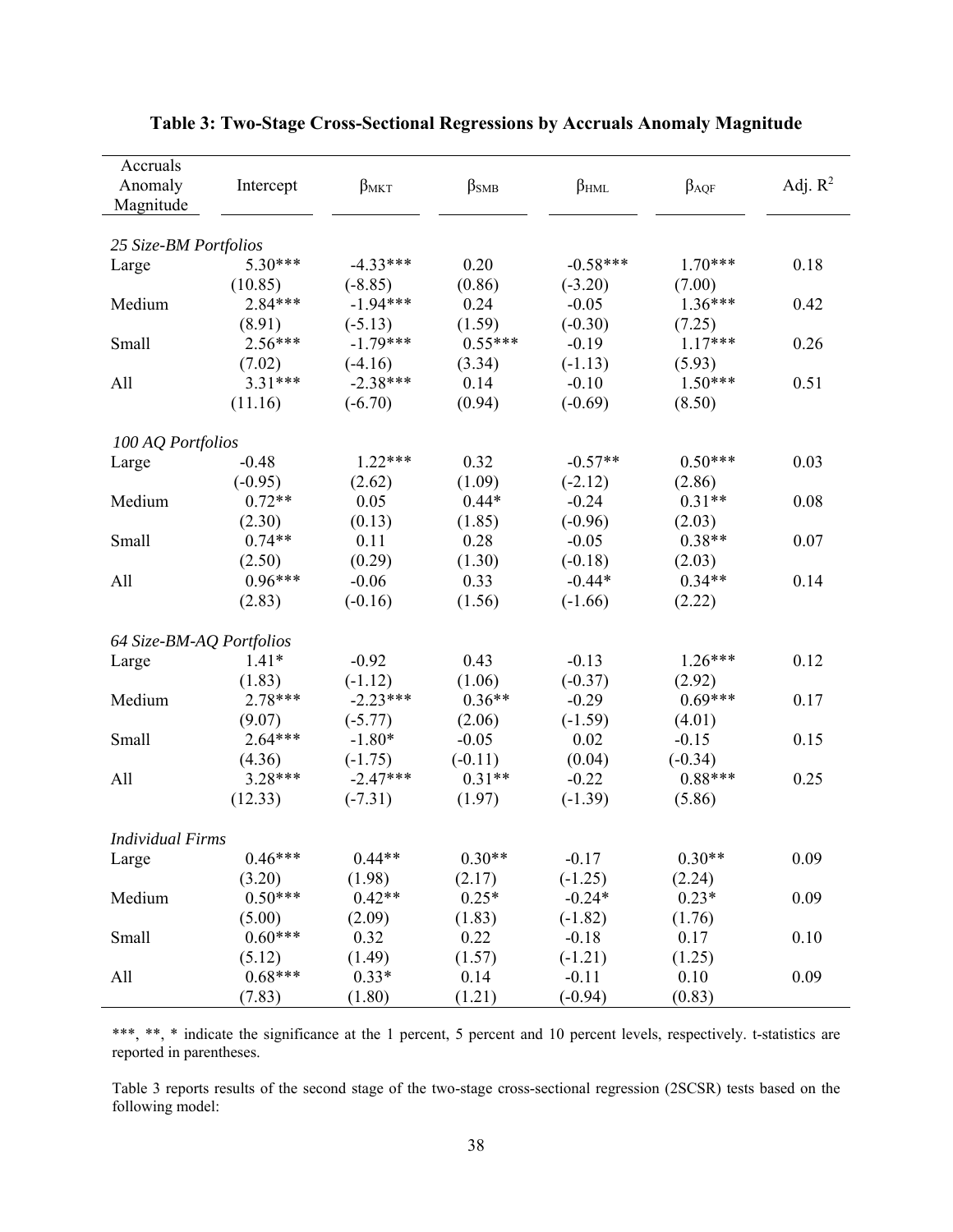| Accruals                 |           |             |               |                        |               |            |
|--------------------------|-----------|-------------|---------------|------------------------|---------------|------------|
| Anomaly                  | Intercept | $\beta$ MKT | $\beta_{SMB}$ | $\beta$ <sub>HML</sub> | $\beta_{AQF}$ | Adj. $R^2$ |
| Magnitude                |           |             |               |                        |               |            |
|                          |           |             |               |                        |               |            |
| 25 Size-BM Portfolios    |           |             |               |                        |               |            |
| Large                    | 5.30***   | $-4.33***$  | 0.20          | $-0.58***$             | $1.70***$     | 0.18       |
|                          | (10.85)   | $(-8.85)$   | (0.86)        | $(-3.20)$              | (7.00)        |            |
| Medium                   | 2.84***   | $-1.94***$  | 0.24          | $-0.05$                | $1.36***$     | 0.42       |
|                          | (8.91)    | $(-5.13)$   | (1.59)        | $(-0.30)$              | (7.25)        |            |
| Small                    | $2.56***$ | $-1.79***$  | $0.55***$     | $-0.19$                | $1.17***$     | 0.26       |
|                          | (7.02)    | $(-4.16)$   | (3.34)        | $(-1.13)$              | (5.93)        |            |
| All                      | $3.31***$ | $-2.38***$  | 0.14          | $-0.10$                | $1.50***$     | 0.51       |
|                          | (11.16)   | $(-6.70)$   | (0.94)        | $(-0.69)$              | (8.50)        |            |
| 100 AQ Portfolios        |           |             |               |                        |               |            |
| Large                    | $-0.48$   | $1.22***$   | 0.32          | $-0.57**$              | $0.50***$     | 0.03       |
|                          | $(-0.95)$ | (2.62)      | (1.09)        | $(-2.12)$              | (2.86)        |            |
| Medium                   | $0.72**$  | 0.05        | $0.44*$       | $-0.24$                | $0.31**$      | 0.08       |
|                          | (2.30)    | (0.13)      | (1.85)        | $(-0.96)$              | (2.03)        |            |
| Small                    | $0.74**$  | 0.11        | 0.28          | $-0.05$                | $0.38**$      | 0.07       |
|                          | (2.50)    | (0.29)      | (1.30)        | $(-0.18)$              | (2.03)        |            |
| All                      | $0.96***$ | $-0.06$     | 0.33          | $-0.44*$               | $0.34**$      | 0.14       |
|                          | (2.83)    | $(-0.16)$   | (1.56)        | $(-1.66)$              | (2.22)        |            |
| 64 Size-BM-AQ Portfolios |           |             |               |                        |               |            |
| Large                    | $1.41*$   | $-0.92$     | 0.43          | $-0.13$                | $1.26***$     | 0.12       |
|                          | (1.83)    | $(-1.12)$   | (1.06)        | $(-0.37)$              | (2.92)        |            |
| Medium                   | 2.78***   | $-2.23***$  | $0.36**$      | $-0.29$                | $0.69***$     | 0.17       |
|                          | (9.07)    | $(-5.77)$   | (2.06)        | $(-1.59)$              | (4.01)        |            |
| Small                    | $2.64***$ | $-1.80*$    | $-0.05$       | 0.02                   | $-0.15$       | 0.15       |
|                          | (4.36)    | $(-1.75)$   | $(-0.11)$     | (0.04)                 | $(-0.34)$     |            |
| All                      | 3.28***   | $-2.47***$  | $0.31**$      | $-0.22$                | $0.88***$     | 0.25       |
|                          | (12.33)   | $(-7.31)$   | (1.97)        | $(-1.39)$              | (5.86)        |            |
|                          |           |             |               |                        |               |            |
| <b>Individual Firms</b>  |           |             |               |                        |               |            |
| Large                    | $0.46***$ | $0.44**$    | $0.30**$      | $-0.17$                | $0.30**$      | 0.09       |
|                          | (3.20)    | (1.98)      | (2.17)        | $(-1.25)$              | (2.24)        |            |
| Medium                   | $0.50***$ | $0.42**$    | $0.25*$       | $-0.24*$               | $0.23*$       | 0.09       |
|                          | (5.00)    | (2.09)      | (1.83)        | $(-1.82)$              | (1.76)        |            |
| Small                    | $0.60***$ | 0.32        | 0.22          | $-0.18$                | 0.17          | 0.10       |
|                          | (5.12)    | (1.49)      | (1.57)        | $(-1.21)$              | (1.25)        |            |
| All                      | $0.68***$ | $0.33*$     | 0.14          | $-0.11$                | 0.10          | 0.09       |
|                          | (7.83)    | (1.80)      | (1.21)        | $(-0.94)$              | (0.83)        |            |

# **Table 3: Two-Stage Cross-Sectional Regressions by Accruals Anomaly Magnitude**

\*\*\*, \*\*, \* indicate the significance at the 1 percent, 5 percent and 10 percent levels, respectively. t-statistics are reported in parentheses.

Table 3 reports results of the second stage of the two-stage cross-sectional regression (2SCSR) tests based on the following model: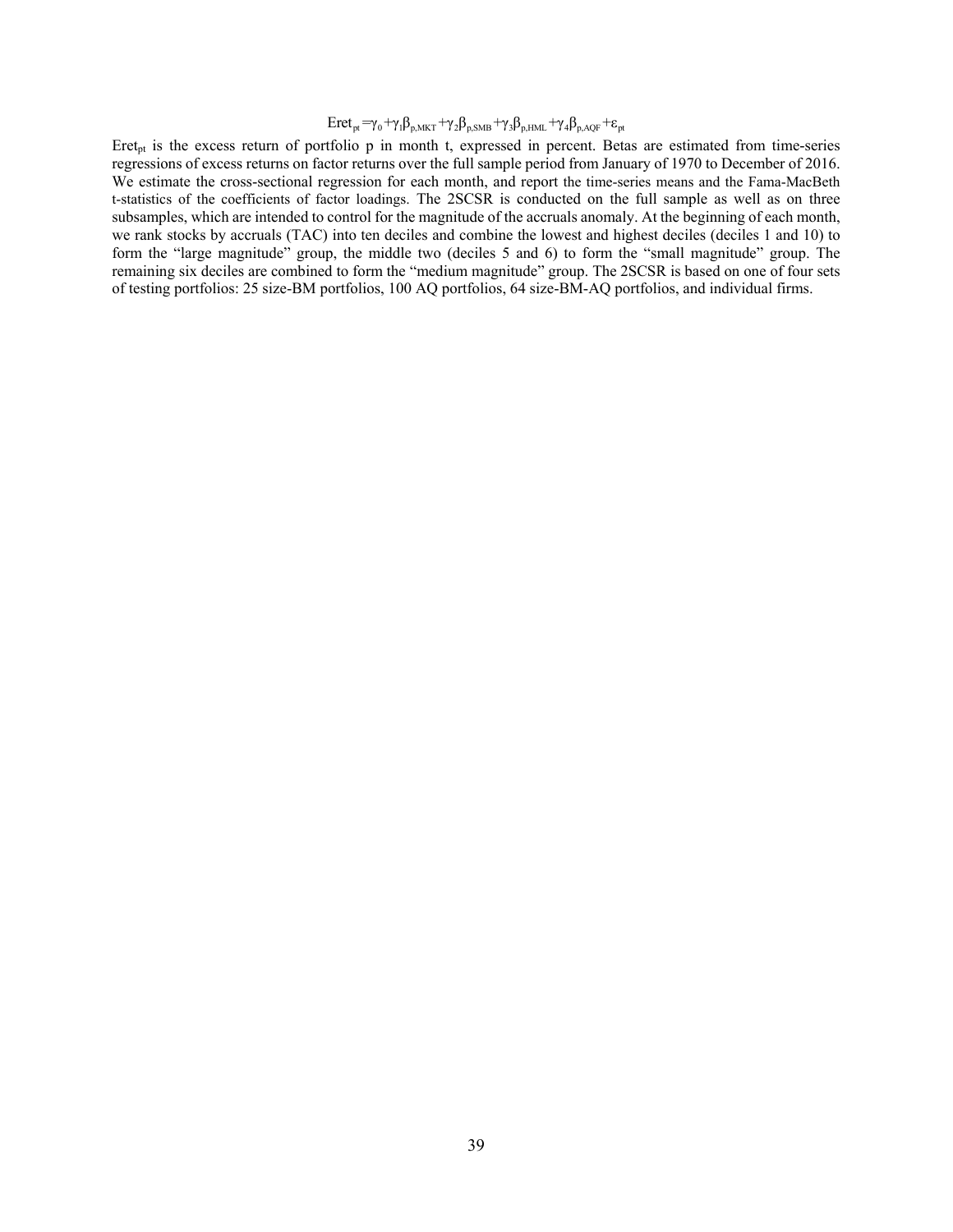$$
Eret_{pt} = \gamma_0 + \gamma_1 \beta_{p,MKT} + \gamma_2 \beta_{p, SMB} + \gamma_3 \beta_{p,HML} + \gamma_4 \beta_{p, AQF} + \epsilon_{pt}
$$

Eret<sub>pt</sub> is the excess return of portfolio p in month t, expressed in percent. Betas are estimated from time-series regressions of excess returns on factor returns over the full sample period from January of 1970 to December of 2016. We estimate the cross-sectional regression for each month, and report the time-series means and the Fama-MacBeth t-statistics of the coefficients of factor loadings. The 2SCSR is conducted on the full sample as well as on three subsamples, which are intended to control for the magnitude of the accruals anomaly. At the beginning of each month, we rank stocks by accruals (TAC) into ten deciles and combine the lowest and highest deciles (deciles 1 and 10) to form the "large magnitude" group, the middle two (deciles 5 and 6) to form the "small magnitude" group. The remaining six deciles are combined to form the "medium magnitude" group. The 2SCSR is based on one of four sets of testing portfolios: 25 size-BM portfolios, 100 AQ portfolios, 64 size-BM-AQ portfolios, and individual firms.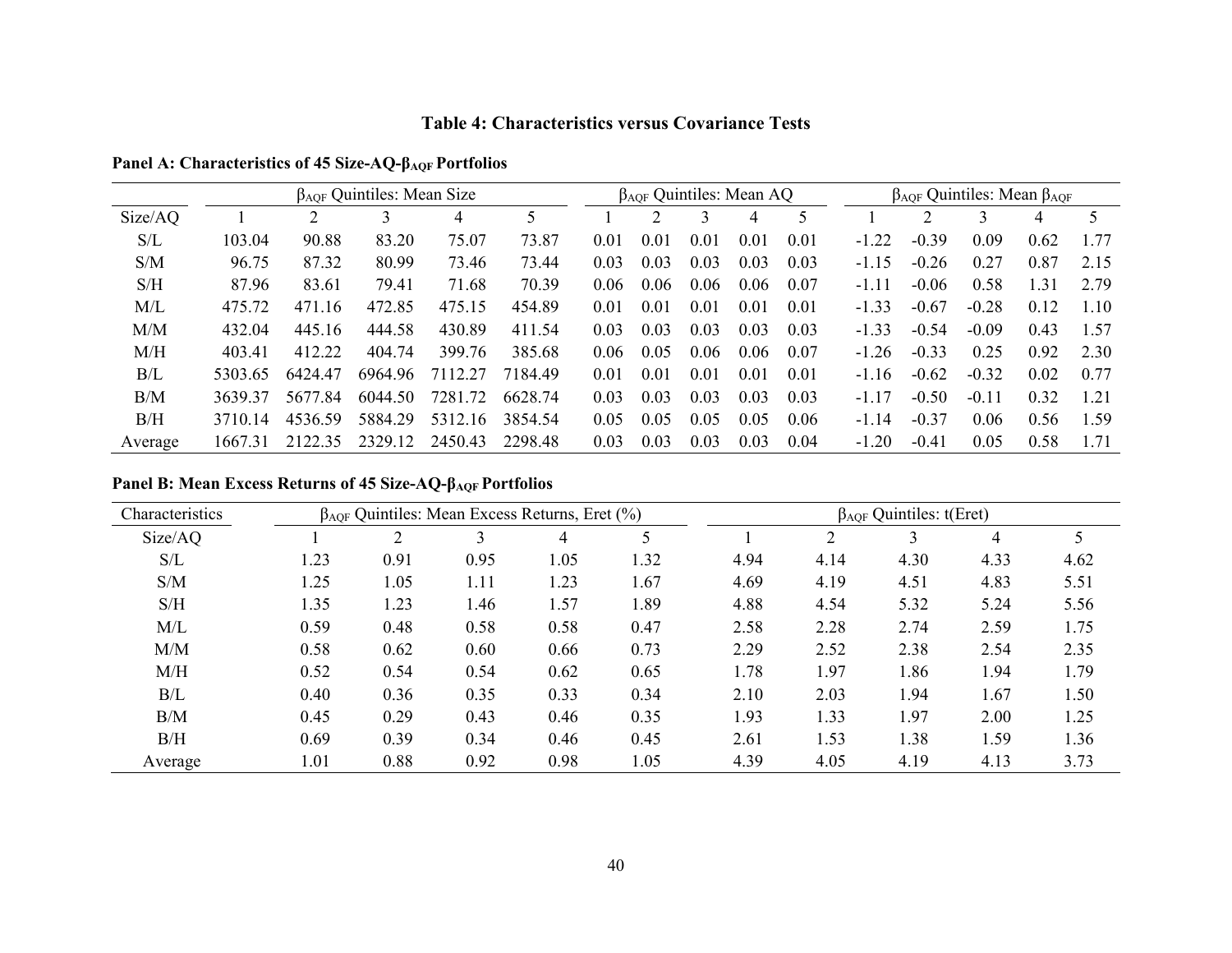#### **Table 4: Characteristics versus Covariance Tests**

|         | $\beta_{AOF}$ Quintiles: Mean Size |         |         |         |         | $\beta_{AOF}$ Quintiles: Mean AQ |      |      |      |      | $\beta_{AOF}$ Quintiles: Mean $\beta_{AOF}$ |         |         |      |      |
|---------|------------------------------------|---------|---------|---------|---------|----------------------------------|------|------|------|------|---------------------------------------------|---------|---------|------|------|
| Size/AQ |                                    |         |         | 4       |         |                                  |      |      | 4    |      |                                             |         |         | 4    | 5    |
| S/L     | 103.04                             | 90.88   | 83.20   | 75.07   | 73.87   | 0.01                             | 0.01 | 0.01 | 0.01 | 0.01 | $-1.22$                                     | $-0.39$ | 0.09    | 0.62 | 1.77 |
| S/M     | 96.75                              | 87.32   | 80.99   | 73.46   | 73.44   | 0.03                             | 0.03 | 0.03 | 0.03 | 0.03 | $-1.15$                                     | $-0.26$ | 0.27    | 0.87 | 2.15 |
| S/H     | 87.96                              | 83.61   | 79.41   | 71.68   | 70.39   | 0.06                             | 0.06 | 0.06 | 0.06 | 0.07 | $-1.11$                                     | $-0.06$ | 0.58    | 1.31 | 2.79 |
| M/L     | 475.72                             | 471.16  | 472.85  | 475.15  | 454.89  | 0.01                             | 0.01 | 0.01 | 0.01 | 0.01 | $-1.33$                                     | $-0.67$ | $-0.28$ | 0.12 | 1.10 |
| M/M     | 432.04                             | 445.16  | 444.58  | 430.89  | 411.54  | 0.03                             | 0.03 | 0.03 | 0.03 | 0.03 | $-1.33$                                     | $-0.54$ | $-0.09$ | 0.43 | 1.57 |
| M/H     | 403.41                             | 412.22  | 404.74  | 399.76  | 385.68  | 0.06                             | 0.05 | 0.06 | 0.06 | 0.07 | $-1.26$                                     | $-0.33$ | 0.25    | 0.92 | 2.30 |
| B/L     | 5303.65                            | 6424 47 | 6964.96 | 7112 27 | 7184.49 | 0.01                             | 0.01 | 0.01 | 0.01 | 0.01 | $-1.16$                                     | $-0.62$ | $-0.32$ | 0.02 | 0.77 |
| B/M     | 3639.37                            | 5677.84 | 6044.50 | 7281.72 | 6628.74 | 0.03                             | 0.03 | 0.03 | 0.03 | 0.03 | $-1.17$                                     | $-0.50$ | $-0.11$ | 0.32 | 1.21 |
| B/H     | 3710.14                            | 4536.59 | 5884.29 | 5312.16 | 3854.54 | 0.05                             | 0.05 | 0.05 | 0.05 | 0.06 | $-1.14$                                     | $-0.37$ | 0.06    | 0.56 | 1.59 |
| Average | 1667.31                            | 2122.35 | 2329.12 | 2450.43 | 2298.48 | 0.03                             | 0.03 | 0.03 | 0.03 | 0.04 | $-1.20$                                     | $-0.41$ | 0.05    | 0.58 | 1.71 |

# **Panel A: Characteristics of 45 Size-AQ-βAQF Portfolios**

# **Panel B: Mean Excess Returns of 45 Size-AQ-βAQF Portfolios**

| Characteristics |      |      | $\beta_{AOF}$ Quintiles: Mean Excess Returns, Eret (%) |      |      | $\beta_{AOF}$ Quintiles: t(Eret) |      |      |      |      |
|-----------------|------|------|--------------------------------------------------------|------|------|----------------------------------|------|------|------|------|
| Size/AQ         |      |      |                                                        | 4    |      |                                  |      |      | 4    |      |
| S/L             | 1.23 | 0.91 | 0.95                                                   | 1.05 | 1.32 | 4.94                             | 4.14 | 4.30 | 4.33 | 4.62 |
| S/M             | 1.25 | 1.05 | 1.11                                                   | 1.23 | 1.67 | 4.69                             | 4.19 | 4.51 | 4.83 | 5.51 |
| S/H             | 1.35 | 1.23 | l.46                                                   | 1.57 | 1.89 | 4.88                             | 4.54 | 5.32 | 5.24 | 5.56 |
| M/L             | 0.59 | 0.48 | 0.58                                                   | 0.58 | 0.47 | 2.58                             | 2.28 | 2.74 | 2.59 | 1.75 |
| M/M             | 0.58 | 0.62 | 0.60                                                   | 0.66 | 0.73 | 2.29                             | 2.52 | 2.38 | 2.54 | 2.35 |
| M/H             | 0.52 | 0.54 | 0.54                                                   | 0.62 | 0.65 | 1.78                             | 1.97 | 1.86 | 1.94 | 1.79 |
| B/L             | 0.40 | 0.36 | 0.35                                                   | 0.33 | 0.34 | 2.10                             | 2.03 | 1.94 | 1.67 | 1.50 |
| B/M             | 0.45 | 0.29 | 0.43                                                   | 0.46 | 0.35 | 1.93                             | 1.33 | l.97 | 2.00 | 1.25 |
| B/H             | 0.69 | 0.39 | 0.34                                                   | 0.46 | 0.45 | 2.61                             | 1.53 | 1.38 | 1.59 | 1.36 |
| Average         | 1.01 | 0.88 | 0.92                                                   | 0.98 | 1.05 | 4.39                             | 4.05 | 4.19 | 4.13 | 3.73 |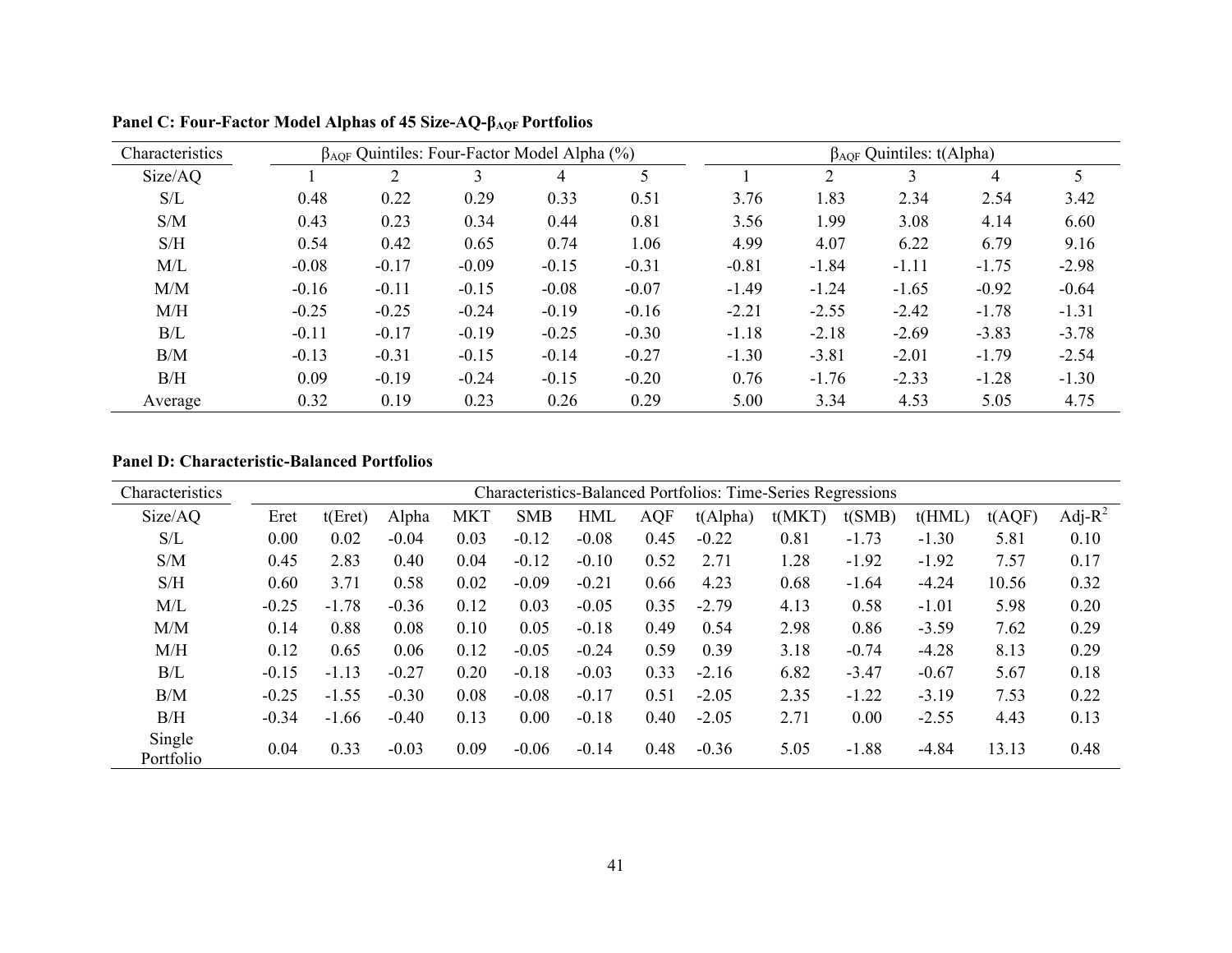| Characteristics | $\beta_{AOF}$ Quintiles: Four-Factor Model Alpha $(\%)$ | $\beta_{AOF}$ Quintiles: t(Alpha) |         |         |         |         |         |         |         |         |
|-----------------|---------------------------------------------------------|-----------------------------------|---------|---------|---------|---------|---------|---------|---------|---------|
| Size/AQ         |                                                         |                                   |         | 4       |         |         |         |         | 4       |         |
| S/L             | 0.48                                                    | 0.22                              | 0.29    | 0.33    | 0.51    | 3.76    | 1.83    | 2.34    | 2.54    | 3.42    |
| S/M             | 0.43                                                    | 0.23                              | 0.34    | 0.44    | 0.81    | 3.56    | 1.99    | 3.08    | 4.14    | 6.60    |
| S/H             | 0.54                                                    | 0.42                              | 0.65    | 0.74    | 1.06    | 4.99    | 4.07    | 6.22    | 6.79    | 9.16    |
| M/L             | $-0.08$                                                 | $-0.17$                           | $-0.09$ | $-0.15$ | $-0.31$ | $-0.81$ | $-1.84$ | $-1.11$ | $-1.75$ | $-2.98$ |
| M/M             | $-0.16$                                                 | $-0.11$                           | $-0.15$ | $-0.08$ | $-0.07$ | $-1.49$ | $-1.24$ | $-1.65$ | $-0.92$ | $-0.64$ |
| M/H             | $-0.25$                                                 | $-0.25$                           | $-0.24$ | $-0.19$ | $-0.16$ | $-2.21$ | $-2.55$ | $-2.42$ | $-1.78$ | $-1.31$ |
| B/L             | $-0.11$                                                 | $-0.17$                           | $-0.19$ | $-0.25$ | $-0.30$ | $-1.18$ | $-2.18$ | $-2.69$ | $-3.83$ | $-3.78$ |
| B/M             | $-0.13$                                                 | $-0.31$                           | $-0.15$ | $-0.14$ | $-0.27$ | $-1.30$ | $-3.81$ | $-2.01$ | $-1.79$ | $-2.54$ |
| B/H             | 0.09                                                    | $-0.19$                           | $-0.24$ | $-0.15$ | $-0.20$ | 0.76    | $-1.76$ | $-2.33$ | $-1.28$ | $-1.30$ |
| Average         | 0.32                                                    | 0.19                              | 0.23    | 0.26    | 0.29    | 5.00    | 3.34    | 4.53    | 5.05    | 4.75    |

**Panel C: Four-Factor Model Alphas of 45 Size-AQ-βAQF Portfolios** 

#### **Panel D: Characteristic-Balanced Portfolios**

| Characteristics     |         |         |         |            |            |            |            | <b>Characteristics-Balanced Portfolios: Time-Series Regressions</b> |        |         |         |        |            |
|---------------------|---------|---------|---------|------------|------------|------------|------------|---------------------------------------------------------------------|--------|---------|---------|--------|------------|
| Size/AQ             | Eret    | t(Eret) | Alpha   | <b>MKT</b> | <b>SMB</b> | <b>HML</b> | <b>AQF</b> | t(Alpha)                                                            | t(MKT) | t(SMB)  | t(HML)  | t(AQF) | Adj- $R^2$ |
| S/L                 | 0.00    | 0.02    | $-0.04$ | 0.03       | $-0.12$    | $-0.08$    | 0.45       | $-0.22$                                                             | 0.81   | $-1.73$ | $-1.30$ | 5.81   | 0.10       |
| S/M                 | 0.45    | 2.83    | 0.40    | 0.04       | $-0.12$    | $-0.10$    | 0.52       | 2.71                                                                | 1.28   | $-1.92$ | $-1.92$ | 7.57   | 0.17       |
| S/H                 | 0.60    | 3.71    | 0.58    | 0.02       | $-0.09$    | $-0.21$    | 0.66       | 4.23                                                                | 0.68   | $-1.64$ | $-4.24$ | 10.56  | 0.32       |
| M/L                 | $-0.25$ | $-1.78$ | $-0.36$ | 0.12       | 0.03       | $-0.05$    | 0.35       | $-2.79$                                                             | 4.13   | 0.58    | $-1.01$ | 5.98   | 0.20       |
| M/M                 | 0.14    | 0.88    | 0.08    | 0.10       | 0.05       | $-0.18$    | 0.49       | 0.54                                                                | 2.98   | 0.86    | $-3.59$ | 7.62   | 0.29       |
| M/H                 | 0.12    | 0.65    | 0.06    | 0.12       | $-0.05$    | $-0.24$    | 0.59       | 0.39                                                                | 3.18   | $-0.74$ | $-4.28$ | 8.13   | 0.29       |
| B/L                 | $-0.15$ | $-1.13$ | $-0.27$ | 0.20       | $-0.18$    | $-0.03$    | 0.33       | $-2.16$                                                             | 6.82   | $-3.47$ | $-0.67$ | 5.67   | 0.18       |
| B/M                 | $-0.25$ | $-1.55$ | $-0.30$ | 0.08       | $-0.08$    | $-0.17$    | 0.51       | $-2.05$                                                             | 2.35   | $-1.22$ | $-3.19$ | 7.53   | 0.22       |
| B/H                 | $-0.34$ | $-1.66$ | $-0.40$ | 0.13       | 0.00       | $-0.18$    | 0.40       | $-2.05$                                                             | 2.71   | 0.00    | $-2.55$ | 4.43   | 0.13       |
| Single<br>Portfolio | 0.04    | 0.33    | $-0.03$ | 0.09       | $-0.06$    | $-0.14$    | 0.48       | $-0.36$                                                             | 5.05   | $-1.88$ | $-4.84$ | 13.13  | 0.48       |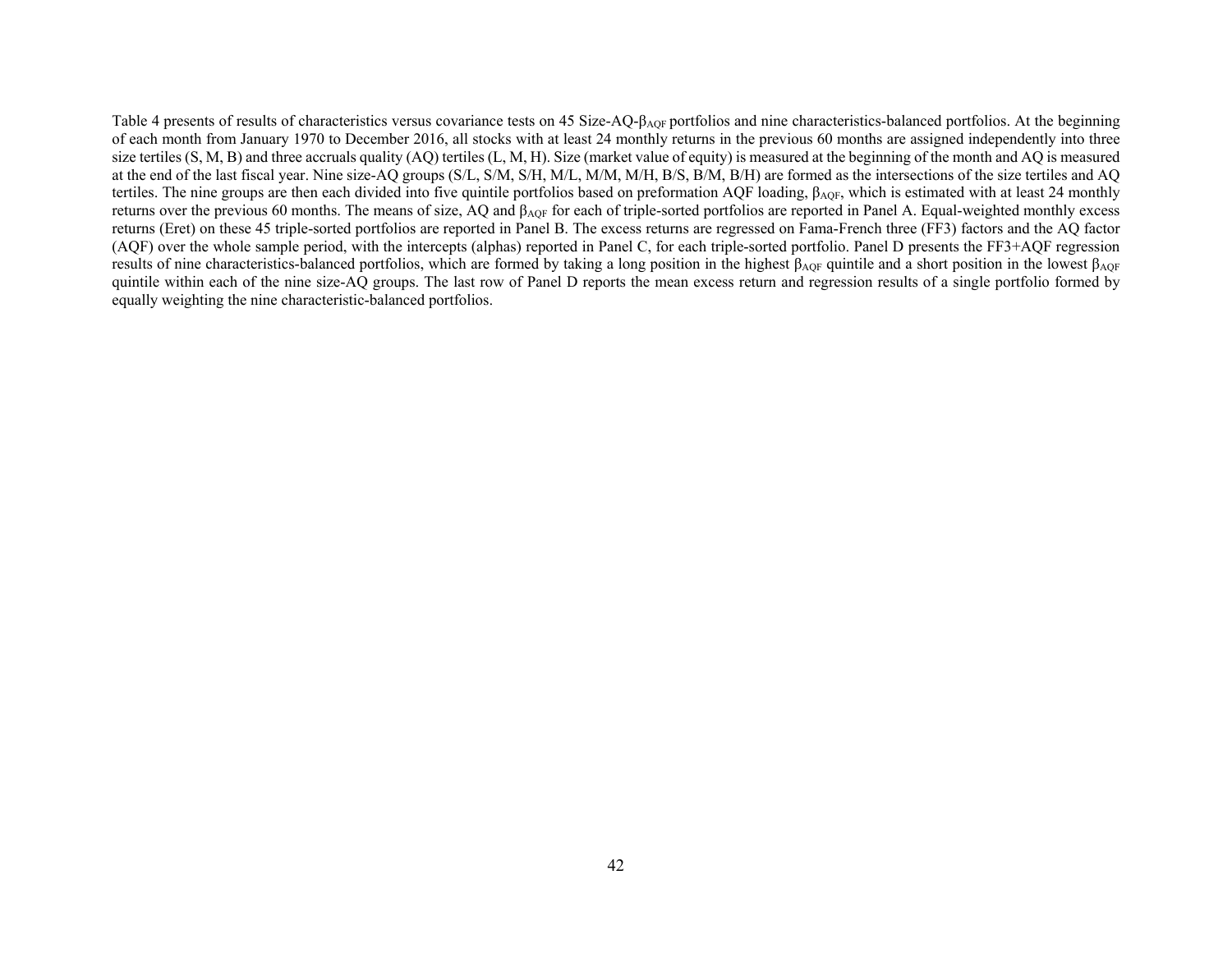Table 4 presents of results of characteristics versus covariance tests on 45 Size-AQ-β<sub>AQF</sub> portfolios and nine characteristics-balanced portfolios. At the beginning of each month from January 1970 to December 2016, all stocks with at least 24 monthly returns in the previous 60 months are assigned independently into three size tertiles  $(S, M, B)$  and three accruals quality  $(AQ)$  tertiles  $(L, M, H)$ . Size (market value of equity) is measured at the beginning of the month and  $AQ$  is measured at the end of the last fiscal year. Nine size-AQ groups (S/L, S/M, S/H, M/L, M/M, M/H, B/S, B/M, B/H) are formed as the intersections of the size tertiles and AQ tertiles. The nine groups are then each divided into five quintile portfolios based on preformation AQF loading,  $\beta_{AQF}$ , which is estimated with at least 24 monthly returns over the previous 60 months. The means of size, AQ and β<sub>AQF</sub> for each of triple-sorted portfolios are reported in Panel A. Equal-weighted monthly excess returns (Eret) on these 45 triple-sorted portfolios are reported in Panel B. The excess returns are regressed on Fama-French three (FF3) factors and the AQ factor (AQF) over the whole sample period, with the intercepts (alphas) reported in Panel C, for each triple-sorted portfolio. Panel D presents the FF3+AQF regression results of nine characteristics-balanced portfolios, which are formed by taking a long position in the highest β<sub>AOF</sub> quintile and a short position in the lowest β<sub>AOF</sub> quintile within each of the nine size-AQ groups. The last row of Panel D reports the mean excess return and regression results of a single portfolio formed by equally weighting the nine characteristic-balanced portfolios.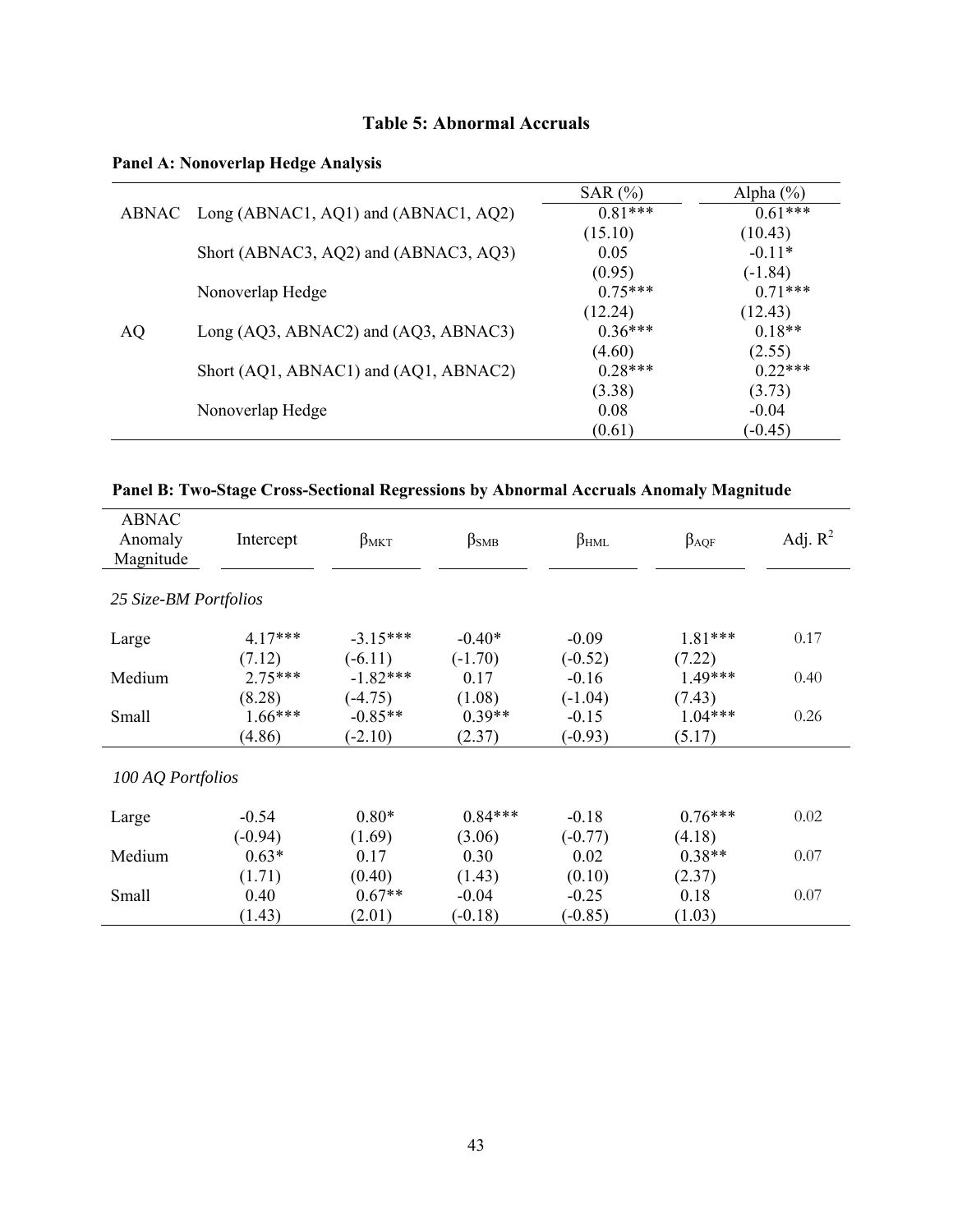# **Table 5: Abnormal Accruals**

**Panel A: Nonoverlap Hedge Analysis** 

|    |                                            | SAR $(%)$ | Alpha $(\% )$ |
|----|--------------------------------------------|-----------|---------------|
|    | ABNAC Long (ABNAC1, AQ1) and (ABNAC1, AQ2) | $0.81***$ | $0.61***$     |
|    |                                            | (15.10)   | (10.43)       |
|    | Short (ABNAC3, AQ2) and (ABNAC3, AQ3)      | 0.05      | $-0.11*$      |
|    |                                            | (0.95)    | $(-1.84)$     |
|    | Nonoverlap Hedge                           | $0.75***$ | $0.71***$     |
|    |                                            | (12.24)   | (12.43)       |
| AQ | Long (AQ3, ABNAC2) and (AQ3, ABNAC3)       | $0.36***$ | $0.18**$      |
|    |                                            | (4.60)    | (2.55)        |
|    | Short (AQ1, ABNAC1) and (AQ1, ABNAC2)      | $0.28***$ | $0.22***$     |
|    |                                            | (3.38)    | (3.73)        |
|    | Nonoverlap Hedge                           | 0.08      | $-0.04$       |
|    |                                            | (0.61)    | $(-0.45)$     |

| Panel B: Two-Stage Cross-Sectional Regressions by Abnormal Accruals Anomaly Magnitude |  |
|---------------------------------------------------------------------------------------|--|
|---------------------------------------------------------------------------------------|--|

| <b>ABNAC</b><br>Anomaly<br>Magnitude | Intercept | $\beta_{MKT}$ | $\beta$ <sub>SMB</sub> | $\beta_{HML}$ | $\beta_{AQF}$ | Adj. $R^2$ |
|--------------------------------------|-----------|---------------|------------------------|---------------|---------------|------------|
| 25 Size-BM Portfolios                |           |               |                        |               |               |            |
| Large                                | $4.17***$ | $-3.15***$    | $-0.40*$               | $-0.09$       | 1.81***       | 0.17       |
|                                      | (7.12)    | $(-6.11)$     | $(-1.70)$              | $(-0.52)$     | (7.22)        |            |
| Medium                               | $2.75***$ | $-1.82***$    | 0.17                   | $-0.16$       | 1.49***       | 0.40       |
|                                      | (8.28)    | $(-4.75)$     | (1.08)                 | $(-1.04)$     | (7.43)        |            |
| Small                                | $1.66***$ | $-0.85**$     | $0.39**$               | $-0.15$       | $1.04***$     | 0.26       |
|                                      | (4.86)    | $(-2.10)$     | (2.37)                 | $(-0.93)$     | (5.17)        |            |
| 100 AQ Portfolios                    |           |               |                        |               |               |            |
| Large                                | $-0.54$   | $0.80*$       | $0.84***$              | $-0.18$       | $0.76***$     | 0.02       |
|                                      | $(-0.94)$ | (1.69)        | (3.06)                 | $(-0.77)$     | (4.18)        |            |
| Medium                               | $0.63*$   | 0.17          | 0.30                   | 0.02          | $0.38**$      | 0.07       |
|                                      | (1.71)    | (0.40)        | (1.43)                 | (0.10)        | (2.37)        |            |
| Small                                | 0.40      | $0.67**$      | $-0.04$                | $-0.25$       | 0.18          | 0.07       |
|                                      | (1.43)    | (2.01)        | $(-0.18)$              | $(-0.85)$     | (1.03)        |            |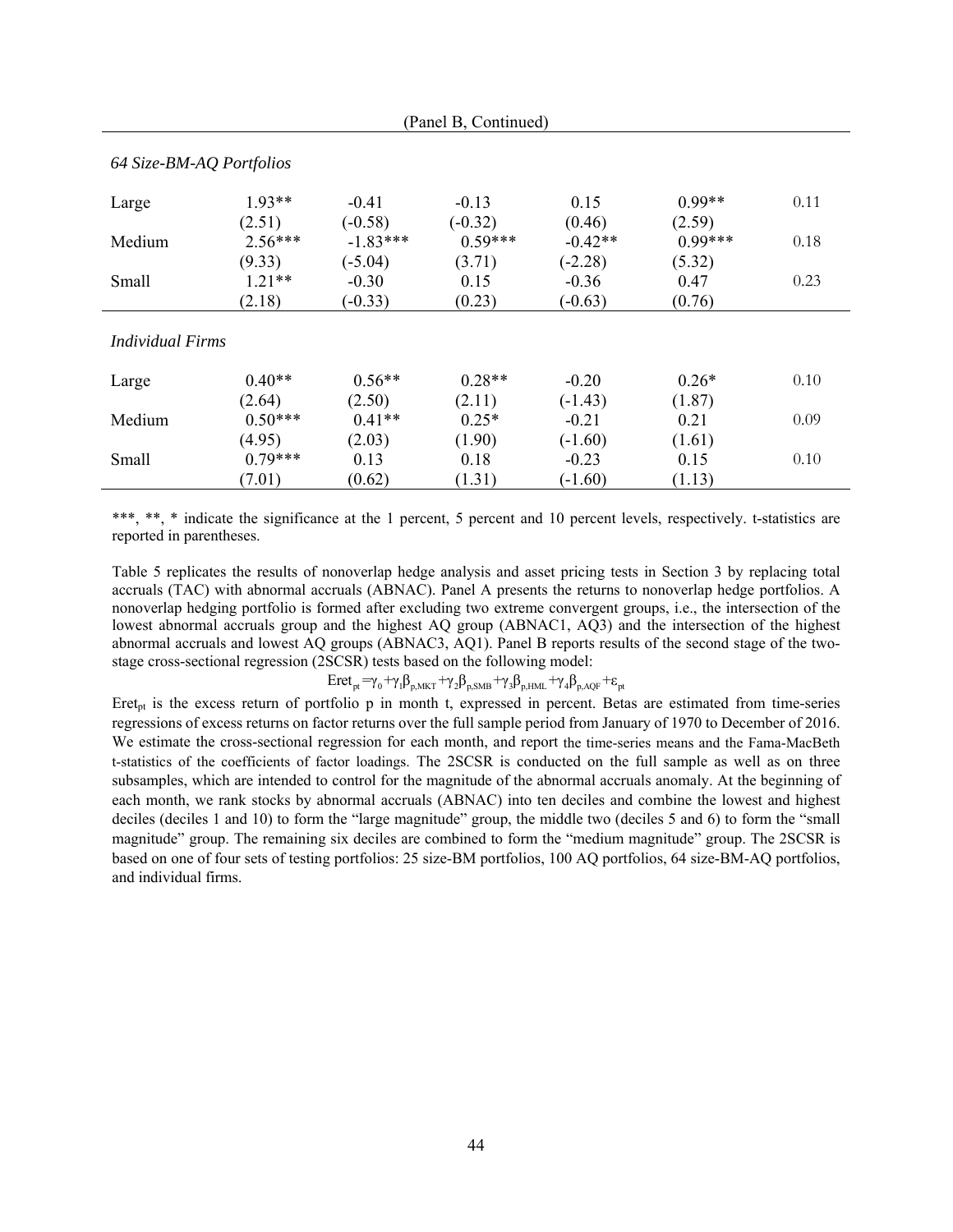| 64 Size-BM-AQ Portfolios |           |            |           |           |           |      |
|--------------------------|-----------|------------|-----------|-----------|-----------|------|
| Large                    | $1.93**$  | $-0.41$    | $-0.13$   | 0.15      | $0.99**$  | 0.11 |
|                          | (2.51)    | $(-0.58)$  | $(-0.32)$ | (0.46)    | (2.59)    |      |
| Medium                   | $2.56***$ | $-1.83***$ | $0.59***$ | $-0.42**$ | $0.99***$ | 0.18 |
|                          | (9.33)    | $(-5.04)$  | (3.71)    | $(-2.28)$ | (5.32)    |      |
| Small                    | $121**$   | $-0.30$    | 0.15      | $-0.36$   | 0.47      | 0.23 |
|                          | (2.18)    | $(-0.33)$  | (0.23)    | $(-0.63)$ | (0.76)    |      |
| <i>Individual Firms</i>  |           |            |           |           |           |      |
| Large                    | $0.40**$  | $0.56**$   | $0.28**$  | $-0.20$   | $0.26*$   | 0.10 |
|                          | (2.64)    | (2.50)     | (2.11)    | $(-1.43)$ | (1.87)    |      |
| Medium                   | $0.50***$ | $0.41**$   | $0.25*$   | $-0.21$   | 0.21      | 0.09 |
|                          | (4.95)    | (2.03)     | (1.90)    | $(-1.60)$ | (1.61)    |      |
| Small                    | $0.79***$ | 0.13       | 0.18      | $-0.23$   | 0.15      | 0.10 |
|                          | (7.01)    | (0.62)     | (1.31)    | $(-1.60)$ | (1.13)    |      |

(Panel B, Continued)

\*\*\*, \*\*, \* indicate the significance at the 1 percent, 5 percent and 10 percent levels, respectively. t-statistics are reported in parentheses.

Table 5 replicates the results of nonoverlap hedge analysis and asset pricing tests in Section 3 by replacing total accruals (TAC) with abnormal accruals (ABNAC). Panel A presents the returns to nonoverlap hedge portfolios. A nonoverlap hedging portfolio is formed after excluding two extreme convergent groups, i.e., the intersection of the lowest abnormal accruals group and the highest AQ group (ABNAC1, AQ3) and the intersection of the highest abnormal accruals and lowest AQ groups (ABNAC3, AQ1). Panel B reports results of the second stage of the twostage cross-sectional regression (2SCSR) tests based on the following model:

 $Eret_{pt} = \gamma_0 + \gamma_1 \beta_{p,MKT} + \gamma_2 \beta_{p,SMB} + \gamma_3 \beta_{p,HML} + \gamma_4 \beta_{p,AQF} + \varepsilon_{pt}$ 

Eret<sub>pt</sub> is the excess return of portfolio p in month t, expressed in percent. Betas are estimated from time-series regressions of excess returns on factor returns over the full sample period from January of 1970 to December of 2016. We estimate the cross-sectional regression for each month, and report the time-series means and the Fama-MacBeth t-statistics of the coefficients of factor loadings. The 2SCSR is conducted on the full sample as well as on three subsamples, which are intended to control for the magnitude of the abnormal accruals anomaly. At the beginning of each month, we rank stocks by abnormal accruals (ABNAC) into ten deciles and combine the lowest and highest deciles (deciles 1 and 10) to form the "large magnitude" group, the middle two (deciles 5 and 6) to form the "small magnitude" group. The remaining six deciles are combined to form the "medium magnitude" group. The 2SCSR is based on one of four sets of testing portfolios: 25 size-BM portfolios, 100 AQ portfolios, 64 size-BM-AQ portfolios, and individual firms.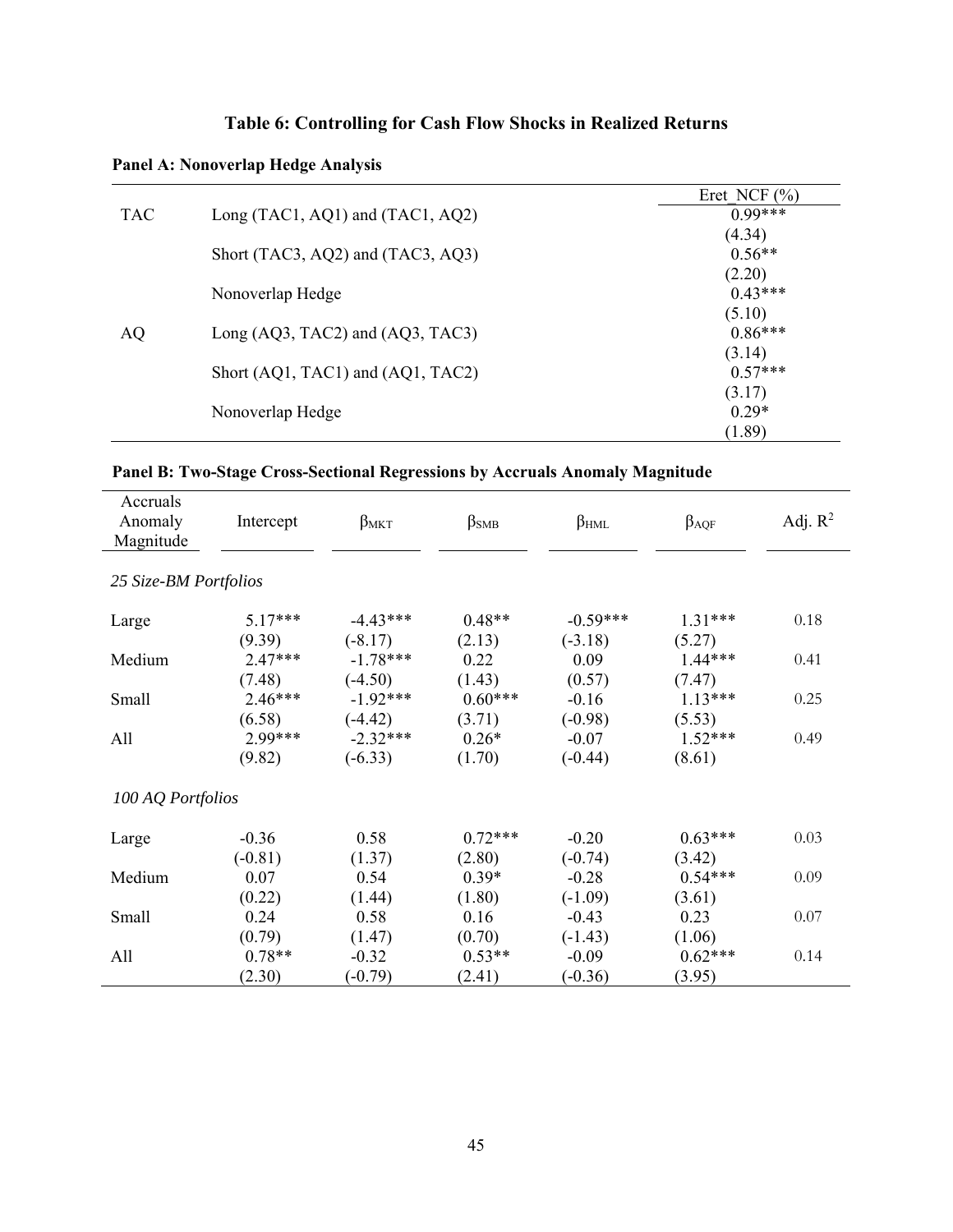# **Table 6: Controlling for Cash Flow Shocks in Realized Returns**

# **Panel A: Nonoverlap Hedge Analysis**

|            |                                      | Eret NCF $(\% )$ |
|------------|--------------------------------------|------------------|
| <b>TAC</b> | Long (TAC1, AQ1) and (TAC1, AQ2)     | $0.99***$        |
|            |                                      | (4.34)           |
|            | Short (TAC3, AQ2) and (TAC3, AQ3)    | $0.56**$         |
|            |                                      | (2.20)           |
|            | Nonoverlap Hedge                     | $0.43***$        |
|            |                                      | (5.10)           |
| AQ         | Long $(AQ3, TAC2)$ and $(AQ3, TAC3)$ | $0.86***$        |
|            |                                      | (3.14)           |
|            | Short (AQ1, TAC1) and (AQ1, TAC2)    | $0.57***$        |
|            |                                      | (3.17)           |
|            | Nonoverlap Hedge                     | $0.29*$          |
|            |                                      | (1.89)           |

# **Panel B: Two-Stage Cross-Sectional Regressions by Accruals Anomaly Magnitude**

| Accruals<br>Anomaly<br>Magnitude | Intercept | $\beta_{MKT}$ | $\beta$ <sub>SMB</sub> | $\beta_{HML}$ | $\beta_{AQF}$ | Adj. $R^2$ |
|----------------------------------|-----------|---------------|------------------------|---------------|---------------|------------|
| 25 Size-BM Portfolios            |           |               |                        |               |               |            |
| Large                            | $5.17***$ | $-4.43***$    | $0.48**$               | $-0.59***$    | $1.31***$     | 0.18       |
|                                  | (9.39)    | $(-8.17)$     | (2.13)                 | $(-3.18)$     | (5.27)        |            |
| Medium                           | $2.47***$ | $-1.78***$    | 0.22                   | 0.09          | $1.44***$     | 0.41       |
|                                  | (7.48)    | $(-4.50)$     | (1.43)                 | (0.57)        | (7.47)        |            |
| Small                            | $2.46***$ | $-1.92***$    | $0.60***$              | $-0.16$       | $1.13***$     | 0.25       |
|                                  | (6.58)    | $(-4.42)$     | (3.71)                 | $(-0.98)$     | (5.53)        |            |
| All                              | 2.99***   | $-2.32***$    | $0.26*$                | $-0.07$       | $1.52***$     | 0.49       |
|                                  | (9.82)    | $(-6.33)$     | (1.70)                 | $(-0.44)$     | (8.61)        |            |
| 100 AQ Portfolios                |           |               |                        |               |               |            |
| Large                            | $-0.36$   | 0.58          | $0.72***$              | $-0.20$       | $0.63***$     | 0.03       |
|                                  | $(-0.81)$ | (1.37)        | (2.80)                 | $(-0.74)$     | (3.42)        |            |
| Medium                           | 0.07      | 0.54          | $0.39*$                | $-0.28$       | $0.54***$     | 0.09       |
|                                  | (0.22)    | (1.44)        | (1.80)                 | $(-1.09)$     | (3.61)        |            |
| Small                            | 0.24      | 0.58          | 0.16                   | $-0.43$       | 0.23          | 0.07       |
|                                  | (0.79)    | (1.47)        | (0.70)                 | $(-1.43)$     | (1.06)        |            |
| All                              | $0.78**$  | $-0.32$       | $0.53**$               | $-0.09$       | $0.62***$     | 0.14       |
|                                  | (2.30)    | $(-0.79)$     | (2.41)                 | $(-0.36)$     | (3.95)        |            |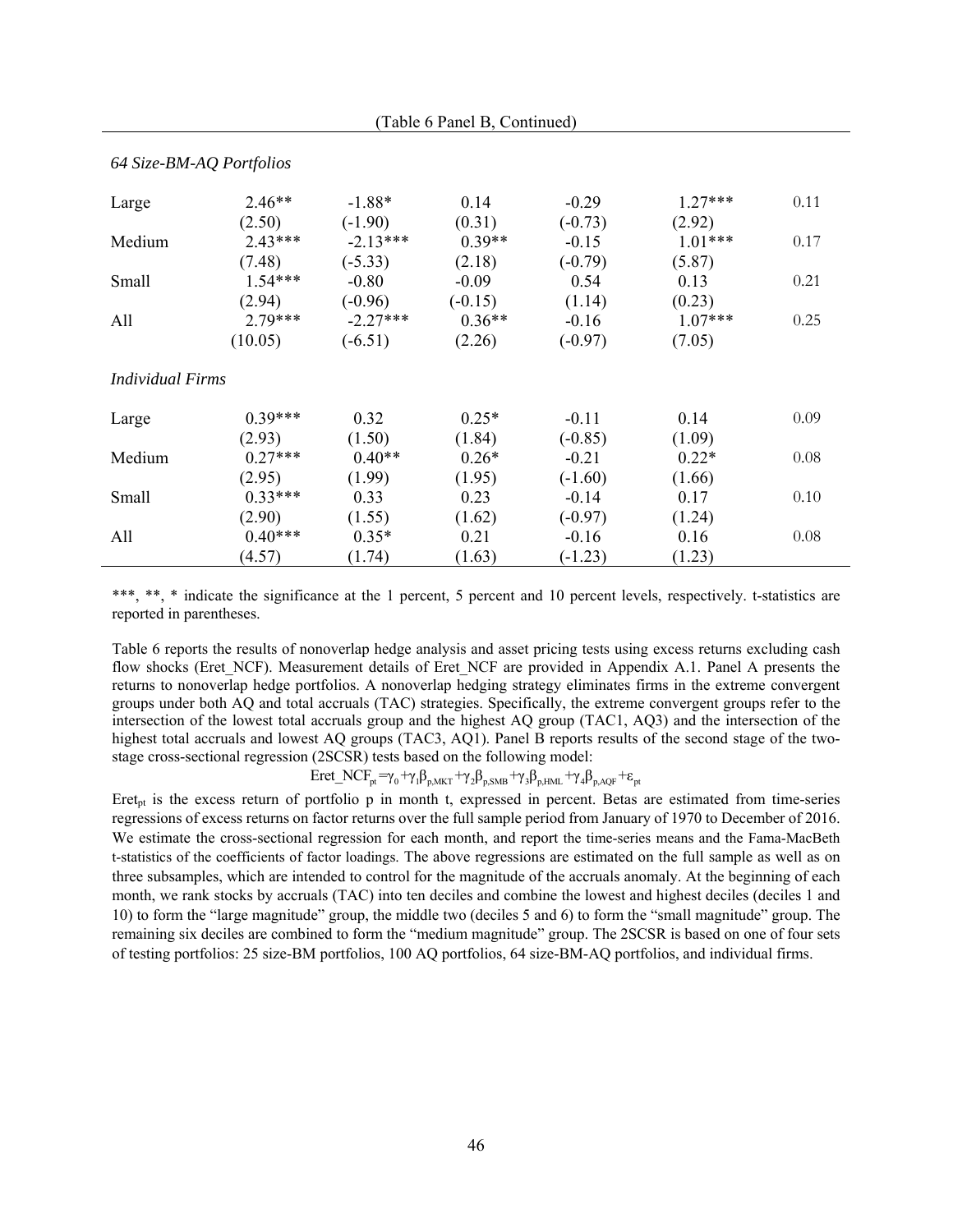| 64 Size-BM-AQ Portfolios |           |            |           |           |           |      |
|--------------------------|-----------|------------|-----------|-----------|-----------|------|
| Large                    | $2.46**$  | $-1.88*$   | 0.14      | $-0.29$   | $1.27***$ | 0.11 |
|                          | (2.50)    | $(-1.90)$  | (0.31)    | $(-0.73)$ | (2.92)    |      |
| Medium                   | $2.43***$ | $-2.13***$ | $0.39**$  | $-0.15$   | $1.01***$ | 0.17 |
|                          | (7.48)    | $(-5.33)$  | (2.18)    | $(-0.79)$ | (5.87)    |      |
| Small                    | $1.54***$ | $-0.80$    | $-0.09$   | 0.54      | 0.13      | 0.21 |
|                          | (2.94)    | $(-0.96)$  | $(-0.15)$ | (1.14)    | (0.23)    |      |
| All                      | $2.79***$ | $-2.27***$ | $0.36**$  | $-0.16$   | $1.07***$ | 0.25 |
|                          | (10.05)   | $(-6.51)$  | (2.26)    | $(-0.97)$ | (7.05)    |      |
| <i>Individual Firms</i>  |           |            |           |           |           |      |
| Large                    | $0.39***$ | 0.32       | $0.25*$   | $-0.11$   | 0.14      | 0.09 |
|                          | (2.93)    | (1.50)     | (1.84)    | $(-0.85)$ | (1.09)    |      |
| Medium                   | $0.27***$ | $0.40**$   | $0.26*$   | $-0.21$   | $0.22*$   | 0.08 |
|                          | (2.95)    | (1.99)     | (1.95)    | $(-1.60)$ | (1.66)    |      |
| Small                    | $0.33***$ | 0.33       | 0.23      | $-0.14$   | 0.17      | 0.10 |
|                          | (2.90)    | (1.55)     | (1.62)    | $(-0.97)$ | (1.24)    |      |
| All                      | $0.40***$ | $0.35*$    | 0.21      | $-0.16$   | 0.16      | 0.08 |
|                          | (4.57)    | (1.74)     | (1.63)    | $(-1.23)$ | (1.23)    |      |

(Table 6 Panel B, Continued)

\*\*\*, \*\*, \* indicate the significance at the 1 percent, 5 percent and 10 percent levels, respectively. t-statistics are reported in parentheses.

Table 6 reports the results of nonoverlap hedge analysis and asset pricing tests using excess returns excluding cash flow shocks (Eret NCF). Measurement details of Eret NCF are provided in Appendix A.1. Panel A presents the returns to nonoverlap hedge portfolios. A nonoverlap hedging strategy eliminates firms in the extreme convergent groups under both AQ and total accruals (TAC) strategies. Specifically, the extreme convergent groups refer to the intersection of the lowest total accruals group and the highest AQ group (TAC1, AQ3) and the intersection of the highest total accruals and lowest AQ groups (TAC3, AQ1). Panel B reports results of the second stage of the twostage cross-sectional regression (2SCSR) tests based on the following model:

 $Eret\_NCF_{pt} = \gamma_0 + \gamma_1 \beta_{p,MKT} + \gamma_2 \beta_{p,SMB} + \gamma_3 \beta_{p,HML} + \gamma_4 \beta_{p,AQF} + \epsilon_{pt}$ 

Eret<sub>pt</sub> is the excess return of portfolio p in month t, expressed in percent. Betas are estimated from time-series regressions of excess returns on factor returns over the full sample period from January of 1970 to December of 2016. We estimate the cross-sectional regression for each month, and report the time-series means and the Fama-MacBeth t-statistics of the coefficients of factor loadings. The above regressions are estimated on the full sample as well as on three subsamples, which are intended to control for the magnitude of the accruals anomaly. At the beginning of each month, we rank stocks by accruals (TAC) into ten deciles and combine the lowest and highest deciles (deciles 1 and 10) to form the "large magnitude" group, the middle two (deciles 5 and 6) to form the "small magnitude" group. The remaining six deciles are combined to form the "medium magnitude" group. The 2SCSR is based on one of four sets of testing portfolios: 25 size-BM portfolios, 100 AQ portfolios, 64 size-BM-AQ portfolios, and individual firms.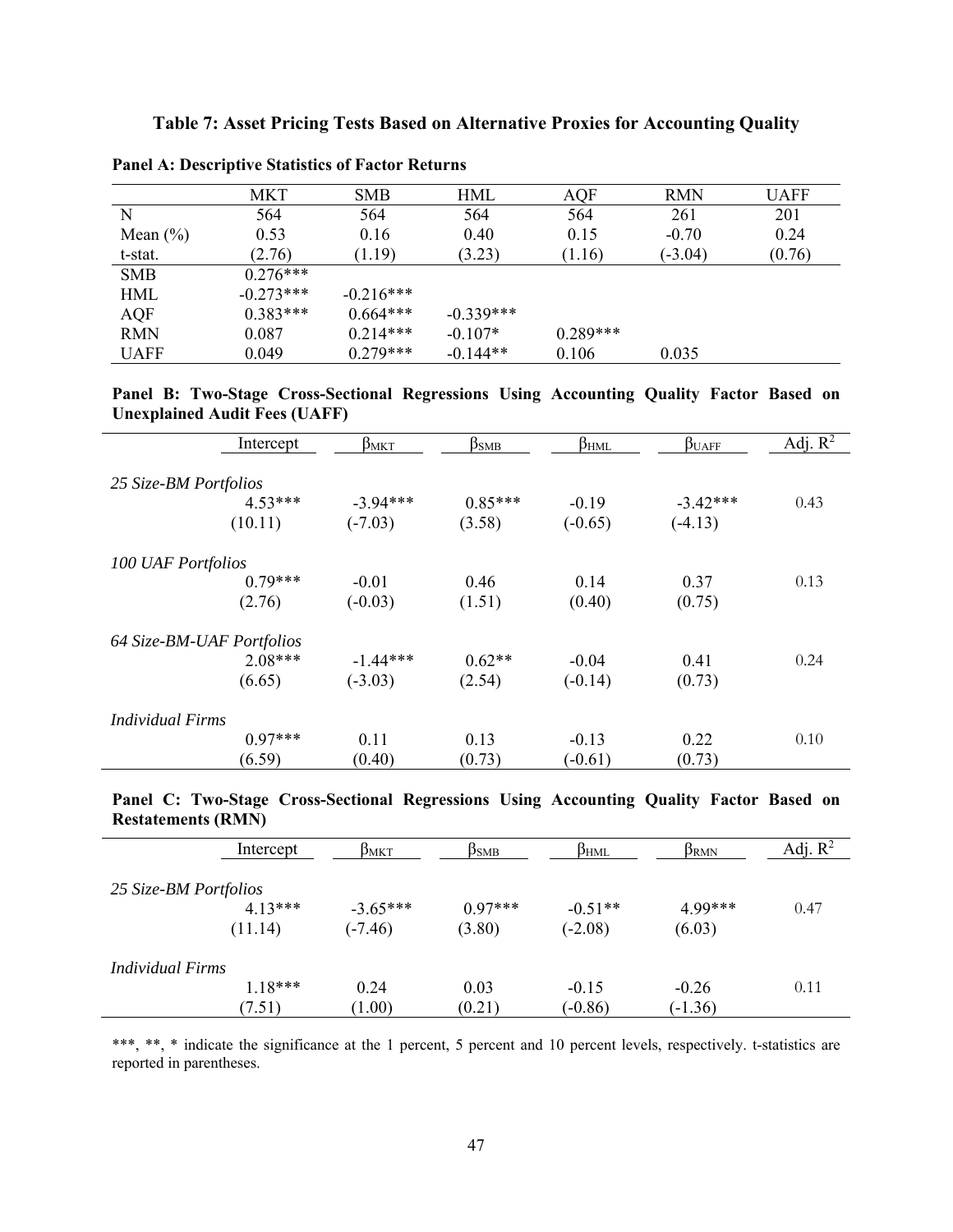|              | <b>MKT</b>  | <b>SMB</b>  | HML         | AQF        | <b>RMN</b> | <b>UAFF</b> |
|--------------|-------------|-------------|-------------|------------|------------|-------------|
| N            | 564         | 564         | 564         | 564        | 261        | 201         |
| Mean $(\% )$ | 0.53        | 0.16        | 0.40        | 0.15       | $-0.70$    | 0.24        |
| t-stat.      | (2.76)      | (1.19)      | (3.23)      | (1.16)     | $(-3.04)$  | (0.76)      |
| <b>SMB</b>   | $0.276***$  |             |             |            |            |             |
| <b>HML</b>   | $-0.273***$ | $-0.216***$ |             |            |            |             |
| <b>AQF</b>   | $0.383***$  | $0.664***$  | $-0.339***$ |            |            |             |
| <b>RMN</b>   | 0.087       | $0.214***$  | $-0.107*$   | $0.289***$ |            |             |
| <b>UAFF</b>  | 0.049       | $0.279***$  | $-0.144**$  | 0.106      | 0.035      |             |

**Panel A: Descriptive Statistics of Factor Returns** 

**Panel B: Two-Stage Cross-Sectional Regressions Using Accounting Quality Factor Based on Unexplained Audit Fees (UAFF)** 

|                           | Intercept | $\beta_{MKT}$ | $\beta$ smb | $\beta$ <sub>HML</sub> | $\beta_{\text{UAFF}}$ | Adj. $R^2$ |
|---------------------------|-----------|---------------|-------------|------------------------|-----------------------|------------|
|                           |           |               |             |                        |                       |            |
| 25 Size-BM Portfolios     |           |               |             |                        |                       |            |
|                           | $4.53***$ | $-3.94***$    | $0.85***$   | $-0.19$                | $-3.42***$            | 0.43       |
|                           | (10.11)   | $(-7.03)$     | (3.58)      | $(-0.65)$              | $(-4.13)$             |            |
| <b>100 UAF Portfolios</b> |           |               |             |                        |                       |            |
|                           | $0.79***$ | $-0.01$       | 0.46        | 0.14                   | 0.37                  | 0.13       |
|                           | (2.76)    | $(-0.03)$     | (1.51)      | (0.40)                 | (0.75)                |            |
| 64 Size-BM-UAF Portfolios |           |               |             |                        |                       |            |
|                           | $2.08***$ | $-1.44***$    | $0.62**$    | $-0.04$                | 0.41                  | 0.24       |
|                           | (6.65)    | $(-3.03)$     | (2.54)      | $(-0.14)$              | (0.73)                |            |
| <b>Individual Firms</b>   |           |               |             |                        |                       |            |
|                           | $0.97***$ | 0.11          | 0.13        | $-0.13$                | 0.22                  | 0.10       |
|                           | (6.59)    | (0.40)        | (0.73)      | $(-0.61)$              | (0.73)                |            |

**Panel C: Two-Stage Cross-Sectional Regressions Using Accounting Quality Factor Based on Restatements (RMN)** 

|                         | Intercept | $\beta_{\rm MKT}$ | ßмв       | $\beta_{\rm HML}$ | $\beta_{\rm RMN}$ | Adj. $R^2$ |
|-------------------------|-----------|-------------------|-----------|-------------------|-------------------|------------|
| 25 Size-BM Portfolios   |           |                   |           |                   |                   |            |
|                         |           |                   |           |                   |                   |            |
|                         | $4.13***$ | $-3.65***$        | $0.97***$ | $-0.51**$         | 4.99***           | 0.47       |
|                         | (11.14)   | $(-7.46)$         | (3.80)    | $(-2.08)$         | (6.03)            |            |
| <i>Individual Firms</i> |           |                   |           |                   |                   |            |
|                         | $1.18***$ | 0.24              | 0.03      | $-0.15$           | $-0.26$           | 0.11       |
|                         | (7.51)    | (1.00)            | (0.21)    | $(-0.86)$         | $(-1.36)$         |            |

\*\*\*, \*\*, \* indicate the significance at the 1 percent, 5 percent and 10 percent levels, respectively. t-statistics are reported in parentheses.